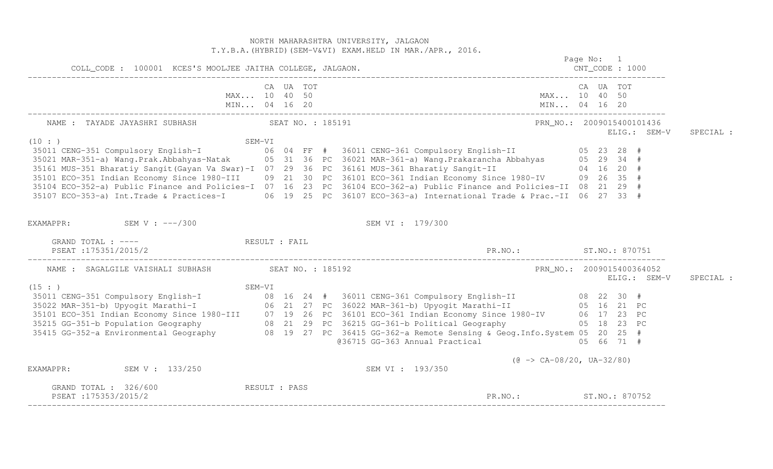NORTH MAHARASHTRA UNIVERSITY, JALGAON T.Y.B.A.(HYBRID)(SEM-V&VI) EXAM.HELD IN MAR./APR., 2016. Page No: 1  $CNT CODE: 1000$  COLL\_CODE : 100001 KCES'S MOOLJEE JAITHA COLLEGE, JALGAON. CNT\_CODE : 1000 ------------------------------------------------------------------------------------------------------------------------------------ CA UA TOT CA UA TOT MAX... 10 40 50 MAX... 10 40 50 MIN... 04 16 20 MIN... 04 16 20 MIN... 04 16 20 ------------------------------------------------------------------------------------------------------------------------------------ NAME : TAYADE JAYASHRI SUBHASH SEAT NO. : 185191 PRA PRA PRA NO. : 2009015400101436 ELIG.: SEM-V SPECIAL : (10 : ) SEM-VI 35011 CENG-351 Compulsory English-I 06 04 FF # 36011 CENG-361 Compulsory English-II 05 23 28 # 35021 MAR-351-a) Wang.Prak.Abbahyas-Natak 05 31 36 PC 36021 MAR-361-a) Wang.Prakarancha Abbahyas 05 29 34 # 35161 MUS-351 Bharatiy Sangit(Gayan Va Swar)-I 07 29 36 PC 36161 MUS-361 Bharatiy Sangit-II 04 16 20 # 35101 ECO-351 Indian Economy Since 1980-III 09 21 30 PC 36101 ECO-361 Indian Economy Since 1980-IV 09 26 35 # 35104 ECO-352-a) Public Finance and Policies-I 07 16 23 PC 36104 ECO-362-a) Public Finance and Policies-II 08 21 29 # 35107 ECO-353-a) Int.Trade & Practices-I 06 19 25 PC 36107 ECO-363-a) International Trade & Prac.-II 06 27 33 # EXAMAPPR: SEM V : ---/300 SEM VI : 179/300 GRAND TOTAL : ----  $RESULT$  : FAIL PSEAT :175351/2015/2 PR.NO.: ST.NO.: 870751 ------------------------------------------------------------------------------------------------------------------------------------ NAME : SAGALGILE VAISHALI SUBHASH SEAT NO. : 185192 PRN NO.: 2009015400364052 ELIG.: SEM-V SPECIAL :  $(15 : )$  SEM-VI 35011 CENG-351 Compulsory English-I 08 16 24 # 36011 CENG-361 Compulsory English-II 08 22 30 # 35022 MAR-351-b) Upyogit Marathi-I 06 21 27 PC 36022 MAR-361-b) Upyogit Marathi-II 05 16 21 PC 35101 ECO-351 Indian Economy Since 1980-III 07 19 26 PC 36101 ECO-361 Indian Economy Since 1980-IV 06 17 23 PC<br>35215 GG-351-b Population Geography 08 21 29 PC 36215 GG-361-b Political Geog 05 66 71 #  $@36715$  GG-363 Annual Practical (@ -> CA-08/20, UA-32/80) EXAMAPPR: SEM V : 133/250 SEM V : 133/250 SEM VI : 193/350 GRAND TOTAL : 326/600 RESULT : PASS PSEAT :175353/2015/2 ST.NO.: ST.NO.: 870752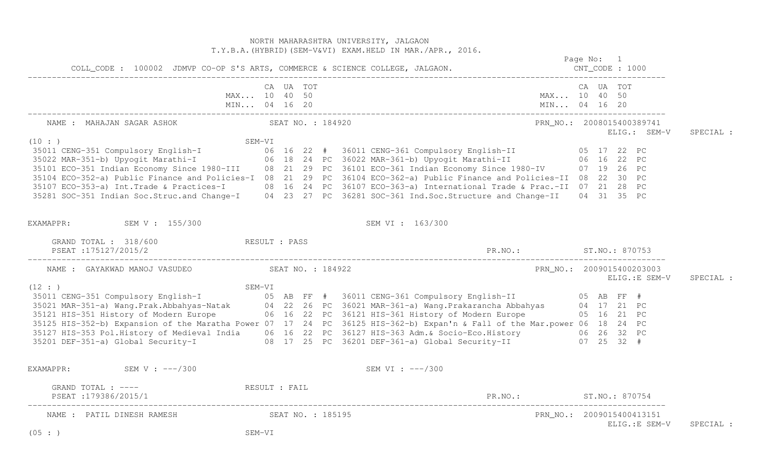|                                                              |                             |           |  | NORTH MAHARASHTRA UNIVERSITY, JALGAON<br>T.Y.B.A. (HYBRID) (SEM-V&VI) EXAM. HELD IN MAR./APR., 2016.<br>Page No: 1                                                                                                                                                                                                                                                                                                                                                                                                                                                                                         |  |           |                |           |
|--------------------------------------------------------------|-----------------------------|-----------|--|------------------------------------------------------------------------------------------------------------------------------------------------------------------------------------------------------------------------------------------------------------------------------------------------------------------------------------------------------------------------------------------------------------------------------------------------------------------------------------------------------------------------------------------------------------------------------------------------------------|--|-----------|----------------|-----------|
|                                                              |                             |           |  |                                                                                                                                                                                                                                                                                                                                                                                                                                                                                                                                                                                                            |  |           |                |           |
|                                                              | MAX 10 40 50                | CA UA TOT |  | MAX 10 40 50                                                                                                                                                                                                                                                                                                                                                                                                                                                                                                                                                                                               |  | CA UA TOT |                |           |
| NAME: MAHAJAN SAGAR ASHOK NAME SEAT NO.: 184920              |                             |           |  | PRN_NO.: 2008015400389741                                                                                                                                                                                                                                                                                                                                                                                                                                                                                                                                                                                  |  |           | ELIG.: SEM-V   | SPECIAL : |
| (10: )                                                       |                             |           |  | SEM-VI<br>35011 CENG-351 Compulsory English-I (10 : )<br>35022 MAR-351-b) Upyogit Marathi-I (16 22 # 36011 CENG-361 Compulsory English-II (16 22 PC)<br>35101 ECO-351 Indian Economy Since 1980-III (18 21 29 PC 36101 ECO-361 Indian E<br>35104 ECO-352-a) Public Finance and Policies-I 08 21 29 PC 36104 ECO-362-a) Public Finance and Policies-II 08 22 30 PC<br>35107 ECO-353-a) Int.Trade & Practices-I 08 16 24 PC 36107 ECO-363-a) International Trade & Prac.-II 07 21 28 PC<br>35281 SOC-351 Indian Soc.Struc.and Change-I 04 23 27 PC 36281 SOC-361 Ind.Soc.Structure and Change-II 04 31 35 PC |  |           |                |           |
| EXAMAPPR: SEM V : 155/300                                    |                             |           |  | SEM VI : 163/300                                                                                                                                                                                                                                                                                                                                                                                                                                                                                                                                                                                           |  |           |                |           |
| GRAND TOTAL : 318/600 RESULT : PASS<br>PSEAT : 175127/2015/2 |                             |           |  |                                                                                                                                                                                                                                                                                                                                                                                                                                                                                                                                                                                                            |  |           |                |           |
| NAME : GAYAKWAD MANOJ VASUDEO SEAT NO. : 184922              |                             |           |  | PRN_NO.: 2009015400203003                                                                                                                                                                                                                                                                                                                                                                                                                                                                                                                                                                                  |  |           | ELIG.:E SEM-V  | SPECIAL : |
| (12 : )                                                      |                             |           |  | SEM-VI<br>SEM-VI (12:)<br>SEM-VI (12: 26 PC 36011 CENG-361 Compulsory English-II (15 AB FF #<br>35021 MAR-351-a) Wang.Prak.Abbahyas-Natak (14 22 26 PC 36021 MAR-361-a) Wang.Prakarancha Abbahyas (14 17 21 PC<br>35121 HIS-351 Histor<br>35125 HIS-352-b) Expansion of the Maratha Power 07 17 24 PC 36125 HIS-362-b) Expan'n & Fall of the Mar.power 06 18 24 PC<br>35127 HIS-353 Pol.History of Medieval India 06 16 22 PC 36127 HIS-363 Adm.& Socio-Eco.History 106 26 32 PC<br>35201 DEF-351-a) Global Security-I 108 17 25 PC 36201 DEF-361-a) Global Security-II 107 25 32 #                        |  |           |                |           |
| EXAMAPPR: SEM V : ---/300                                    |                             |           |  | SEM VI : ---/300                                                                                                                                                                                                                                                                                                                                                                                                                                                                                                                                                                                           |  |           |                |           |
| GRAND TOTAL : ---- The RESULT : FAIL<br>PSEAT:179386/2015/1  |                             |           |  | PR. NO.: ST. NO.: 870754                                                                                                                                                                                                                                                                                                                                                                                                                                                                                                                                                                                   |  |           |                |           |
| NAME : PATIL DINESH RAMESH<br>(05 : )                        | SEAT NO. : 185195<br>SEM-VI |           |  | PRN_NO.: 2009015400413151                                                                                                                                                                                                                                                                                                                                                                                                                                                                                                                                                                                  |  |           | ELIG.: E SEM-V | SPECIAL : |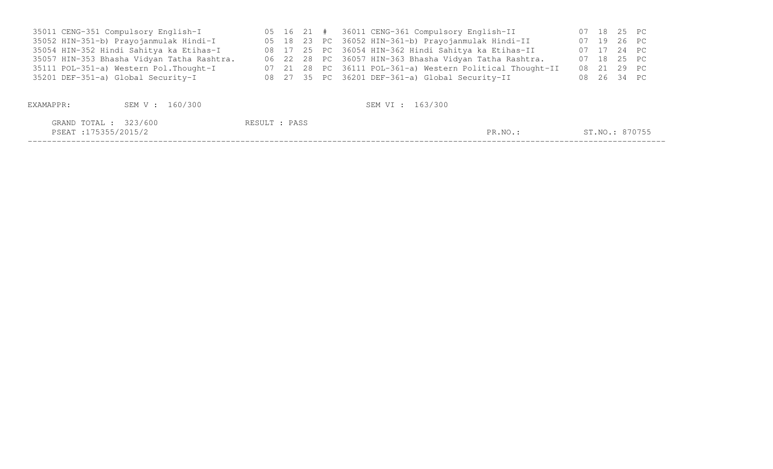| 35011 CENG-351 Compulsory English-I        |  |  | 05 16 21 # 36011 CENG-361 Compulsory English-II           |  | 07 18 25 PC    |
|--------------------------------------------|--|--|-----------------------------------------------------------|--|----------------|
| 35052 HIN-351-b) Prayojanmulak Hindi-I     |  |  | 05 18 23 PC 36052 HIN-361-b) Prayojanmulak Hindi-II       |  | 07 19 26 PC    |
| 35054 HIN-352 Hindi Sahitya ka Etihas-I    |  |  | 08 17 25 PC 36054 HIN-362 Hindi Sahitya ka Etihas-II      |  | 07 17 24 PC    |
| 35057 HIN-353 Bhasha Vidyan Tatha Rashtra. |  |  | 06 22 28 PC 36057 HIN-363 Bhasha Vidyan Tatha Rashtra.    |  | 07 18 25 PC    |
| 35111 POL-351-a) Western Pol. Thought-I    |  |  | 07 21 28 PC 36111 POL-361-a) Western Political Thought-II |  | 08 21 29 PC    |
| 35201 DEF-351-a) Global Security-I         |  |  | 08 27 35 PC 36201 DEF-361-a) Global Security-II           |  | 08  26  34  PC |
|                                            |  |  |                                                           |  |                |

| EXAMAPPR:                                     | SEM V : 160/300 |               | SEM VI : 163/300 |         |                |
|-----------------------------------------------|-----------------|---------------|------------------|---------|----------------|
| GRAND TOTAL : 323/600<br>PSEAT :175355/2015/2 |                 | RESULT : PASS |                  | PR.NO.: | ST.NO.: 870755 |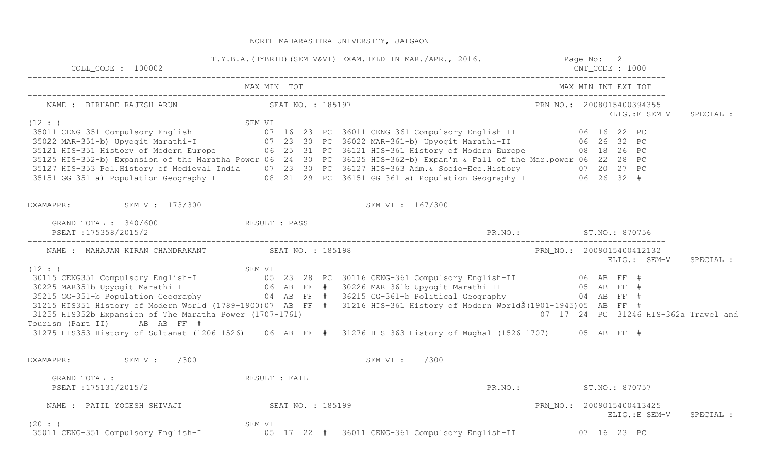| $COLL$ $CODE: 100002$                                                                               |               | T.Y.B.A. (HYBRID) (SEM-V&VI) EXAM.HELD IN MAR./APR., 2016. Page No: 2                                                                                                                                                                                                                                                                                                                                                                                                                                                                                                                     | $CNT\_CODE : 1000$ |                                            |           |
|-----------------------------------------------------------------------------------------------------|---------------|-------------------------------------------------------------------------------------------------------------------------------------------------------------------------------------------------------------------------------------------------------------------------------------------------------------------------------------------------------------------------------------------------------------------------------------------------------------------------------------------------------------------------------------------------------------------------------------------|--------------------|--------------------------------------------|-----------|
|                                                                                                     | MAX MIN TOT   |                                                                                                                                                                                                                                                                                                                                                                                                                                                                                                                                                                                           |                    | MAX MIN INT EXT TOT                        |           |
| NAME : BIRHADE RAJESH ARUN NAME : 185197                                                            |               |                                                                                                                                                                                                                                                                                                                                                                                                                                                                                                                                                                                           |                    | PRN_NO.: 2008015400394355<br>ELIG.:E SEM-V | SPECIAL : |
| (12 : )                                                                                             |               | SEM-VI<br>35011 CENG-351 Compulsory English-I and SEM-VI<br>35022 MAR-351-b) Upyogit Marathi-I and O7 23 30 PC 36022 MAR-361-b) Upyogit Marathi-II and 22 PC<br>35121 HIS-351 History of Modern Europe 06 25 31 PC 36121 HIS-361 Histor<br>35125 HIS-352-b) Expansion of the Maratha Power 06 24 30 PC 36125 HIS-362-b) Expan'n & Fall of the Mar.power 06 22 28 PC<br>35127 HIS-353 Pol.History of Medieval India 07 23 30 PC 36127 HIS-363 Adm.& Socio-Eco.History 07 20 27 PC<br>35151 GG-351-a) Population Geography-I 08 21 29 PC 36151 GG-361-a) Population Geography-II 06 26 32 # |                    |                                            |           |
| EXAMAPPR: SEM V: 173/300                                                                            |               | SEM VI : 167/300                                                                                                                                                                                                                                                                                                                                                                                                                                                                                                                                                                          |                    |                                            |           |
| GRAND TOTAL : 340/600<br>PSEAT :175358/2015/2                                                       | RESULT : PASS | PR. NO.: ST. NO.: 870756                                                                                                                                                                                                                                                                                                                                                                                                                                                                                                                                                                  |                    |                                            |           |
| NAME : MAHAJAN KIRAN CHANDRAKANT SEAT NO. : 185198                                                  |               |                                                                                                                                                                                                                                                                                                                                                                                                                                                                                                                                                                                           |                    | PRN NO.: 2009015400412132<br>ELIG.: SEM-V  | SPECIAL : |
| (12 : )<br>31255 HIS352b Expansion of The Maratha Power (1707-1761)<br>Tourism (Part II) AB AB FF # |               | 35215 GG-351-b Population Geography 64 AB FF # 36215 GG-361-b Political Geography 64 AB FF #<br>31215 HIS351 History of Modern World (1789-1900)07 AB FF # 31216 HIS-361 History of Modern WorldŠ (1901-1945)05 AB FF #<br>31275 HIS353 History of Sultanat (1206-1526) 06 AB FF # 31276 HIS-363 History of Mughal (1526-1707) 05 AB FF #                                                                                                                                                                                                                                                 |                    | 07 17 24 PC 31246 HIS-362a Travel and      |           |
| EXAMAPPR: $SEM V : --- / 300$                                                                       |               | SEM VI : $---/300$                                                                                                                                                                                                                                                                                                                                                                                                                                                                                                                                                                        |                    |                                            |           |
|                                                                                                     |               |                                                                                                                                                                                                                                                                                                                                                                                                                                                                                                                                                                                           |                    |                                            |           |
| GRAND TOTAL : ---- RESULT : FAIL<br>PSEAT:175131/2015/2                                             |               | PR.NO.: ST.NO.: 870757                                                                                                                                                                                                                                                                                                                                                                                                                                                                                                                                                                    |                    |                                            |           |
|                                                                                                     |               |                                                                                                                                                                                                                                                                                                                                                                                                                                                                                                                                                                                           |                    | PRN_NO.: 2009015400413425<br>ELIG.:E SEM-V | SPECIAL : |
| (20: )                                                                                              |               |                                                                                                                                                                                                                                                                                                                                                                                                                                                                                                                                                                                           |                    |                                            |           |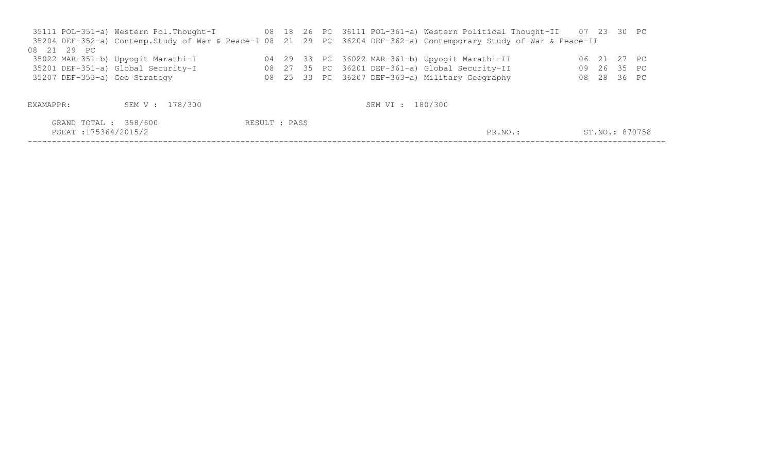|                               |                                    |  |  | 35111 POL-351-a) Western Pol.Thought-I (88 18 26 PC 36111 POL-361-a) Western Political Thought-II (87 23 30 PC     |                |  |
|-------------------------------|------------------------------------|--|--|--------------------------------------------------------------------------------------------------------------------|----------------|--|
|                               |                                    |  |  | 35204 DEF-352-a) Contemp. Study of War & Peace-I 08 21 29 PC 36204 DEF-362-a) Contemporary Study of War & Peace-II |                |  |
| 08 21 29 PC                   |                                    |  |  |                                                                                                                    |                |  |
|                               | 35022 MAR-351-b) Upyogit Marathi-I |  |  | 04 29 33 PC 36022 MAR-361-b) Upyogit Marathi-II                                                                    | 06 21 27 PC    |  |
|                               | 35201 DEF-351-a) Global Security-I |  |  | 08 27 35 PC 36201 DEF-361-a) Global Security-II                                                                    | 09  26  35  PC |  |
| 35207 DEF-353-a) Geo Strategy |                                    |  |  | 08 25 33 PC 36207 DEF-363-a) Military Geography                                                                    | 08  28  36  PC |  |
|                               |                                    |  |  |                                                                                                                    |                |  |
|                               |                                    |  |  |                                                                                                                    |                |  |
| EXAMAPPR:                     | SEM V : 178/300                    |  |  | SEM VI : 180/300                                                                                                   |                |  |
|                               |                                    |  |  |                                                                                                                    |                |  |

| 358/600<br>GRAND TOTAL | : PASS<br>RESULT |       |                |
|------------------------|------------------|-------|----------------|
| PSEAT : 175364/2015/2  |                  | PR.NO | ST.NO.: 870758 |
|                        |                  |       |                |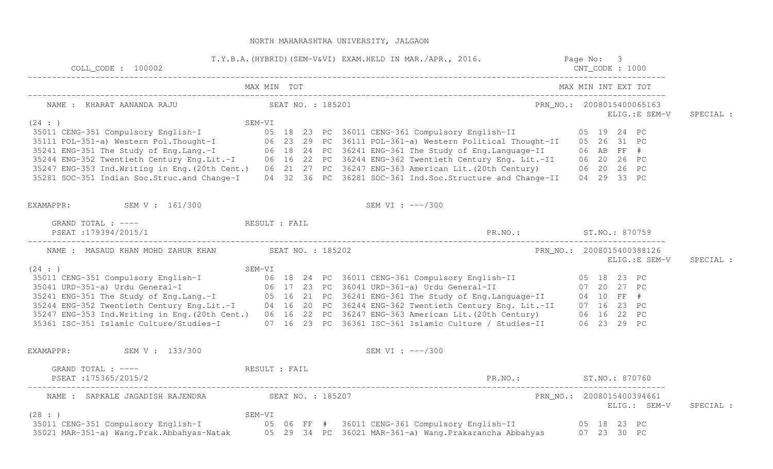| COLL CODE : 100002                                            | T.Y.B.A. (HYBRID) (SEM-V&VI) EXAM.HELD IN MAR./APR., 2016. Page No: 3                                                                                                                                                                                                                                                                                           | $CNT\_CODE : 1000$                          |           |
|---------------------------------------------------------------|-----------------------------------------------------------------------------------------------------------------------------------------------------------------------------------------------------------------------------------------------------------------------------------------------------------------------------------------------------------------|---------------------------------------------|-----------|
|                                                               |                                                                                                                                                                                                                                                                                                                                                                 | MAX MIN INT EXT TOT                         |           |
|                                                               |                                                                                                                                                                                                                                                                                                                                                                 | ELIG.: E SEM-V                              | SPECIAL : |
| (24 : )                                                       | SEM-VI<br>35011 CENG-351 Compulsory English-I<br>35011 CENG-351 Compulsory English-I<br>35111 POL-351-a) Western Pol.Thought-I<br>35241 ENG-352 Twentieth Century Eng.Lit.-I<br>36241 ENG-352 Twentieth Century Eng.Lit.-I<br>36247 ENG-35<br>35281 SOC-351 Indian Soc.Struc.and Change-I 04 32 36 PC 36281 SOC-361 Ind.Soc.Structure and Change-II 04 29 33 PC |                                             |           |
| EXAMAPPR: SEM V : 161/300                                     | SEM VI : $---/300$                                                                                                                                                                                                                                                                                                                                              |                                             |           |
| GRAND TOTAL : ---- The RESULT : FAIL<br>PSEAT : 179394/2015/1 |                                                                                                                                                                                                                                                                                                                                                                 | PR.NO.: ST.NO.: 870759                      |           |
| NAME : MASAUD KHAN MOHD ZAHUR KHAN SEAT NO. : 185202          |                                                                                                                                                                                                                                                                                                                                                                 | PRN_NO.: 2008015400388126<br>ELIG.: E SEM-V | SPECIAL : |
|                                                               | %EM-VI 35011 CENG-351 Compulsory English-I 23 PC<br>35041 URD-351-a) Urdu General-I 206 18 24 PC 36011 CENG-361 Compulsory English-II 25041 URD-351-a) Urdu General-I<br>35241 ENG-351 The Study of Eng.Lang.-I 23 PC 36241 ENG-361                                                                                                                             |                                             |           |
| EXAMAPPR: SEM V : 133/300                                     | SEM VI : ---/300                                                                                                                                                                                                                                                                                                                                                |                                             |           |
| GRAND TOTAL : ---- RESULT : FAIL<br>PSEAT : 175365/2015/2     |                                                                                                                                                                                                                                                                                                                                                                 | PR.NO.: ST.NO.: 870760                      |           |
| NAME : SAPKALE JAGADISH RAJENDRA SEAT NO. : 185207            |                                                                                                                                                                                                                                                                                                                                                                 | PRN_NO.: 2008015400394661<br>ELIG.: SEM-V   | SPECIAL : |
| (28: )                                                        | 35021 MAR-351-a) Wang.Prak.Abbahyas-Natak 05 29 34 PC 36021 MAR-361-a) Wang.Prakarancha Abbahyas 07 23 30 PC                                                                                                                                                                                                                                                    |                                             |           |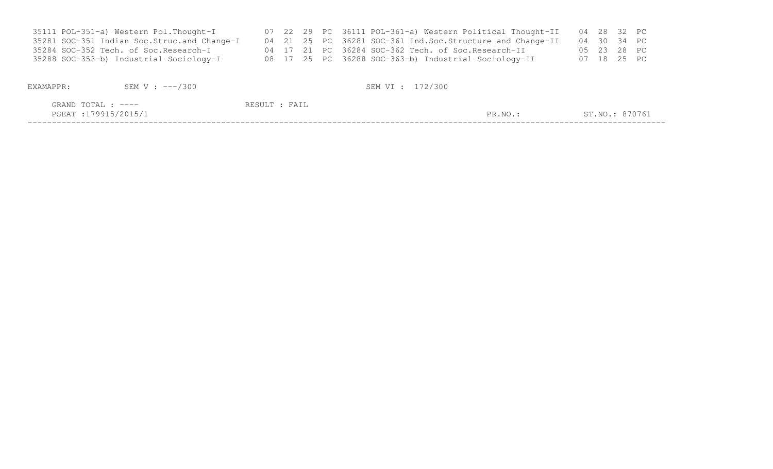| 35111 POL-351-a) Western Pol.Thought-I        |  |  | 07 22 29 PC 36111 POL-361-a) Western Political Thought-II   | 04 28 32 PC |  |             |
|-----------------------------------------------|--|--|-------------------------------------------------------------|-------------|--|-------------|
| 35281 SOC-351 Indian Soc. Struc. and Change-I |  |  | 04 21 25 PC 36281 SOC-361 Ind. Soc. Structure and Change-II | 04 30 34 PC |  |             |
| 35284 SOC-352 Tech. of Soc.Research-I         |  |  | 04 17 21 PC 36284 SOC-362 Tech. of Soc.Research-II          |             |  | 05 23 28 PC |
| 35288 SOC-353-b) Industrial Sociology-I       |  |  | 08 17 25 PC 36288 SOC-363-b) Industrial Sociology-II        | 07 18 25 PC |  |             |
|                                               |  |  |                                                             |             |  |             |

# EXAMAPPR: SEM V : ---/300 SEM V : ---/300

| $m \wedge m \wedge n$<br>GRAND<br>$- - - -$<br>LUIAL                                                                                   | RESUL.<br>----<br>$H^+ \Delta$ |       |                                                                                                |
|----------------------------------------------------------------------------------------------------------------------------------------|--------------------------------|-------|------------------------------------------------------------------------------------------------|
| 179915/201<br>PSEAT<br>the contract of the contract of the contract of the contract of the contract of the contract of the contract of |                                | PR.NO | $\cap \neg \wedge \neg \wedge \neg$<br>$\sim$ $\sim$<br>$\lambda$ T $\sim$<br>8/0/6.<br>51.NU. |
|                                                                                                                                        |                                |       |                                                                                                |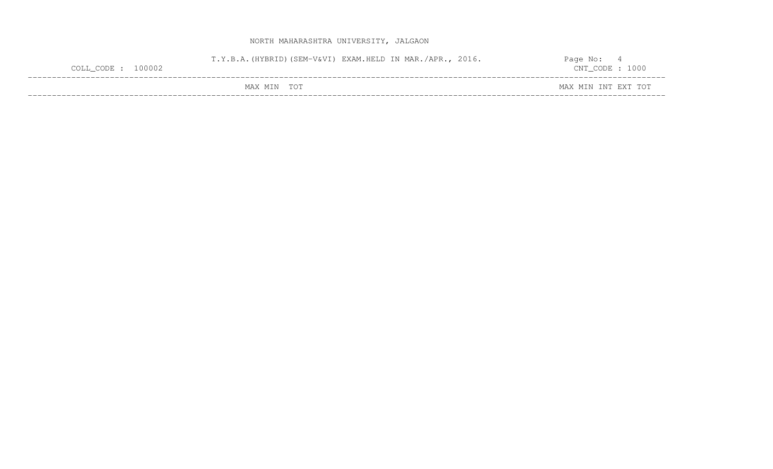| $COLL$ CODE : 100002 | T.Y.B.A. (HYBRID) (SEM-V&VI) EXAM.HELD IN MAR./APR., 2016. |  | Page No:<br>$CNT\_CODE : 1000$ |  |
|----------------------|------------------------------------------------------------|--|--------------------------------|--|
|                      | MAX MIN TOT                                                |  | MAX MIN INT EXT TOT            |  |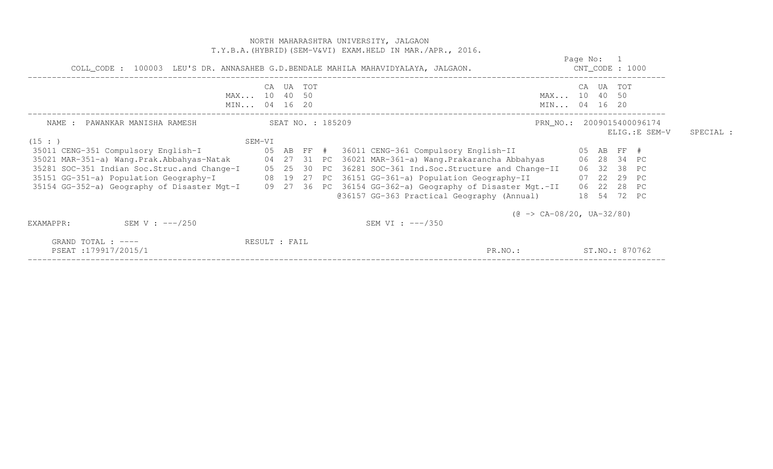|                                                                                   |                                    |                   |        | NORTH MAHARASHTRA UNIVERSITY, JALGAON<br>T.Y.B.A. (HYBRID) (SEM-V&VI) EXAM.HELD IN MAR./APR., 2016.                                                                                                                                                                                                                                                                                                                                                                                                                                |                                  |                                                                                       |                                             |           |
|-----------------------------------------------------------------------------------|------------------------------------|-------------------|--------|------------------------------------------------------------------------------------------------------------------------------------------------------------------------------------------------------------------------------------------------------------------------------------------------------------------------------------------------------------------------------------------------------------------------------------------------------------------------------------------------------------------------------------|----------------------------------|---------------------------------------------------------------------------------------|---------------------------------------------|-----------|
| COLL_CODE : 100003 LEU'S DR. ANNASAHEB G.D.BENDALE MAHILA MAHAVIDYALAYA, JALGAON. |                                    |                   |        |                                                                                                                                                                                                                                                                                                                                                                                                                                                                                                                                    | Page No: 1<br>$CNT\_CODE$ : 1000 |                                                                                       |                                             |           |
|                                                                                   | CA<br>MAX 10 40 50<br>MIN 04 16 20 |                   | UA TOT |                                                                                                                                                                                                                                                                                                                                                                                                                                                                                                                                    | MAX 10 40 50<br>MIN 04 16 20     | CA UA TOT                                                                             |                                             |           |
| NAME : PAWANKAR MANISHA RAMESH<br>(15:                                            | SEM-VI                             | SEAT NO. : 185209 |        |                                                                                                                                                                                                                                                                                                                                                                                                                                                                                                                                    |                                  |                                                                                       | PRN_NO.: 2009015400096174<br>ELIG.: E SEM-V | SPECIAL : |
| 35151 GG-351-a) Population Geography-I                                            |                                    |                   |        | 35011 CENG-351 Compulsory English-I                    05 AB FF #  36011 CENG-361 Compulsory English-II<br>35021 MAR-351-a) Wang.Prak.Abbahyas-Natak 64 27 31 PC 36021 MAR-361-a) Wang.Prakarancha Abbahyas<br>35281 SOC-351 Indian Soc.Struc.and Change-I 05 25 30 PC 36281 SOC-361 Ind.Soc.Structure and Change-II<br>08 19 27 PC 36151 GG-361-a) Population Geography-II<br>35154 GG-352-a) Geography of Disaster Mgt-I 09 27 36 PC 36154 GG-362-a) Geography of Disaster Mgt.-II<br>@36157 GG-363 Practical Geography (Annual) |                                  | 05 AB FF #<br>06 28 34 PC<br>06 32 38 PC<br>07 22 29 PC<br>06 22 28 PC<br>18 54 72 PC |                                             |           |
| SEM V : ---/250<br>EXAMAPPR:                                                      |                                    |                   |        | $(\theta \rightarrow CA-08/20, UA-32/80)$<br>SEM VI : $---/350$                                                                                                                                                                                                                                                                                                                                                                                                                                                                    |                                  |                                                                                       |                                             |           |
| GRAND TOTAL : $---$<br>PSEAT:179917/2015/1                                        | RESULT : FAIL                      |                   |        | PR.NO.:                                                                                                                                                                                                                                                                                                                                                                                                                                                                                                                            |                                  | ST.NO.: 870762                                                                        |                                             |           |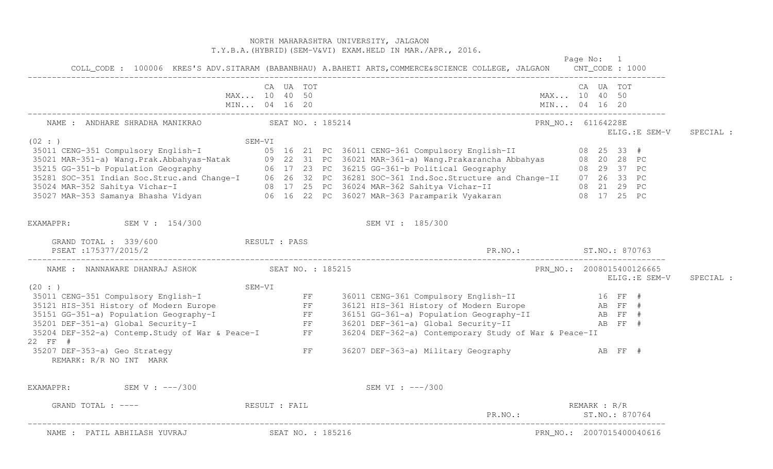|                                                                                                                                                                                                                                |               |                        |  | NORTH MAHARASHTRA UNIVERSITY, JALGAON<br>T.Y.B.A. (HYBRID) (SEM-V&VI) EXAM.HELD IN MAR./APR., 2016.                                                                                                                                  |              |                                             |           |
|--------------------------------------------------------------------------------------------------------------------------------------------------------------------------------------------------------------------------------|---------------|------------------------|--|--------------------------------------------------------------------------------------------------------------------------------------------------------------------------------------------------------------------------------------|--------------|---------------------------------------------|-----------|
|                                                                                                                                                                                                                                |               |                        |  | Page No: 1<br>COLL_CODE: 100006 KRES'S ADV.SITARAM (BABANBHAU) A.BAHETI ARTS, COMMERCE&SCIENCE COLLEGE, JALGAON CNT_CODE: 1000                                                                                                       |              |                                             |           |
|                                                                                                                                                                                                                                |               | CA UA TOT              |  |                                                                                                                                                                                                                                      | CA UA TOT    |                                             |           |
|                                                                                                                                                                                                                                | MAX 10 40 50  |                        |  | MAX 10 40 50                                                                                                                                                                                                                         |              |                                             |           |
|                                                                                                                                                                                                                                | MIN 04 16 20  |                        |  | MIN 04 16 20                                                                                                                                                                                                                         |              |                                             |           |
| NAME : ANDHARE SHRADHA MANIKRAO SEAT NO. : 185214                                                                                                                                                                              |               |                        |  | PRN_NO.: 61164228E                                                                                                                                                                                                                   |              | ELIG.:E SEM-V                               | SPECIAL : |
| (02 : )                                                                                                                                                                                                                        | SEM-VI        |                        |  |                                                                                                                                                                                                                                      |              |                                             |           |
|                                                                                                                                                                                                                                |               |                        |  |                                                                                                                                                                                                                                      |              |                                             |           |
|                                                                                                                                                                                                                                |               |                        |  |                                                                                                                                                                                                                                      |              |                                             |           |
|                                                                                                                                                                                                                                |               |                        |  |                                                                                                                                                                                                                                      |              |                                             |           |
|                                                                                                                                                                                                                                |               |                        |  |                                                                                                                                                                                                                                      |              |                                             |           |
|                                                                                                                                                                                                                                |               |                        |  |                                                                                                                                                                                                                                      |              |                                             |           |
|                                                                                                                                                                                                                                |               |                        |  | SEM-VI<br>35021 MAR-351 Compulsory English-I and SEM-VI<br>35021 MAR-351-a) Wang.Prak.Abbahyas-Natak 09 22 31 PC 36021 MAR-361-a) Wang.Prakarancha Abbahyas 08 20 28 PC<br>35215 GG-351-b Population Geography 06 17 23 PC 36215 GG- |              |                                             |           |
| EXAMAPPR: SEM V: 154/300                                                                                                                                                                                                       |               |                        |  | SEM VI : 185/300                                                                                                                                                                                                                     |              |                                             |           |
| GRAND TOTAL : 339/600 RESULT : PASS<br>PSEAT: 175377/2015/2                                                                                                                                                                    |               |                        |  | PR.NO.: ST.NO.: 870763                                                                                                                                                                                                               |              |                                             |           |
| NAME : NANNAWARE DHANRAJ ASHOK (SEAT NO. : 185215)                                                                                                                                                                             |               |                        |  |                                                                                                                                                                                                                                      |              | PRN_NO.: 2008015400126665<br>ELIG.: E SEM-V | SPECIAL : |
| (20: )                                                                                                                                                                                                                         | SEM-VI        |                        |  |                                                                                                                                                                                                                                      |              |                                             |           |
|                                                                                                                                                                                                                                |               |                        |  | 36011 CENG-361 Compulsory English-II 16 FF #                                                                                                                                                                                         |              |                                             |           |
|                                                                                                                                                                                                                                |               |                        |  | 36121 HIS-361 History of Modern Europe AB FF #                                                                                                                                                                                       |              |                                             |           |
|                                                                                                                                                                                                                                |               |                        |  | 36151 GG-361-a) Population Geography-II AB FF #<br>36201 DEF-361-a) Global Security-II AB FF #                                                                                                                                       |              |                                             |           |
|                                                                                                                                                                                                                                |               |                        |  |                                                                                                                                                                                                                                      |              |                                             |           |
| 35011 CENG-351 Compulsory English-I<br>35121 HIS-351 History of Modern Europe<br>35151 GG-351-a) Population Geography-I<br>35201 DEF-351-a) Global Security-I<br>35204 DEF-352-a) Contemp.Study of War & Peace-I FF<br>22 FF # |               |                        |  | 36204 DEF-362-a) Contemporary Study of War & Peace-II                                                                                                                                                                                |              |                                             |           |
| 35207 DEF-353-a) Geo Strategy<br>REMARK: R/R NO INT MARK                                                                                                                                                                       |               | $\mathbf{F}\mathbf{F}$ |  | 36207 DEF-363-a) Military Geography Man AB FF #                                                                                                                                                                                      |              |                                             |           |
| SEM V : ---/300<br>EXAMAPPR:                                                                                                                                                                                                   |               |                        |  | SEM VI : $---/300$                                                                                                                                                                                                                   |              |                                             |           |
| GRAND TOTAL : ----                                                                                                                                                                                                             | RESULT : FAIL |                        |  |                                                                                                                                                                                                                                      | REMARK : R/R |                                             |           |
|                                                                                                                                                                                                                                |               |                        |  | PR.NO.:                                                                                                                                                                                                                              |              | ST. NO.: 870764                             |           |
| NAME : PATIL ABHILASH YUVRAJ                                                                                                                                                                                                   |               | SEAT NO. : 185216      |  |                                                                                                                                                                                                                                      |              | PRN_NO.: 2007015400040616                   |           |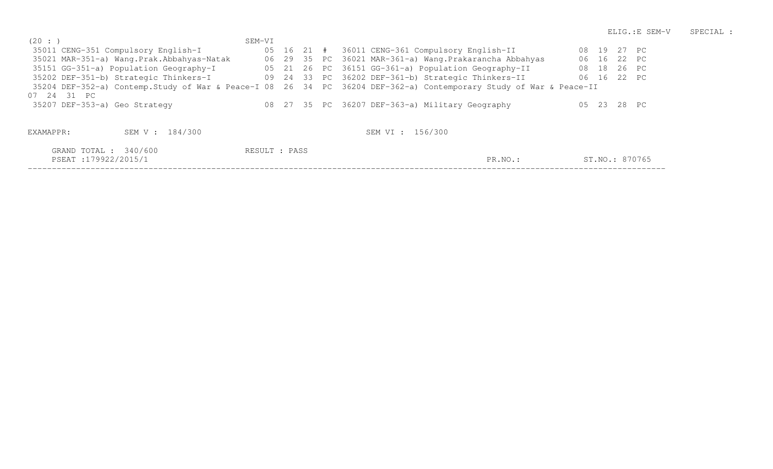| (20: )    |                                           | SEM-VI        |  |                                                                                                                   |       |             |       |                |
|-----------|-------------------------------------------|---------------|--|-------------------------------------------------------------------------------------------------------------------|-------|-------------|-------|----------------|
|           | 35011 CENG-351 Compulsory English-I       |               |  | 05 16 21 # 36011 CENG-361 Compulsory English-II                                                                   |       | 08 19 27 PC |       |                |
|           | 35021 MAR-351-a) Wang.Prak.Abbahyas-Natak |               |  | 06 29 35 PC 36021 MAR-361-a) Wang. Prakarancha Abbahyas                                                           |       | 06 16 22 PC |       |                |
|           | 35151 GG-351-a) Population Geography-I    |               |  | 05 21 26 PC 36151 GG-361-a) Population Geography-II                                                               | 08 18 |             | 26 PC |                |
|           | 35202 DEF-351-b) Strategic Thinkers-I     |               |  | 09 24 33 PC 36202 DEF-361-b) Strategic Thinkers-II                                                                |       | 06 16 22 PC |       |                |
|           |                                           |               |  | 35204 DEF-352-a) Contemp.Study of War & Peace-I 08 26 34 PC 36204 DEF-362-a) Contemporary Study of War & Peace-II |       |             |       |                |
|           | 07 24 31 PC                               |               |  |                                                                                                                   |       |             |       |                |
|           | 35207 DEF-353-a) Geo Strategy             |               |  | 08 27 35 PC 36207 DEF-363-a) Military Geography                                                                   |       | 05 23       | 28 PC |                |
|           |                                           |               |  |                                                                                                                   |       |             |       |                |
|           |                                           |               |  |                                                                                                                   |       |             |       |                |
| EXAMAPPR: | SEM V : 184/300                           |               |  | SEM VI : 156/300                                                                                                  |       |             |       |                |
|           | GRAND TOTAL : 340/600                     | RESULT : PASS |  |                                                                                                                   |       |             |       |                |
|           | PSEAT:179922/2015/1                       |               |  | PR.NO.:                                                                                                           |       |             |       | ST.NO.: 870765 |
|           |                                           |               |  |                                                                                                                   |       |             |       |                |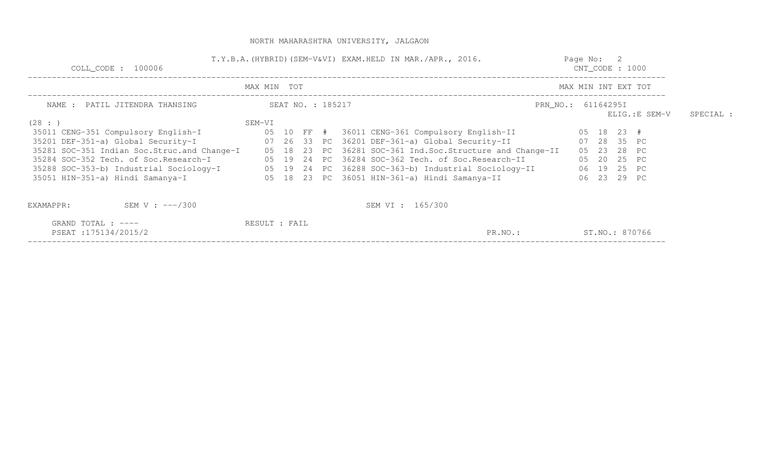| COLL CODE : 100006                            |               |  |                   | T.Y.B.A. (HYBRID) (SEM-V&VI) EXAM.HELD IN MAR./APR., 2016. | Page No: 2<br>$CNT\_CODE$ : 1000 |                     |           |
|-----------------------------------------------|---------------|--|-------------------|------------------------------------------------------------|----------------------------------|---------------------|-----------|
|                                               | MAX MIN TOT   |  |                   |                                                            |                                  | MAX MIN INT EXT TOT |           |
| NAME : PATIL JITENDRA THANSING                |               |  | SEAT NO. : 185217 |                                                            | PRN_NO.: 61164295I               | ELIG.:E SEM-V       | SPECIAL : |
| (28: )                                        | SEM-VI        |  |                   |                                                            |                                  |                     |           |
| 35011 CENG-351 Compulsory English-I           |               |  |                   | 05   10   FF   #    36011 CENG-361 Compulsory English-II   |                                  | 05 18 23 #          |           |
| 35201 DEF-351-a) Global Security-I            |               |  |                   | 07 26 33 PC 36201 DEF-361-a) Global Security-II            |                                  | 07 28 35 PC         |           |
| 35281 SOC-351 Indian Soc. Struc. and Change-I |               |  |                   | 05 18 23 PC 36281 SOC-361 Ind.Soc.Structure and Change-II  |                                  | 05 23 28 PC         |           |
| 35284 SOC-352 Tech. of Soc. Research-I        |               |  |                   | 05 19 24 PC 36284 SOC-362 Tech. of Soc.Research-II         |                                  | 05 20 25 PC         |           |
| 35288 SOC-353-b) Industrial Sociology-I       |               |  |                   | 05 19 24 PC 36288 SOC-363-b) Industrial Sociology-II       |                                  | 06 19 25 PC         |           |
| 35051 HIN-351-a) Hindi Samanya-I              |               |  |                   | 05 18 23 PC 36051 HIN-361-a) Hindi Samanya-II              |                                  | 06 23 29 PC         |           |
| SEM V : $---/300$<br>EXAMAPPR:                |               |  |                   | SEM VI : 165/300                                           |                                  |                     |           |
| GRAND TOTAL : $---$<br>PSEAT:175134/2015/2    | RESULT : FAIL |  |                   | PR.NO.:                                                    |                                  | ST.NO.: 870766      |           |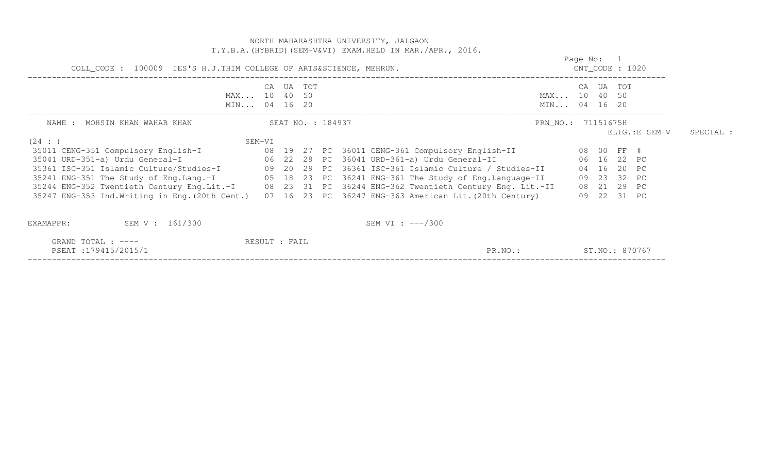|                                                                                                                                                                                                                                                                                                                                                                                                                                                                                                                                                                                                                                                |               |        | NORTH MAHARASHTRA UNIVERSITY, JALGAON<br>T.Y.B.A. (HYBRID) (SEM-V&VI) EXAM.HELD IN MAR./APR., 2016. |                              |                                  |             |               |           |
|------------------------------------------------------------------------------------------------------------------------------------------------------------------------------------------------------------------------------------------------------------------------------------------------------------------------------------------------------------------------------------------------------------------------------------------------------------------------------------------------------------------------------------------------------------------------------------------------------------------------------------------------|---------------|--------|-----------------------------------------------------------------------------------------------------|------------------------------|----------------------------------|-------------|---------------|-----------|
| COLL_CODE : 100009 IES'S H.J.THIM COLLEGE OF ARTS&SCIENCE, MEHRUN.                                                                                                                                                                                                                                                                                                                                                                                                                                                                                                                                                                             |               |        |                                                                                                     |                              | Page No: 1<br>$CNT\_CODE$ : 1020 |             |               |           |
| MAX 10 40 50<br>MIN 04 16 20                                                                                                                                                                                                                                                                                                                                                                                                                                                                                                                                                                                                                   | CA            | UA TOT |                                                                                                     | MAX 10 40 50<br>MIN 04 16 20 |                                  | CA UA TOT   |               |           |
| SEAT NO. : 184937<br>NAME : MOHSIN KHAN WAHAB KHAN<br>(24 : )                                                                                                                                                                                                                                                                                                                                                                                                                                                                                                                                                                                  | SEM-VI        |        |                                                                                                     | PRN_NO.: 71151675H           |                                  |             | ELIG.:E SEM-V | SPECIAL : |
| 35011 CENG-351 Compulsory English-I (08 19 27 PC 36011 CENG-361 Compulsory English-II (08 00 FF #<br>35041 URD-351-a) Urdu General-I (2008) 822 28 PC 36041 URD-361-a) Urdu General-II<br>35361 ISC-351 Islamic Culture/Studies-I 09 20 29 PC 36361 ISC-361 Islamic Culture / Studies-II 04 16 20 PC<br>35241 ENG-351 The Study of Eng.Lang.-I 05 18 23 PC 36241 ENG-361 The Study of Eng.Language-II 09 23 32 PC<br>35244 ENG-352 Twentieth Century Eng.Lit.-I 08 23 31 PC 36244 ENG-362 Twentieth Century Eng. Lit.-II 08 21 29 PC<br>35247 ENG-353 Ind. Writing in Eng. (20th Cent.) 07 16 23 PC 36247 ENG-363 American Lit. (20th Century) |               |        | 06 16 22 PC                                                                                         |                              |                                  | 09 22 31 PC |               |           |
| SEM V : 161/300<br>EXAMAPPR:<br>GRAND TOTAL : ----<br>PSEAT:179415/2015/1                                                                                                                                                                                                                                                                                                                                                                                                                                                                                                                                                                      | RESULT : FAIL |        | SEM VI : $---/300$<br>PR.NO.:                                                                       | ST.NO.: 870767               |                                  |             |               |           |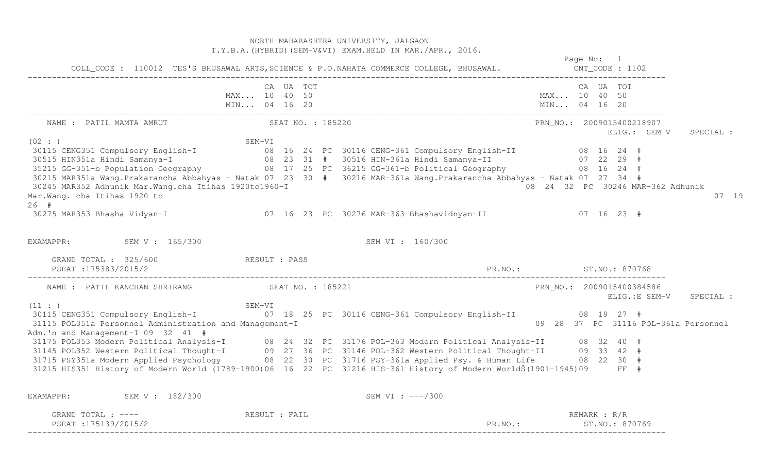NORTH MAHARASHTRA UNIVERSITY, JALGAON T.Y.B.A.(HYBRID)(SEM-V&VI) EXAM.HELD IN MAR./APR., 2016. Page No: 1 CNT CODE : 1102 COLL\_CODE : 110012 TES'S BHUSAWAL ARTS,SCIENCE & P.O.NAHATA COMMERCE COLLEGE, BHUSAWAL. CNT\_CODE : 1102 ------------------------------------------------------------------------------------------------------------------------------------ CA UA TOT CA UA TOT MAX... 10 40 50 MAX... 10 40 50 MIN... 04 16 20 MIN... 04 16 20 MIN... 04 16 20 ------------------------------------------------------------------------------------------------------------------------------------ NAME : PATIL MAMTA AMRUT SEAT NO. : 185220 PRN\_NO.: 2009015400218907 ELIG.: SEM-V SPECIAL : (02 : ) SEM-VI 30115 CENG351 Compulsory English-I 08 16 24 PC 30116 CENG-361 Compulsory English-II 08 16 24 # 30515 HIN351a Hindi Samanya-I 08 23 31 # 30516 HIN-361a Hindi Samanya-II 07 22 29 # 35215 GG-351-b Population Geography 08 17 25 PC 36215 GG-361-b Political Geography 08 16 24 # 30215 MAR351a Wang.Prakarancha Abbahyas - Natak 07 23 30 # 30216 MAR-361a Wang.Prakarancha Abbahyas - Natak 07 27 34 # 08 24 32 PC 30246 MAR-362 Adhunik 30245 MAR352 Adhunik Mar.Wang.cha Itihas 1920to1960-I Mar.Wang. cha Itihas 1920 to 07 19 26 # 30275 MAR353 Bhasha Vidyan-I 07 16 23 PC 30276 MAR-363 Bhashavidnyan-II 07 16 23 # EXAMAPPR: SEM V : 165/300 SEM VI : 160/300 GRAND TOTAL : 325/600 RESULT : PASS PSEAT :175383/2015/2 PR.NO.: ST.NO.: 870768 ------------------------------------------------------------------------------------------------------------------------------------ PRN NO.: 2009015400384586 NAME : PATIL KANCHAN SHRIRANG SEAT NO. : 185221 ELIG.:E SEM-V SPECIAL : (11 : ) SEM-VI 30115 CENG351 Compulsory English-I 07 18 25 PC 30116 CENG-361 Compulsory English-II 08 19 27 # 09 28 37 PC 31116 POL-361a Personnel 31115 POL351a Personnel Administration and Management-I Adm.'n and Management-I 09 32 41 #<br>31175 POL353 Modern Political Analysis-I 08 24 32 PC 31176 POL-363 Modern Political Analysis-II 08 32 40 #<br>31145 POL352 Western Political Thought-I 09 27 36 PC 31146 P 31215 HIS351 History of Modern World (1789-1900)06 16 22 PC 31216 HIS-361 History of Modern WorldŠ(1901-1945)09 FF # EXAMAPPR: SEM V : 182/300 SEM VI : ---/300 GRAND TOTAL :  $---$  RESULT : FAIL PSEAT :175139/2015/2 PR.NO.: ST.NO.: 870769 ------------------------------------------------------------------------------------------------------------------------------------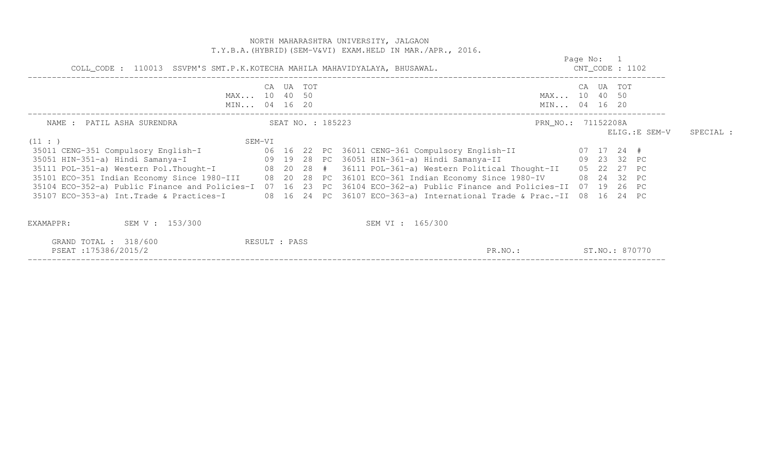|                                                                                 |               |  | NORTH MAHARASHTRA UNIVERSITY, JALGAON<br>T.Y.B.A. (HYBRID) (SEM-V&VI) EXAM.HELD IN MAR./APR., 2016.                                                                                                                                                                                                                                                                                                                                                                                          |                                  |           |                |           |
|---------------------------------------------------------------------------------|---------------|--|----------------------------------------------------------------------------------------------------------------------------------------------------------------------------------------------------------------------------------------------------------------------------------------------------------------------------------------------------------------------------------------------------------------------------------------------------------------------------------------------|----------------------------------|-----------|----------------|-----------|
| COLL_CODE : 110013 SSVPM'S SMT.P.K.KOTECHA MAHILA MAHAVIDYALAYA, BHUSAWAL.      |               |  |                                                                                                                                                                                                                                                                                                                                                                                                                                                                                              | Page No: 1<br>$CNT\_CODE$ : 1102 |           |                |           |
| MAX 10 40 50<br>MIN 04 16 20                                                    | CA UA TOT     |  | MAX 10 40 50<br>MIN 04 16 20                                                                                                                                                                                                                                                                                                                                                                                                                                                                 |                                  | CA UA TOT |                |           |
| SEAT NO. : 185223<br>NAME : PATIL ASHA SURENDRA<br>(11: )<br>SEM-VI             |               |  | PRN_NO.: 71152208A                                                                                                                                                                                                                                                                                                                                                                                                                                                                           |                                  |           | ELIG.: E SEM-V | SPECIAL : |
| 35051 HIN-351-a) Hindi Samanya-I (29 19 28 PC 36051 HIN-361-a) Hindi Samanya-II |               |  | 09 23 32 PC<br>35111 POL-351-a) Western Pol.Thought-I (88 20 28 # 36111 POL-361-a) Western Political Thought-II (85 22 27 PC<br>35101 ECO-351 Indian Economy Since 1980-III 08 20 28 PC 36101 ECO-361 Indian Economy Since 1980-IV 08 24 32 PC<br>35104 ECO-352-a) Public Finance and Policies-I 07 16 23 PC 36104 ECO-362-a) Public Finance and Policies-II 07 19 26 PC<br>35107 ECO-353-a) Int.Trade & Practices-I 08 16 24 PC 36107 ECO-363-a) International Trade & Prac.-II 08 16 24 PC |                                  |           |                |           |
| SEM V : 153/300<br>EXAMAPPR:<br>GRAND TOTAL : 318/600<br>PSEAT:175386/2015/2    | RESULT : PASS |  | SEM VI : 165/300<br>ST.NO.: 870770<br>PR.NO.:                                                                                                                                                                                                                                                                                                                                                                                                                                                |                                  |           |                |           |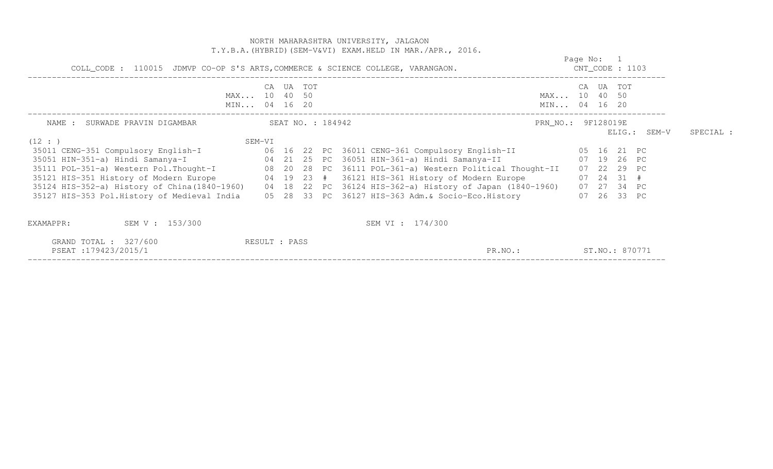| COLL_CODE : 110015 JDMVP CO-OP S'S ARTS, COMMERCE & SCIENCE COLLEGE, VARANGAON.                        |                                    |        |  | T.Y.B.A. (HYBRID) (SEM-V&VI) EXAM. HELD IN MAR. / APR., 2016. |                              | Page No: 1<br>$CNT\_CODE$ : 1103 |              |                |           |
|--------------------------------------------------------------------------------------------------------|------------------------------------|--------|--|---------------------------------------------------------------|------------------------------|----------------------------------|--------------|----------------|-----------|
|                                                                                                        | CA<br>MAX 10 40 50<br>MIN 04 16 20 | UA TOT |  |                                                               | MAX 10 40 50<br>MIN 04 16 20 |                                  | CA UA TOT    |                |           |
| NAME : SURWADE PRAVIN DIGAMBAR (SEAT NO. : 184942                                                      |                                    |        |  |                                                               | PRN_NO.: 9F128019E           |                                  |              | $ELIG.:$ SEM-V | SPECIAL : |
| (12 : )                                                                                                | SEM-VI                             |        |  |                                                               |                              |                                  |              |                |           |
| 35051 HIN-351-a) Hindi Samanya-I (24 21 25 PC 36051 HIN-361-a) Hindi Samanya-II                        |                                    |        |  |                                                               |                              | 07 19 26 PC                      |              |                |           |
| 35111 POL-351-a) Western Pol. Thought-I 08 20 28 PC 36111 POL-361-a) Western Political Thought-II      |                                    |        |  |                                                               |                              |                                  | 07 22 29 PC  |                |           |
| 35121 HIS-351 History of Modern Europe 64 19 23 # 36121 HIS-361 History of Modern Europe               |                                    |        |  |                                                               |                              |                                  | $07$ 24 31 # |                |           |
| 35124 HIS-352-a) History of China(1840-1960) 04 18 22 PC 36124 HIS-362-a) History of Japan (1840-1960) |                                    |        |  |                                                               |                              |                                  | 07 27 34 PC  |                |           |
| 35127 HIS-353 Pol.History of Medieval India 05 28 33 PC 36127 HIS-363 Adm. & Socio-Eco.History         |                                    |        |  |                                                               |                              |                                  | 07 26 33 PC  |                |           |
| SEM V : 153/300<br>EXAMAPPR:                                                                           |                                    |        |  | SEM VI : 174/300                                              |                              |                                  |              |                |           |
| GRAND TOTAL : 327/600<br>PSEAT:179423/2015/1                                                           | RESULT : PASS                      |        |  | PR.NO.:                                                       |                              |                                  |              | ST.NO.: 870771 |           |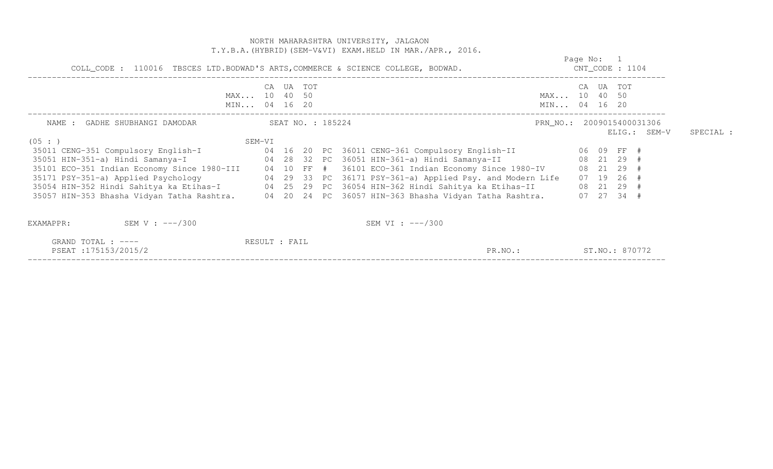|                                                                                                                                                                                                                                                          |                                    |                   |  | NORTH MAHARASHTRA UNIVERSITY, JALGAON<br>T.Y.B.A. (HYBRID) (SEM-V&VI) EXAM.HELD IN MAR./APR., 2016. |                              |            |           |                                                                      |              |           |
|----------------------------------------------------------------------------------------------------------------------------------------------------------------------------------------------------------------------------------------------------------|------------------------------------|-------------------|--|-----------------------------------------------------------------------------------------------------|------------------------------|------------|-----------|----------------------------------------------------------------------|--------------|-----------|
| COLL_CODE : 110016 TBSCES LTD.BODWAD'S ARTS, COMMERCE & SCIENCE COLLEGE, BODWAD.                                                                                                                                                                         |                                    |                   |  |                                                                                                     |                              | Page No: 1 |           | $CNT\_CODE$ : 1104                                                   |              |           |
|                                                                                                                                                                                                                                                          | CA<br>MAX 10 40 50<br>MIN 04 16 20 | UA TOT            |  |                                                                                                     | MAX 10 40 50<br>MIN 04 16 20 |            | CA UA TOT |                                                                      |              |           |
| NAME : GADHE SHUBHANGI DAMODAR                                                                                                                                                                                                                           |                                    | SEAT NO. : 185224 |  |                                                                                                     | PRN NO.: 2009015400031306    |            |           |                                                                      | ELIG.: SEM-V | SPECIAL : |
| (05 : )<br>35101 ECO-351 Indian Economy Since 1980-III 04 10 FF # 36101 ECO-361 Indian Economy Since 1980-IV<br>35171 PSY-351-a) Applied Psychology<br>35057 HIN-353 Bhasha Vidyan Tatha Rashtra. 04 20 24 PC 36057 HIN-363 Bhasha Vidyan Tatha Rashtra. | SEM-VI                             |                   |  | 04 29 33 PC 36171 PSY-361-a) Applied Psy. and Modern Life                                           |                              |            |           | 08 21 29 #<br>08 21 29 #<br>07 19 26 #<br>08 21 29 #<br>$07$ 27 34 # |              |           |
| SEM V : $---/300$<br>EXAMAPPR:                                                                                                                                                                                                                           |                                    |                   |  | SEM VI : $---/300$                                                                                  |                              |            |           |                                                                      |              |           |
| GRAND TOTAL : ----<br>PSEAT: 175153/2015/2                                                                                                                                                                                                               | RESULT : FAIL                      |                   |  | PR.NO.:                                                                                             |                              |            |           | ST.NO.: 870772                                                       |              |           |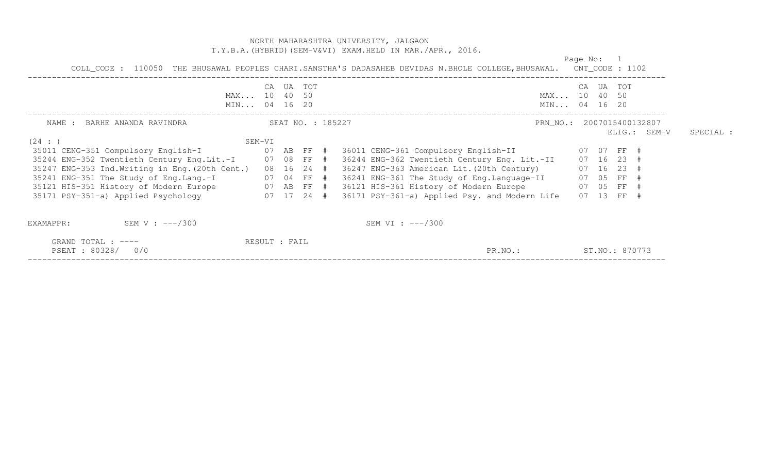# NORTH MAHARASHTRA UNIVERSITY, JALGAON T.Y.B.A.(HYBRID)(SEM-V&VI) EXAM.HELD IN MAR./APR., 2016. Page No: 1 COLL\_CODE: 110050 THE BHUSAWAL PEOPLES CHARI.SANSTHA'S DADASAHEB DEVIDAS N.BHOLE COLLEGE, BHUSAWAL. CNT\_CODE: 1102 COLL\_CODE : 110050 THE BHUSAWAL PEOPLES CHARI.SANSTHA'S DADASAHEB DEVIDAS N.BHOLE COLLEGE,BHUSAWAL. CNT\_CODE : 1102 ------------------------------------------------------------------------------------------------------------------------------------ CA UA TOT CA UA TOT MAX... 10 40 50 MAX... 10 40 50

|                                                 | MIN 04 16 20  |                   |  | MIN 04 16 20                                             |  |                |                |           |
|-------------------------------------------------|---------------|-------------------|--|----------------------------------------------------------|--|----------------|----------------|-----------|
| BARHE ANANDA RAVINDRA<br>NAME :                 |               | SEAT NO. : 185227 |  | PRN_NO.: 2007015400132807                                |  |                | $ELIG.:$ SEM-V | SPECIAL : |
| (24 : )                                         | SEM-VI        |                   |  |                                                          |  |                |                |           |
| 35011 CENG-351 Compulsory English-I             |               | 07 AB FF #        |  | 36011 CENG-361 Compulsory English-II                     |  | 07 07 FF #     |                |           |
| 35244 ENG-352 Twentieth Century Eng.Lit.-I      | 07 08 FF #    |                   |  | 36244 ENG-362 Twentieth Century Eng. Lit.-II             |  | 07 16 23 #     |                |           |
| 35247 ENG-353 Ind. Writing in Eng. (20th Cent.) |               | 08 16 24 #        |  | 36247 ENG-363 American Lit. (20th Century)               |  | $07$ 16 23 #   |                |           |
| 35241 ENG-351 The Study of Eng. Lang.-I         |               |                   |  | 07 04 FF $#$ 36241 ENG-361 The Study of Eng.Language-II  |  | 07 05 FF #     |                |           |
| 35121 HIS-351 History of Modern Europe          |               |                   |  | 07 AB FF # 36121 HIS-361 History of Modern Europe        |  | 07 05 FF #     |                |           |
| 35171 PSY-351-a) Applied Psychology             |               |                   |  | 07 17 24 # 36171 PSY-361-a) Applied Psy. and Modern Life |  | 07 13 FF #     |                |           |
| SEM V : $---/300$<br>EXAMAPPR:                  |               |                   |  | SEM VI : $---/300$                                       |  |                |                |           |
| GRAND TOTAL : $---$<br>PSEAT: 80328/ 0/0        | RESULT : FAIL |                   |  | PR.NO.:                                                  |  | ST.NO.: 870773 |                |           |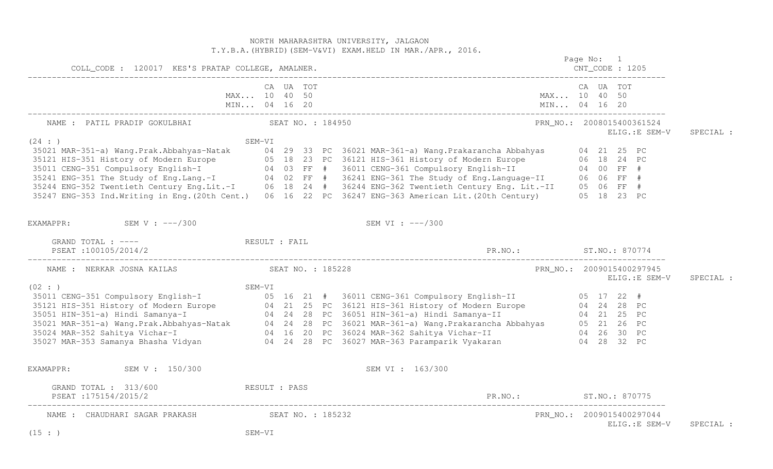# NORTH MAHARASHTRA UNIVERSITY, JALGAON T.Y.B.A.(HYBRID)(SEM-V&VI) EXAM.HELD IN MAR./APR., 2016. Page No: 1 CNT CODE : 1205 COLL\_CODE : 120017 KES'S PRATAP COLLEGE, AMALNER. CNT\_CODE : 1205 ------------------------------------------------------------------------------------------------------------------------------------ CA UA TOT CA UA TOT MAX... 10 40 50 MAX... 10 40 50 MIN... 04 16 20 MIN... 04 16 20 MIN... 04 16 20 ------------------------------------------------------------------------------------------------------------------------------------ NAME : PATIL PRADIP GOKULBHAI SEAT NO. : 184950 PRN\_NO.: 2008015400361524 ELIG.:E SEM-V SPECIAL : SEM-VI<br>
35021 MAR-351-a) Wang.Prak.Abbahyas-Natak 04 29 33 PC 36021 MAR-361-a) Wang.Prakarancha Abbahyas 04 21 25 PC<br>
35121 HIS-351 History of Modern Europe 05 18 23 PC 36121 HIS-361 History of Modern Europe 06 18 24 PC<br>
3 35247 ENG-353 Ind.Writing in Eng.(20th Cent.) 06 16 22 PC 36247 ENG-363 American Lit.(20th Century) 05 18 23 PC EXAMAPPR: SEM V : ---/300 SEM VI : ---/300 GRAND TOTAL : ----  $RESULT$  : FAIL PSEAT :100105/2014/2 PR.NO.: ST.NO.: 870774 ------------------------------------------------------------------------------------------------------------------------------------ NAME : NERKAR JOSNA KAILAS SEAT NO. : 185228 PRN\_NO.: 2009015400297945 ELIG.:E SEM-V SPECIAL : 35021 MR-351 Compulsory English-T<br>
35021 HIS-351 Compulsory English-T<br>
35021 HIS-351 History of Modern Europe<br>
35021 MAR-351-a) Hindi Samanya-T<br>
35021 MAR-351-a) Wang.Prak.Abbahyas-Natak<br>
35024 MAR-352 Sahitya Vichar-T<br>
36 EXAMAPPR: SEM V : 150/300 SEM V : 150/300 SEM VI : 163/300 GRAND TOTAL : 313/600 RESULT : PASS PSEAT :175154/2015/2 PR.NO.: ST.NO.: 870775 ------------------------------------------------------------------------------------------------------------------------------------ NAME : CHAUDHARI SAGAR PRAKASH SEAT NO. : 185232 PRANCHI PRANO.: 2009015400297044 ELIG.:E SEM-V SPECIAL :  $(15 : )$  SEM-VI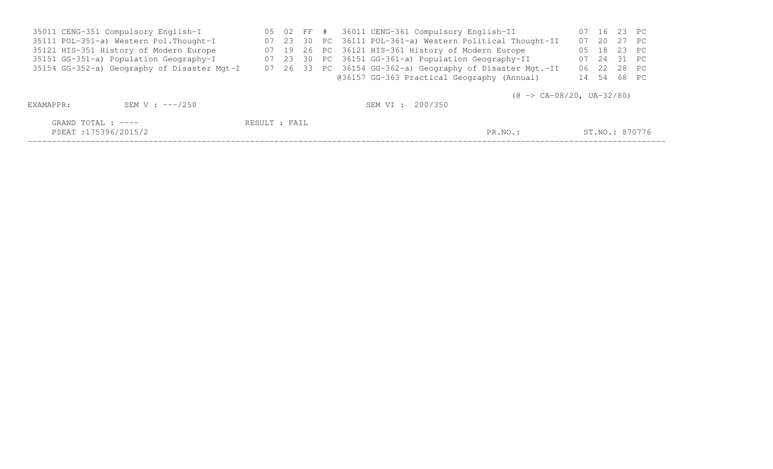| 35011 CENG-351 Compulsory English-I         |  |  | 05 02 FF # 36011 CENG-361 Compulsory English-II           | 07 16 23 PC    |  |
|---------------------------------------------|--|--|-----------------------------------------------------------|----------------|--|
| 35111 POL-351-a) Western Pol. Thought-I     |  |  | 07 23 30 PC 36111 POL-361-a) Western Political Thought-II | 07 20 27 PC    |  |
| 35121 HIS-351 History of Modern Europe      |  |  | 07 19 26 PC 36121 HIS-361 History of Modern Europe        | 05 18 23 PC    |  |
| 35151 GG-351-a) Population Geography-I      |  |  | 07 23 30 PC 36151 GG-361-a) Population Geography-II       | 07  24  31  PC |  |
| 35154 GG-352-a) Geography of Disaster Mgt-I |  |  | 07 26 33 PC 36154 GG-362-a) Geography of Disaster Mgt.-II | 06 22 28 PC    |  |
|                                             |  |  | @36157 GG-363 Practical Geography (Annual)                | 14 54 68 PC    |  |
|                                             |  |  |                                                           |                |  |

 $(\text{C} \rightarrow \text{CA}-08/20, \text{UA}-32/80)$ 

| EXAMAPPR:                                  | SEM V : ---/250 |               | SEM VI : 200/350 |         |                |
|--------------------------------------------|-----------------|---------------|------------------|---------|----------------|
| GRAND TOTAL : ----<br>PSEAT :175396/2015/2 |                 | RESULT : FAIL |                  | PR.NO.: | ST.NO.: 870776 |

PSEAT :175396/2015/2 PR.NO.: ST.NO.: 870776 ------------------------------------------------------------------------------------------------------------------------------------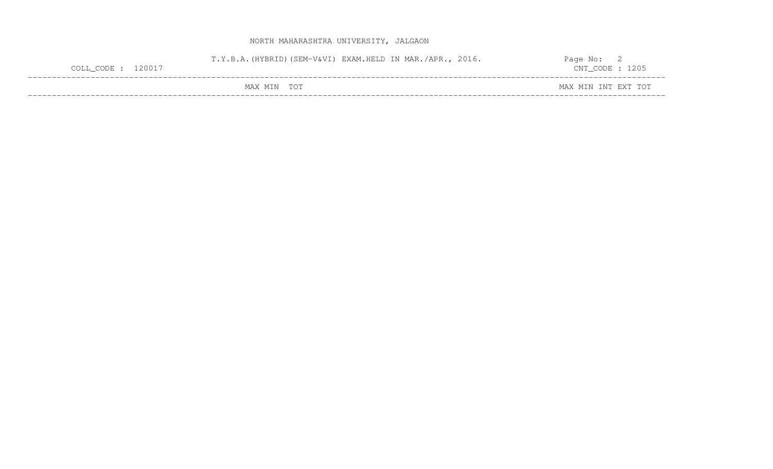| COLL_CODE : 120017 | T.Y.B.A. (HYBRID) (SEM-V&VI) EXAM.HELD IN MAR./APR., 2016. |  | Page No:<br>$CNT\_CODE$ : 1205 |  |
|--------------------|------------------------------------------------------------|--|--------------------------------|--|
|                    | MAX MIN TOT                                                |  | MAX MIN INT EXT TOT            |  |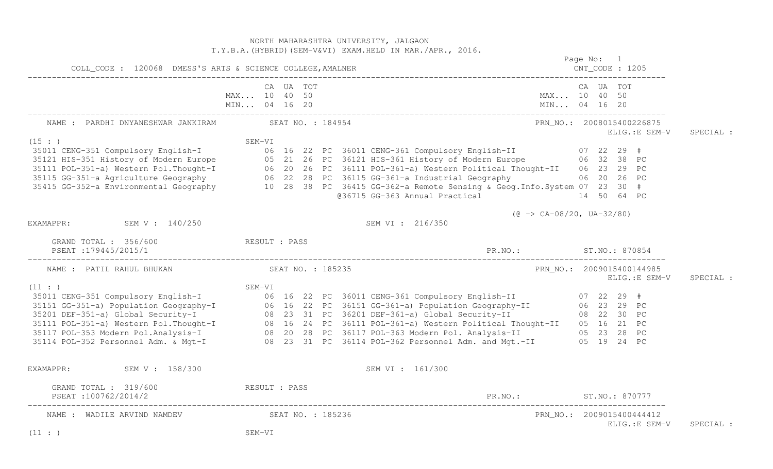NORTH MAHARASHTRA UNIVERSITY, JALGAON T.Y.B.A.(HYBRID)(SEM-V&VI) EXAM.HELD IN MAR./APR., 2016. Page No: 1 CNT CODE : 1205 COLL\_CODE : 120068 DMESS'S ARTS & SCIENCE COLLEGE,AMALNER CNT\_CODE : 1205 ------------------------------------------------------------------------------------------------------------------------------------ CA UA TOT CA UA TOT MAX... 10 40 50 MAX... 10 40 50 MIN... 04 16 20 MIN... 04 16 20 MIN... 04 16 20 ------------------------------------------------------------------------------------------------------------------------------------ NAME : PARDHI DNYANESHWAR JANKIRAM SEAT NO. : 184954 PRN NO.: 2008015400226875 ELIG.:E SEM-V SPECIAL : SEM-VI<br>
35011 CENG-351 Compulsory English-I 07 22 29 #<br>
35121 HIS-351 History of Modern Europe 06 32 38 PC<br>
35111 POL-351-a) Western Pol.Thought-I 06 20 26 PC 36111 POL-361-a) Western Political Thought-II 06 23 29 PC<br>
3511 @36715 GG-363 Annual Practical 14 50 64 PC  $(0 \rightarrow CA-08/20, UA-32/80)$ EXAMAPPR: SEM V : 140/250 SEM VI : 216/350 GRAND TOTAL : 356/600 RESULT : PASS PSEAT :179445/2015/1 PR.NO.: ST.NO.: 870854 ------------------------------------------------------------------------------------------------------------------------------------ NAME : PATIL RAHUL BHUKAN SEAT NO. : 185235 PRN\_NO.: 2009015400144985 ELIG.:E SEM-V SPECIAL : SEM-VI<br>
35111 CENG-351 Compulsory English-I<br>
35151 GG-351-a) Population Geography-I<br>
35201 DEF-351-a) Global Security-I<br>
35111 POL-351-a) Global Security-I<br>
35111 POL-353 Modern Pol.Thought-I<br>
35117 POL-353 Modern Pol.Anal EXAMAPPR: SEM V : 158/300 SEM V : 158/300 GRAND TOTAL : 319/600 RESULT : PASS PSEAT :100762/2014/2 PR.NO.: ST.NO.: 870777 ------------------------------------------------------------------------------------------------------------------------------------ NAME : WADILE ARVIND NAMDEV SEAT NO. : 185236 PRN NO.: 2009015400444412 ELIG.:E SEM-V SPECIAL :  $(11 : )$  SEM-VI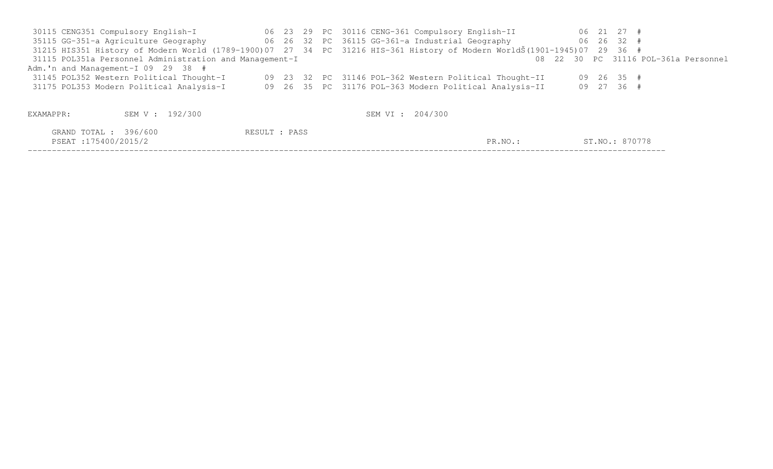30115 CENG351 Compulsory English-I 06 23 29 PC 30116 CENG-361 Compulsory English-II 06 21 27 # 35115 GG-351-a Agriculture Geography 06 26 32 PC 36115 GG-361-a Industrial Geography 06 26 32 # 31215 HIS351 History of Modern World (1789-1900)07 27 34 PC 31216 HIS-361 History of Modern WorldŠ(1901-1945)07 29 36 # 08 22 30 PC 31116 POL-361a Personnel 31115 POL351a Personnel Administration and Management-I Adm.'n and Management-I 09 29 38 # 31145 POL352 Western Political Thought-I 09 23 32 PC 31146 POL-362 Western Political Thought-II 09 26 35 # 31175 POL353 Modern Political Analysis-I 09 26 35 PC 31176 POL-363 Modern Political Analysis-II 09 27 36 # EXAMAPPR: SEM V : 192/300 SEM V : 192/300 GRAND TOTAL : 396/600 RESULT : PASS PSEAT :175400/2015/2 PR.NO.: ST.NO.: 870778 ------------------------------------------------------------------------------------------------------------------------------------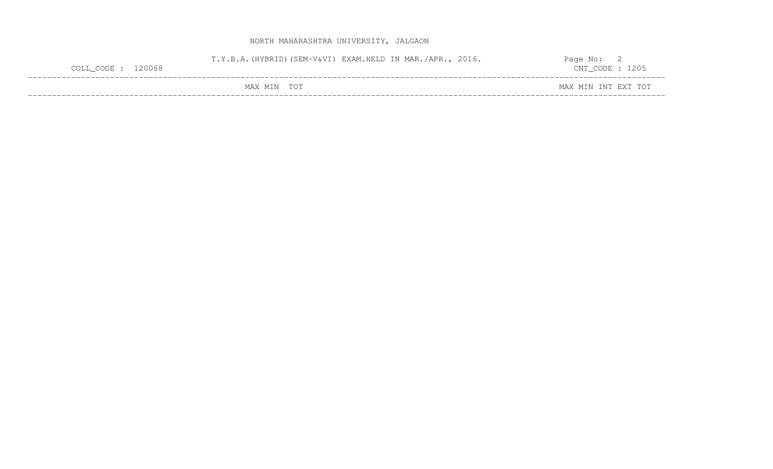| $COLL\_CODE: 120068$ |             | T.Y.B.A. (HYBRID) (SEM-V&VI) EXAM.HELD IN MAR./APR., 2016. | Page No: L<br>$CNT\_CODE$ : 1205 |
|----------------------|-------------|------------------------------------------------------------|----------------------------------|
|                      | MAX MIN TOT |                                                            | MAX MIN INT EXT TOT              |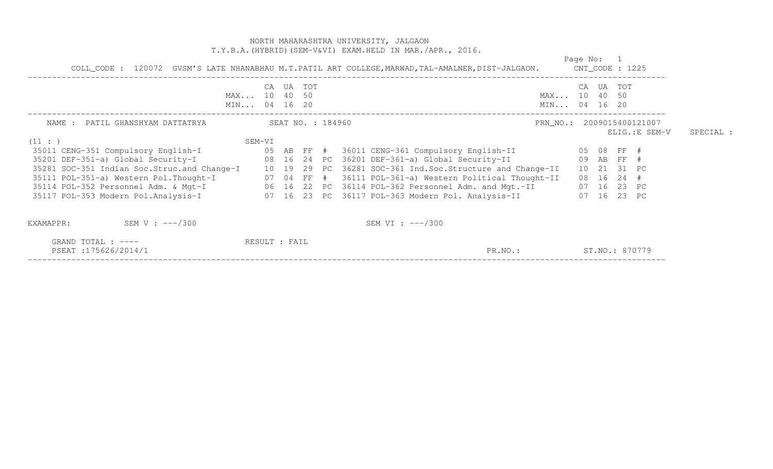|                                                                             | NORTH MAHARASHTRA UNIVERSITY, JALGAON<br>T.Y.B.A. (HYBRID) (SEM-V&VI) EXAM.HELD IN MAR./APR., 2016.<br>COLL_CODE: 120072 GVSM'S LATE NHANABHAU M.T.PATIL ART COLLEGE, MARWAD, TAL-AMALNER, DIST-JALGAON. CNT_CODE: 1225                                                                                                                                                                                                             | Page No: 1                                  |           |
|-----------------------------------------------------------------------------|-------------------------------------------------------------------------------------------------------------------------------------------------------------------------------------------------------------------------------------------------------------------------------------------------------------------------------------------------------------------------------------------------------------------------------------|---------------------------------------------|-----------|
|                                                                             | CA UA TOT<br>MAX 10 40 50<br>MIN 04 16 20                                                                                                                                                                                                                                                                                                                                                                                           | CA UA TOT<br>MAX 10 40 50<br>MIN 04 16 20   |           |
| (11: )                                                                      | SEM-VI                                                                                                                                                                                                                                                                                                                                                                                                                              | PRN_NO.: 2009015400121007<br>ELIG.: E SEM-V | SPECIAL : |
|                                                                             | 35281 SOC-351 Indian Soc.Struc.and Change-I 10 19 29 PC 36281 SOC-361 Ind.Soc.Structure and Change-II 10 21 31 PC<br>35111 POL-351-a) Western Pol.Thought-I (17 04 FF # 36111 POL-361-a) Western Political Thought-II (18 16 24 #<br>35114 POL-352 Personnel Adm. & Mgt-I (16 22 PC 36114 POL-362 Personnel Adm. and Mgt.-II (17 16 23 PC<br>35117 POL-353 Modern Pol.Analysis-I (07 16 23 PC 36117 POL-363 Modern Pol. Analysis-II | 07 16 23 PC                                 |           |
| SEM V : $---/300$<br>EXAMAPPR:<br>GRAND TOTAL : ----<br>PSEAT:175626/2014/1 | SEM VI : $---/300$<br>RESULT : FAIL<br>PR.NO.:                                                                                                                                                                                                                                                                                                                                                                                      | ST.NO.: 870779                              |           |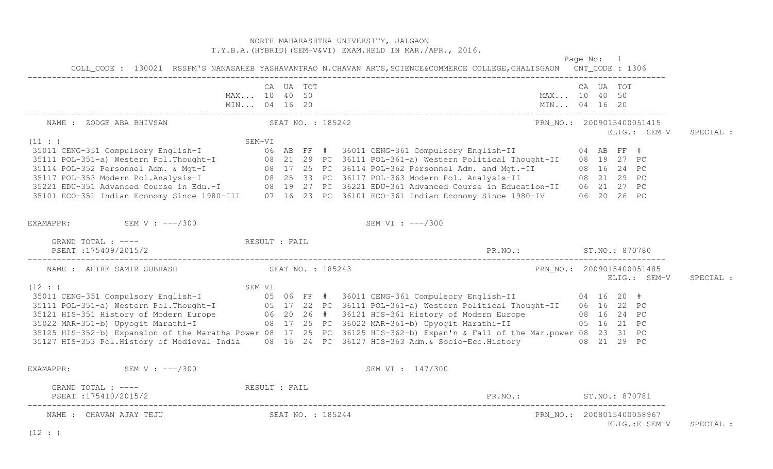# NORTH MAHARASHTRA UNIVERSITY, JALGAON T.Y.B.A.(HYBRID)(SEM-V&VI) EXAM.HELD IN MAR./APR., 2016. Page No: 1 COLL\_CODE : 130021 RSSPM'S NANASAHEB YASHAVANTRAO N.CHAVAN ARTS,SCIENCE&COMMERCE COLLEGE,CHALISGAON CNT\_CODE : 1306 ------------------------------------------------------------------------------------------------------------------------------------ CA UA TOT CA UA TOT MAX... 10 40 50 MAX... 10 40 50 MIN... 04 16 20 MIN... 04 16 20 MIN... 04 16 20 ------------------------------------------------------------------------------------------------------------------------------------ NAME : ZODGE ABA BHIVSAN SEAT NO. : 185242 PRN\_NO.: 2009015400051415 ELIG.: SEM-V SPECIAL : SEM-VI<br>
35011 CENG-351 Compulsory English-I<br>
35011 POL-351-a) Western Pol.Thought-I<br>
35114 POL-352 Personnel Adm. & Mgt-I<br>
35114 POL-352 Personnel Adm. & Mgt-I<br>
35121 POL-352 Personnel Adm. & Mgt-I<br>
35121 EDU-353 Modern Po EXAMAPPR: SEM V : ---/300 SEM VI : ---/300 GRAND TOTAL : ----  $RESULT$  : FAIL PSEAT :175409/2015/2 PR.NO.: ST.NO.: 870780 ------------------------------------------------------------------------------------------------------------------------------------ NAME : AHIRE SAMIR SUBHASH SEAT NO. : 185243 PRN NO.: 2009015400051485 ELIG.: SEM-V SPECIAL : SEM-VI<br>
35011 CENG-351 Compulsory English-I<br>
35111 POL-351-a) Western Pol.Thought-I<br>
35121 HIS-351 History of Modern Europe<br>
3522 MAR-351-b) Upyogit Marathi-I<br>
35022 MAR-351-b) Upyogit Marathi-I<br>
35022 MAR-351-b) Upyogit M 35125 HIS-352-b) Expansion of the Maratha Power 08 17 25 PC 36125 HIS-362-b) Expan'n & Fall of the Mar.power 08 23 31 PC 35127 HIS-353 Pol.History of Medieval India 08 16 24 PC 36127 HIS-363 Adm.& Socio-Eco.History 08 21 29 PC EXAMAPPR: SEM V : ---/300 SEM V : ---/300 GRAND TOTAL : ---- <br>RESULT : FAIL PSEAT :175410/2015/2 PR.NO.: ST.NO.: 870781 ------------------------------------------------------------------------------------------------------------------------------------ NAME : CHAVAN AJAY TEJU  $SEAT NO.$ : 185244 PRN NO.: 2008015400058967 ELIG.:E SEM-V SPECIAL :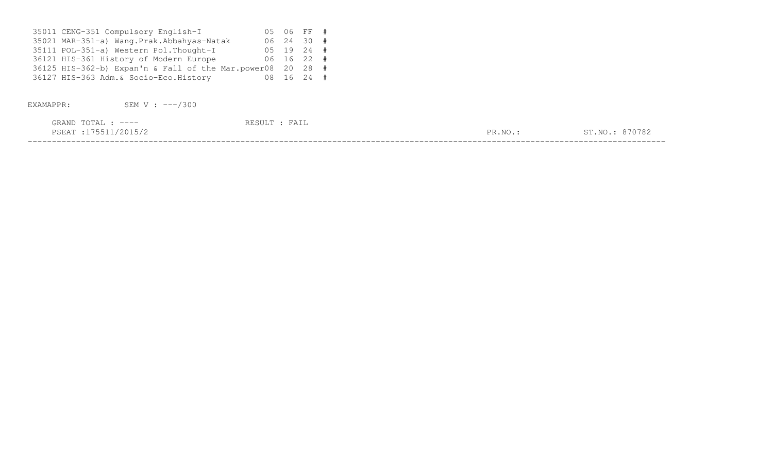| 35011 CENG-351 Compulsory English-I                        |  | 05 06 FF # |  |
|------------------------------------------------------------|--|------------|--|
| 35021 MAR-351-a) Wang.Prak.Abbahyas-Natak                  |  | 06 24 30 # |  |
| 35111 POL-351-a) Western Pol. Thought-I                    |  | 05 19 24 # |  |
| 36121 HIS-361 History of Modern Europe                     |  | 06 16 22 # |  |
| 36125 HIS-362-b) Expan'n & Fall of the Mar.power08 20 28 # |  |            |  |
| 36127 HIS-363 Adm. & Socio-Eco. History                    |  | 08 16 24 # |  |

EXAMAPPR: SEM V : ---/300

| GRAND<br>$. \cap$ m $\pi$ $\tau$<br>————<br>$\Delta$                                                                             |               |                                     |
|----------------------------------------------------------------------------------------------------------------------------------|---------------|-------------------------------------|
| ∩∩⊤<br>. ಎ.''<br>the contract of the contract of the contract of the contract of the contract of the contract of the contract of | DR<br>. INU - | $\sim$ $-$<br>NTC<br>' <i>'</i> 0 4 |
|                                                                                                                                  |               |                                     |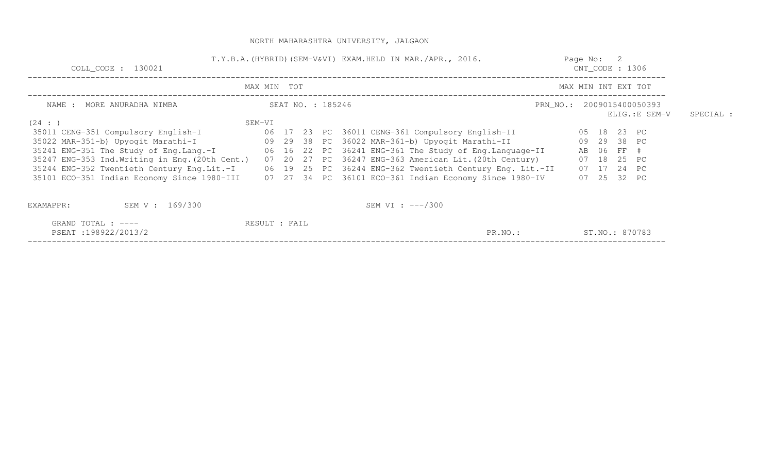| COLL CODE : 130021                                                                                                                            |               |                   |  | T.Y.B.A. (HYBRID) (SEM-V&VI) EXAM.HELD IN MAR./APR., 2016.                                                                                                                                                                                                                                                                                                                                                                                                            |                           | Page No: 2<br>$CNT\_CODE$ : 1306 |                     |                                                                         |  |
|-----------------------------------------------------------------------------------------------------------------------------------------------|---------------|-------------------|--|-----------------------------------------------------------------------------------------------------------------------------------------------------------------------------------------------------------------------------------------------------------------------------------------------------------------------------------------------------------------------------------------------------------------------------------------------------------------------|---------------------------|----------------------------------|---------------------|-------------------------------------------------------------------------|--|
|                                                                                                                                               | MAX MIN TOT   |                   |  |                                                                                                                                                                                                                                                                                                                                                                                                                                                                       |                           |                                  | MAX MIN INT EXT TOT |                                                                         |  |
| NAME : MORE ANURADHA NIMBA                                                                                                                    |               | SEAT NO. : 185246 |  |                                                                                                                                                                                                                                                                                                                                                                                                                                                                       | PRN NO.: 2009015400050393 |                                  | ELIG.:E SEM-V       | SPECIAL :                                                               |  |
| (24 : )<br>35011 CENG-351 Compulsory English-I<br>35022 MAR-351-b) Upyogit Marathi-I<br>35247 ENG-353 Ind. Writing in Eng. (20th Cent.) 07 20 | SEM-VI        |                   |  | 06 17 23 PC 36011 CENG-361 Compulsory English-II<br>09 29 38 PC 36022 MAR-361-b) Upyogit Marathi-II<br>35241 ENG-351 The Study of Eng.Lang.-I 06 16 22 PC 36241 ENG-361 The Study of Eng.Language-II<br>27 PC 36247 ENG-363 American Lit. (20th Century)<br>35244 ENG-352 Twentieth Century Eng.Lit.-I 06 19 25 PC 36244 ENG-362 Twentieth Century Eng. Lit.-II<br>35101 ECO-351 Indian Economy Since 1980-III 07 27 34 PC 36101 ECO-361 Indian Economy Since 1980-IV |                           | AB 06 FF #                       |                     | 05 18 23 PC<br>09 29 38 PC<br>07 18 25 PC<br>07 17 24 PC<br>07 25 32 PC |  |
| SEM V : 169/300<br>EXAMAPPR:                                                                                                                  |               |                   |  | SEM VI : $---/300$                                                                                                                                                                                                                                                                                                                                                                                                                                                    |                           |                                  |                     |                                                                         |  |
| GRAND TOTAL : ----<br>PSEAT:198922/2013/2                                                                                                     | RESULT : FAIL |                   |  | PR.NO.:                                                                                                                                                                                                                                                                                                                                                                                                                                                               |                           |                                  |                     | ST.NO.: 870783                                                          |  |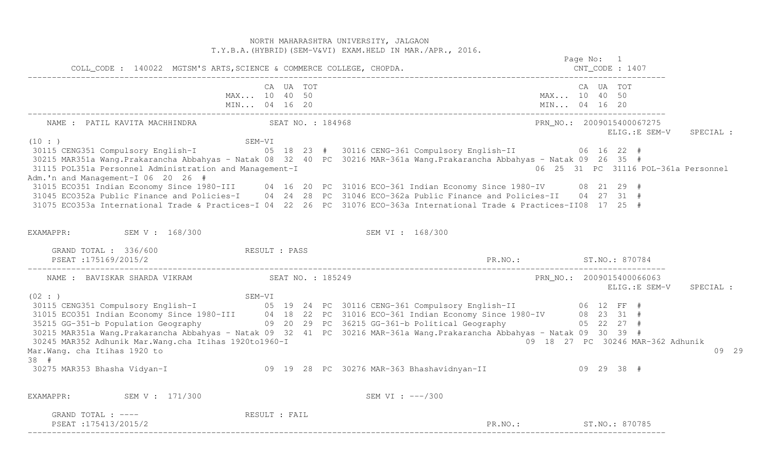NORTH MAHARASHTRA UNIVERSITY, JALGAON T.Y.B.A.(HYBRID)(SEM-V&VI) EXAM.HELD IN MAR./APR., 2016. Page No: 1 COLL\_CODE : 140022 MGTSM'S ARTS,SCIENCE & COMMERCE COLLEGE, CHOPDA. CNT\_CODE : 1407 ------------------------------------------------------------------------------------------------------------------------------------ CA UA TOT CA UA TOT MAX... 10 40 50 MAX... 10 40 50 MIN... 04 16 20 MIN... 04 16 20 MIN... 04 16 20 ------------------------------------------------------------------------------------------------------------------------------------ NAME : PATIL KAVITA MACHHINDRA SEAT NO. : 184968 PRN\_NO.: 2009015400067275 ELIG.:E SEM-V SPECIAL : (10 : ) SEM-VI 30115 CENG351 Compulsory English-I 05 18 23 # 30116 CENG-361 Compulsory English-II 06 16 22 # 30215 MAR351a Wang.Prakarancha Abbahyas - Natak 08 32 40 PC 30216 MAR-361a Wang.Prakarancha Abbahyas - Natak 09 26 35 # 06 25 31 PC 31116 POL-361a Personnel 31115 POL351a Personnel Administration and Management-I Adm.'n and Management-I 06 20 26 # 31015 ECO351 Indian Economy Since 1980-III 04 16 20 PC 31016 ECO-361 Indian Economy Since 1980-IV 08 21 29 # 31045 ECO352a Public Finance and Policies-I 04 24 28 PC 31046 ECO-362a Public Finance and Policies-II 04 27 31 # 31075 ECO353a International Trade & Practices-I 04 22 26 PC 31076 ECO-363a International Trade & Practices-II08 17 25 # EXAMAPPR: SEM V : 168/300 SEM VI : 168/300 GRAND TOTAL : 336/600 RESULT : PASS PSEAT :175169/2015/2 PR.NO.: ST.NO.: 870784 ------------------------------------------------------------------------------------------------------------------------------------ PRN NO.: 2009015400066063 NAME : BAVISKAR SHARDA VIKRAM SEAT NO. : 185249 ELIG.:E SEM-V SPECIAL : (02 : ) SEM-VI 30115 CENG351 Compulsory English-I 05 19 24 PC 30116 CENG-361 Compulsory English-II 06 12 FF # 31015 ECO351 Indian Economy Since 1980-III 04 18 22 PC 31016 ECO-361 Indian Economy Since 1980-IV 08 23 31 # 35215 GG-351-b Population Geography 09 20 29 PC 36215 GG-361-b Political Geography 05 22 27 # 30215 MAR351a Wang.Prakarancha Abbahyas - Natak 09 32 41 PC 30216 MAR-361a Wang.Prakarancha Abbahyas - Natak 09 30 39 # 09 18 27 PC 30246 MAR-362 Adhunik 30245 MAR352 Adhunik Mar.Wang.cha Itihas 1920to1960-I Mar.Wang. cha Itihas 1920 to 09 29 38 # 30275 MAR353 Bhasha Vidyan-I 09 19 28 PC 30276 MAR-363 Bhashavidnyan-II 09 29 38 # EXAMAPPR: SEM V : 171/300 SEM VI : ---/300 GRAND TOTAL : ---- RESULT : FAIL PSEAT :175413/2015/2 ST.NO.: ST.NO.: 870785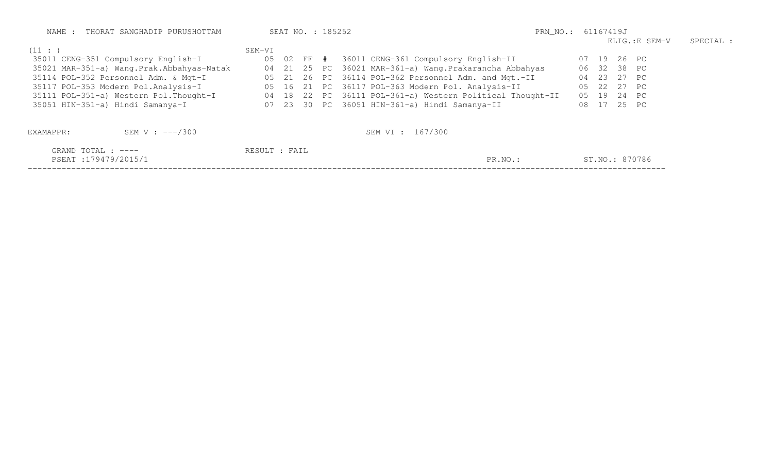| NAME : THORAT SANGHADIP PURUSHOTTAM       | SEAT NO. : 185252 | PRN_NO.: 61167419J                                        |                |           |  |  |
|-------------------------------------------|-------------------|-----------------------------------------------------------|----------------|-----------|--|--|
|                                           |                   |                                                           | ELIG.:E SEM-V  | SPECIAL : |  |  |
| (11: )                                    | SEM-VI            |                                                           |                |           |  |  |
| 35011 CENG-351 Compulsory English-I       |                   | 05 02 FF # 36011 CENG-361 Compulsory English-II           | 07 19 26 PC    |           |  |  |
| 35021 MAR-351-a) Wang.Prak.Abbahyas-Natak |                   | 04 21 25 PC 36021 MAR-361-a) Wang. Prakarancha Abbahyas   | 06 32 38 PC    |           |  |  |
| 35114 POL-352 Personnel Adm. & Mgt-I      |                   | 05 21 26 PC 36114 POL-362 Personnel Adm. and Mgt.-II      | 04 23 27 PC    |           |  |  |
| 35117 POL-353 Modern Pol.Analysis-I       |                   | 05 16 21 PC 36117 POL-363 Modern Pol. Analysis-II         | 22 27 PC<br>05 |           |  |  |
| 35111 POL-351-a) Western Pol.Thought-I    |                   | 04 18 22 PC 36111 POL-361-a) Western Political Thought-II | 05 19 24 PC    |           |  |  |
| 35051 HIN-351-a) Hindi Samanya-I          |                   | 07 23 30 PC 36051 HIN-361-a) Hindi Samanya-II             | 08 17 25 PC    |           |  |  |
| SEM V : $---/300$<br>EXAMAPPR:            |                   | SEM VI : 167/300                                          |                |           |  |  |
| GRAND TOTAL : ----<br>PSEAT:179479/2015/1 | RESULT : FAIL     | PR.NO.:                                                   | ST.NO.: 870786 |           |  |  |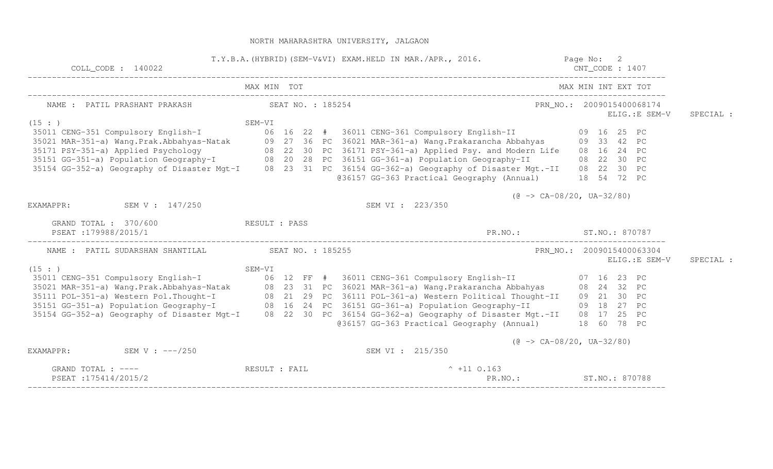| $COLL$ <sup><math> CODE : 140022</math></sup>              | T.Y.B.A. (HYBRID) (SEM-V&VI) EXAM.HELD IN MAR./APR., 2016. Page No: 2                                             | $CNT\_CODE$ : 1407                                       |
|------------------------------------------------------------|-------------------------------------------------------------------------------------------------------------------|----------------------------------------------------------|
|                                                            | MAX MIN TOT                                                                                                       | MAX MIN INT EXT TOT                                      |
| NAME : PATIL PRASHANT PRAKASH SEAT NO. : 185254            |                                                                                                                   | PRN_NO.: 2009015400068174<br>ELIG.: E SEM-V<br>SPECIAL : |
| (15: )                                                     |                                                                                                                   |                                                          |
|                                                            |                                                                                                                   |                                                          |
|                                                            |                                                                                                                   |                                                          |
|                                                            | 35171 PSY-351-a) Applied Psychology 68 22 30 PC 36171 PSY-361-a) Applied Psy. and Modern Life 68 16 24 PC         |                                                          |
|                                                            | 35151 GG-351-a) Population Geography-I (8 20 28 PC 36151 GG-361-a) Population Geography-II (8 22 30 PC            |                                                          |
|                                                            | 35154 GG-352-a) Geography of Disaster Mgt-I 08 23 31 PC 36154 GG-362-a) Geography of Disaster Mgt.-II 08 22 30 PC |                                                          |
|                                                            | @36157 GG-363 Practical Geography (Annual) 18 54 72 PC                                                            |                                                          |
|                                                            |                                                                                                                   | $(\theta \rightarrow CA-08/20, UA-32/80)$                |
| EXAMAPPR: SEM V : 147/250                                  | SEM VI : 223/350                                                                                                  |                                                          |
| GRAND TOTAL : 370/600 RESULT : PASS<br>PSEAT:179988/2015/1 |                                                                                                                   | PR.NO.: ST.NO.: 870787                                   |
|                                                            |                                                                                                                   |                                                          |
| NAME : PATIL SUDARSHAN SHANTILAL SEAT NO. : 185255         |                                                                                                                   | PRN_NO.: 2009015400063304                                |
| (15 : )                                                    |                                                                                                                   | ELIG.: E SEM-V<br>SPECIAL :                              |
|                                                            |                                                                                                                   |                                                          |
|                                                            |                                                                                                                   |                                                          |
|                                                            | 35111 POL-351-a) Western Pol. Thought-I (88 21 29 PC 36111 POL-361-a) Western Political Thought-II (89 21 30 PC   |                                                          |
|                                                            | 35151 GG-351-a) Population Geography-I (8 16 24 PC 36151 GG-361-a) Population Geography-II (8 18 27 PC            |                                                          |
|                                                            | 35154 GG-352-a) Geography of Disaster Mgt-I 08 22 30 PC 36154 GG-362-a) Geography of Disaster Mgt.-II 08 17 25 PC |                                                          |
|                                                            | @36157 GG-363 Practical Geography (Annual) 18 60 78 PC                                                            |                                                          |
|                                                            |                                                                                                                   | $(\theta \rightarrow CA-08/20, UA-32/80)$                |
| SEM V : $---/250$<br>EXAMAPPR:                             | SEM VI : 215/350                                                                                                  |                                                          |
| GRAND TOTAL : ----                                         | RESULT : FAIL<br>$^{\circ}$ +11 0.163                                                                             |                                                          |
| PSEAT:175414/2015/2                                        |                                                                                                                   | PR.NO.: ST.NO.: 870788                                   |

PSEAT :175414/2015/2 PR.NO.: ST.NO.: 870788 ------------------------------------------------------------------------------------------------------------------------------------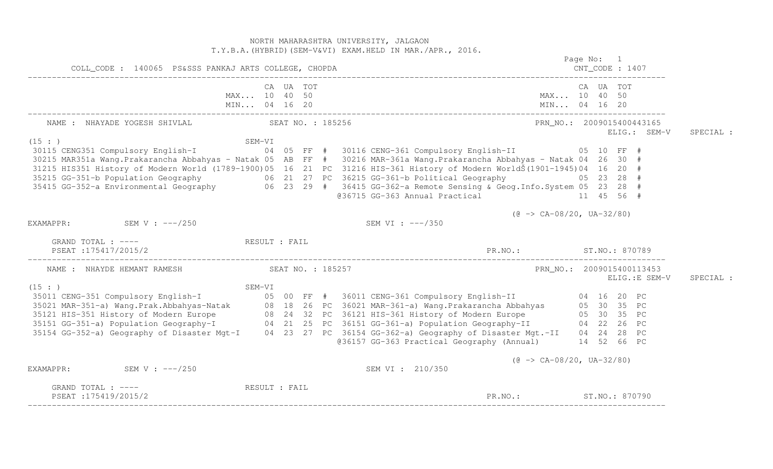NORTH MAHARASHTRA UNIVERSITY, JALGAON T.Y.B.A.(HYBRID)(SEM-V&VI) EXAM.HELD IN MAR./APR., 2016. Page No: 1 CNT CODE : 1407 COLL\_CODE : 140065 PS&SSS PANKAJ ARTS COLLEGE, CHOPDA CNT\_CODE : 1407 ------------------------------------------------------------------------------------------------------------------------------------ CA UA TOT CA UA TOT MAX... 10 40 50 MAX... 10 40 50 MIN... 04 16 20 MIN... 04 16 20 MIN... 04 16 20 ------------------------------------------------------------------------------------------------------------------------------------ NAME : NHAYADE YOGESH SHIVLAL SEAT NO. : 185256 PRN NO.: 2009015400443165 ELIG.: SEM-V SPECIAL :  $(15 : )$  SEM-VI 30115 CENG351 Compulsory English-I 04 05 FF # 30116 CENG-361 Compulsory English-II 05 10 FF # 30215 MAR351a Wang.Prakarancha Abbahyas - Natak 05 AB FF # 30216 MAR-361a Wang.Prakarancha Abbahyas - Natak 04 26 30 # 31215 HIS351 History of Modern World (1789-1900)05 16 21 PC 31216 HIS-361 History of Modern WorldŠ(1901-1945)04 16 20 # 35215 GG-351-b Population Geography 06 21 27 PC 36215 GG-361-b Political Geography 05 23 28 # 35415 GG-352-a Environmental Geography 06 23 29 # 36415 GG-362-a Remote Sensing & Geog.Info.System 05 23 28 # 036715 GG-363 Annual Practical 11 45 56 #  $(0 \rightarrow CA-08/20, UA-32/80)$ EXAMAPPR: SEM V : ---/250 SEM V : ---/250 SEM VI : ---/350 GRAND TOTAL : ----  $RESULT$  : FAIL PSEAT :175417/2015/2 PR.NO.: ST.NO.: 870789 ------------------------------------------------------------------------------------------------------------------------------------ NAME : NHAYDE HEMANT RAMESH SEAT NO. : 185257 PRAME : PRN NO. : 2009015400113453 ELIG.:E SEM-V SPECIAL : SEM-VI<br>
35011 CENG-351 Compulsory English-I 05 00 FF # 36011 CENG-361 Compulsory English-II 04 16 20 PC<br>
35021 MAR-351-a) Wang.Prak.Abbahyas-Natak 08 18 26 PC 36021 MAR-361-a) Wang.Prakarancha Abbahyas 05 30 35 PC<br>
35121 H @36157 GG-363 Practical Geography (Annual) 14 52 66 PC  $(\theta \rightarrow CA-08/20, UA-32/80)$ EXAMAPPR: SEM V : ---/250 SEM V : ---/250 SEM VI : 210/350 GRAND TOTAL : ---- RESULT : FAIL PSEAT :175419/2015/2 ST.NO.: ST.NO.: 870790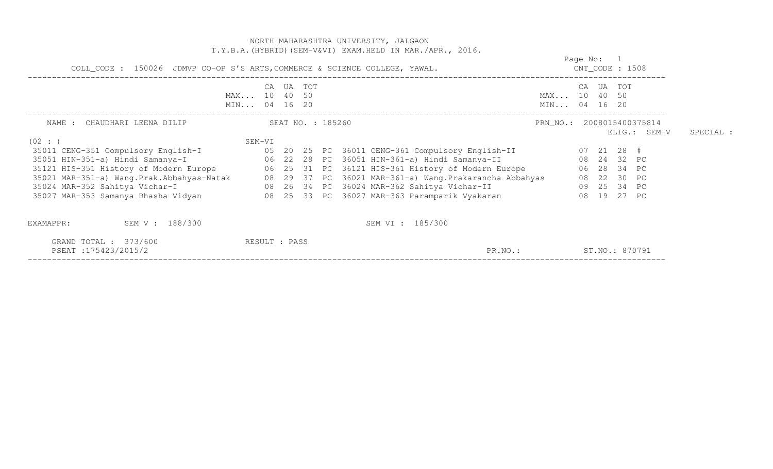| GRAND TOTAL : 373/600<br>PSEAT:175423/2015/2                                                                                                                                                             | RESULT : PASS |           |  |  | PR.NO.:                                                    |                           |                                  |  | ST.NO.: 870791 |              |           |
|----------------------------------------------------------------------------------------------------------------------------------------------------------------------------------------------------------|---------------|-----------|--|--|------------------------------------------------------------|---------------------------|----------------------------------|--|----------------|--------------|-----------|
| SEM V : 188/300<br>EXAMAPPR:                                                                                                                                                                             |               |           |  |  | SEM VI : 185/300                                           |                           |                                  |  |                |              |           |
| 35027 MAR-353 Samanya Bhasha Vidyan                 08  25  33  PC  36027 MAR-363 Paramparik Vyakaran                                                                                                    |               |           |  |  |                                                            |                           |                                  |  | 08 19 27 PC    |              |           |
|                                                                                                                                                                                                          |               |           |  |  |                                                            |                           |                                  |  | 09  25  34  PC |              |           |
| 35021 MAR-351-a) Wang.Prak.Abbahyas-Natak 08 29 37 PC 36021 MAR-361-a) Wang.Prakarancha Abbahyas<br>35024 MAR-352 Sahitya Vichar-I                           08 26 34 PC 36024 MAR-362 Sahitya Vichar-II |               |           |  |  |                                                            |                           |                                  |  | 08  22  30  PC |              |           |
| 35121 HIS-351 History of Modern Europe 6 06 25 31 PC 36121 HIS-361 History of Modern Europe 6 06 28 34 PC                                                                                                |               |           |  |  |                                                            |                           |                                  |  |                |              |           |
|                                                                                                                                                                                                          |               |           |  |  |                                                            | 08 24 32 PC               |                                  |  |                |              |           |
| (02 : )                                                                                                                                                                                                  | SEM-VI        |           |  |  |                                                            |                           |                                  |  |                |              |           |
|                                                                                                                                                                                                          |               |           |  |  |                                                            |                           |                                  |  |                | ELIG.: SEM-V | SPECIAL : |
| SEAT NO. : 185260<br>NAME : CHAUDHARI LEENA DILIP                                                                                                                                                        |               |           |  |  |                                                            | PRN_NO.: 2008015400375814 |                                  |  |                |              |           |
|                                                                                                                                                                                                          | MIN 04 16 20  |           |  |  |                                                            | MIN 04 16 20              |                                  |  |                |              |           |
|                                                                                                                                                                                                          | MAX 10 40 50  |           |  |  |                                                            | MAX 10 40 50              |                                  |  |                |              |           |
|                                                                                                                                                                                                          |               | CA UA TOT |  |  |                                                            |                           |                                  |  | CA UA TOT      |              |           |
| COLL_CODE : 150026 JDMVP CO-OP S'S ARTS, COMMERCE & SCIENCE COLLEGE, YAWAL.                                                                                                                              |               |           |  |  |                                                            |                           | Page No: 1<br>$CNT\_CODE$ : 1508 |  |                |              |           |
|                                                                                                                                                                                                          |               |           |  |  | T.Y.B.A. (HYBRID) (SEM-V&VI) EXAM.HELD IN MAR./APR., 2016. |                           |                                  |  |                |              |           |
|                                                                                                                                                                                                          |               |           |  |  | NORTH MAHARASHTRA UNIVERSITY, JALGAON                      |                           |                                  |  |                |              |           |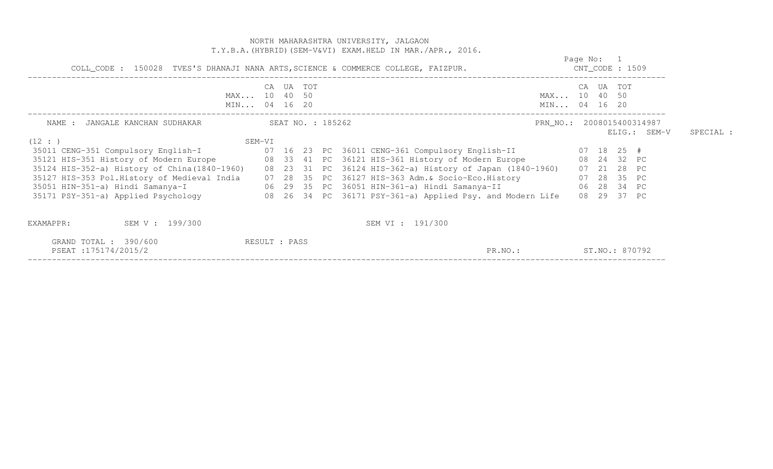|                                               | NORTH MAHARASHTRA UNIVERSITY, JALGAON<br>T.Y.B.A. (HYBRID) (SEM-V&VI) EXAM.HELD IN MAR./APR., 2016.                                                                                                                                                                                                                                                                                                                                                                                                                                                       |                                             |           |
|-----------------------------------------------|-----------------------------------------------------------------------------------------------------------------------------------------------------------------------------------------------------------------------------------------------------------------------------------------------------------------------------------------------------------------------------------------------------------------------------------------------------------------------------------------------------------------------------------------------------------|---------------------------------------------|-----------|
|                                               | COLL_CODE : 150028 TVES'S DHANAJI NANA ARTS, SCIENCE & COMMERCE COLLEGE, FAIZPUR.                                                                                                                                                                                                                                                                                                                                                                                                                                                                         | Page No: 1<br>$CNT\_CODE$ : 1509            |           |
|                                               | CA UA TOT<br>MAX 10 40 50<br>MIN 04 16 20                                                                                                                                                                                                                                                                                                                                                                                                                                                                                                                 | CA UA TOT<br>MAX 10 40 50<br>MIN 04 16 20   |           |
|                                               |                                                                                                                                                                                                                                                                                                                                                                                                                                                                                                                                                           | PRN_NO.: 2008015400314987<br>$ELIG.:$ SEM-V | SPECIAL : |
| (12 : )                                       | SEM-VI<br>35121 HIS-351 History of Modern Europe 68 33 41 PC 36121 HIS-361 History of Modern Europe 68 24 32 PC<br>35124 HIS-352-a) History of China(1840-1960) 08 23 31 PC 36124 HIS-362-a) History of Japan (1840-1960) 07 21 28 PC<br>35127 HIS-353 Pol.History of Medieval India 07 28 35 PC 36127 HIS-363 Adm.& Socio-Eco.History 07 28 35 PC<br>35051 HIN-351-a) Hindi Samanya-I (29 35 PC 36051 HIN-361-a) Hindi Samanya-II (28 34 PC<br>35171 PSY-351-a) Applied Psychology 68 26 34 PC 36171 PSY-361-a) Applied Psy. and Modern Life 68 29 37 PC |                                             |           |
| EXAMAPPR:<br>SEM V : 199/300                  | SEM VI : 191/300                                                                                                                                                                                                                                                                                                                                                                                                                                                                                                                                          |                                             |           |
| GRAND TOTAL : 390/600<br>PSEAT: 175174/2015/2 | RESULT : PASS<br>PR.NO.:                                                                                                                                                                                                                                                                                                                                                                                                                                                                                                                                  | ST.NO.: 870792                              |           |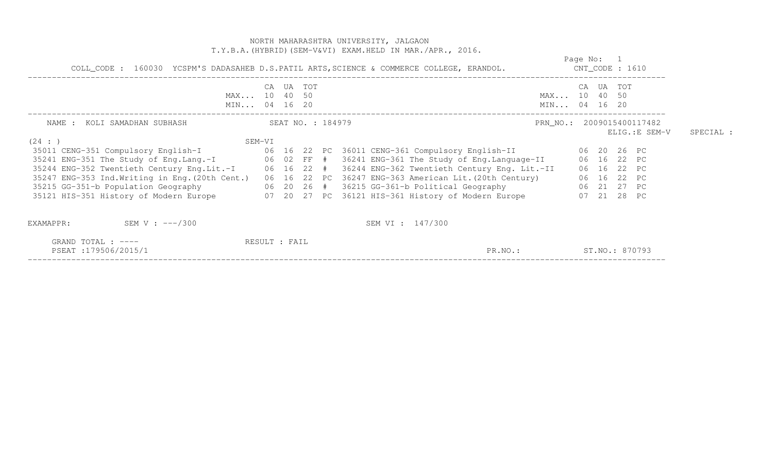|                                                                             |        |               |  | NORTH MAHARASHTRA UNIVERSITY, JALGAON<br>T.Y.B.A. (HYBRID) (SEM-V&VI) EXAM.HELD IN MAR./APR., 2016.                                                                                                                                                                                                                                                                                                                                                                                                                                                                                                                                                   |            |             |               |           |
|-----------------------------------------------------------------------------|--------|---------------|--|-------------------------------------------------------------------------------------------------------------------------------------------------------------------------------------------------------------------------------------------------------------------------------------------------------------------------------------------------------------------------------------------------------------------------------------------------------------------------------------------------------------------------------------------------------------------------------------------------------------------------------------------------------|------------|-------------|---------------|-----------|
|                                                                             |        |               |  | COLL_CODE: 160030 YCSPM'S DADASAHEB D.S.PATIL ARTS, SCIENCE & COMMERCE COLLEGE, ERANDOL. CNT_CODE: 1610                                                                                                                                                                                                                                                                                                                                                                                                                                                                                                                                               | Page No: 1 |             |               |           |
| MAX 10 40 50<br>MIN 04 16 20                                                |        | CA UA TOT     |  | MAX 10 40 50<br>MIN 04 16 20                                                                                                                                                                                                                                                                                                                                                                                                                                                                                                                                                                                                                          |            | CA UA TOT   |               |           |
| SEAT NO. : 184979<br>NAME : KOLI SAMADHAN SUBHASH<br>(24 : )                | SEM-VI |               |  | PRN_NO.: 2009015400117482                                                                                                                                                                                                                                                                                                                                                                                                                                                                                                                                                                                                                             |            |             | ELIG.:E SEM-V | SPECIAL : |
|                                                                             |        |               |  | 35011 CENG-351 Compulsory English-I (06 16 22 PC 36011 CENG-361 Compulsory English-II (06 20 26 PC<br>35241 ENG-351 The Study of Eng.Lang.-I 06 02 FF # 36241 ENG-361 The Study of Eng.Language-II 06 16 22 PC<br>35244 ENG-352 Twentieth Century Eng.Lit.-I 06 16 22 # 36244 ENG-362 Twentieth Century Eng. Lit.-II<br>35247 ENG-353 Ind.Writing in Eng. (20th Cent.) 06 16 22 PC 36247 ENG-363 American Lit. (20th Century) 06 16 22 PC<br>35215 GG-351-b Population Geography 66 20 26 # 36215 GG-361-b Political Geography 66 21 27 PC<br>35121 HIS-351 History of Modern Europe 607 20 27 PC 36121 HIS-361 History of Modern Europe 607 21 28 PC |            | 06 16 22 PC |               |           |
| SEM V : $---/300$<br>EXAMAPPR:<br>GRAND TOTAL : ----<br>PSEAT:179506/2015/1 |        | RESULT : FAIL |  | SEM VI : 147/300<br>ST.NO.: 870793<br>PR.NO.:                                                                                                                                                                                                                                                                                                                                                                                                                                                                                                                                                                                                         |            |             |               |           |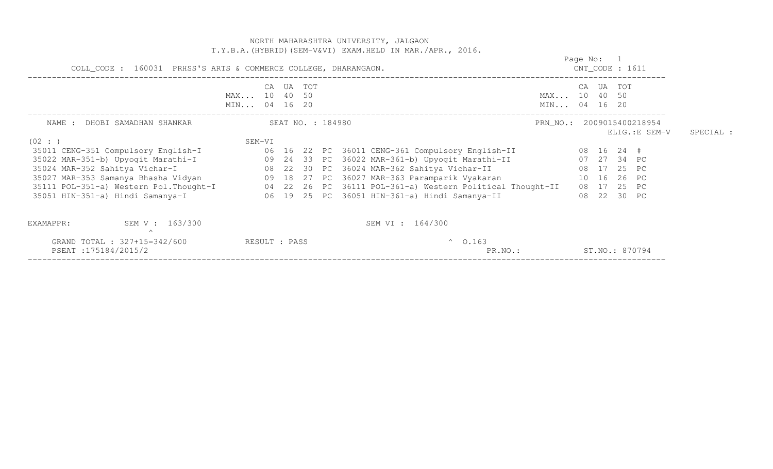|                                                                                                                                                                                                                                          |                                    |                   |                 | NORTH MAHARASHTRA UNIVERSITY, JALGAON<br>T.Y.B.A. (HYBRID) (SEM-V&VI) EXAM.HELD IN MAR./APR., 2016.                                                                                                                                                                                                      |                                    |                                                                                       |               |           |
|------------------------------------------------------------------------------------------------------------------------------------------------------------------------------------------------------------------------------------------|------------------------------------|-------------------|-----------------|----------------------------------------------------------------------------------------------------------------------------------------------------------------------------------------------------------------------------------------------------------------------------------------------------------|------------------------------------|---------------------------------------------------------------------------------------|---------------|-----------|
| COLL_CODE : 160031 PRHSS'S ARTS & COMMERCE COLLEGE, DHARANGAON.                                                                                                                                                                          |                                    | Page No: 1        | CNT_CODE : 1611 |                                                                                                                                                                                                                                                                                                          |                                    |                                                                                       |               |           |
|                                                                                                                                                                                                                                          | CA<br>MAX 10 40 50<br>MIN 04 16 20 | UA TOT            |                 |                                                                                                                                                                                                                                                                                                          | CA<br>MAX 10 40 50<br>MIN 04 16 20 | UA TOT                                                                                |               |           |
| NAME : DHOBI SAMADHAN SHANKAR<br>(02 : )                                                                                                                                                                                                 | SEM-VI                             | SEAT NO. : 184980 |                 |                                                                                                                                                                                                                                                                                                          | PRN_NO.: 2009015400218954          |                                                                                       | ELIG.:E SEM-V | SPECIAL : |
| 35011 CENG-351 Compulsory English-I<br>35022 MAR-351-b) Upyogit Marathi-I<br>35024 MAR-352 Sahitya Vichar-I<br>35027 MAR-353 Samanya Bhasha Vidyan (18 20 18 27 PC 36027 MAR-363 Paramparik Vyakaran<br>35051 HIN-351-a) Hindi Samanya-I |                                    |                   |                 | 06 16 22 PC 36011 CENG-361 Compulsory English-II<br>09 24 33 PC 36022 MAR-361-b) Upyogit Marathi-II<br>08 22 30 PC 36024 MAR-362 Sahitya Vichar-II<br>35111 POL-351-a) Western Pol. Thought-I 04 22 26 PC 36111 POL-361-a) Western Political Thought-II<br>06 19 25 PC 36051 HIN-361-a) Hindi Samanya-II |                                    | 08 16 24 #<br>07 27 34 PC<br>08 17 25 PC<br>10 16 26 PC<br>08 17 25 PC<br>08 22 30 PC |               |           |
| SEM V : 163/300<br>EXAMAPPR:<br>$\curvearrowright$<br>GRAND TOTAL : 327+15=342/600<br>PSEAT:175184/2015/2                                                                                                                                | RESULT : PASS                      |                   |                 | SEM VI : 164/300<br>$^{\circ}$ 0.163<br>PR.NO.:                                                                                                                                                                                                                                                          |                                    | ST.NO.: 870794                                                                        |               |           |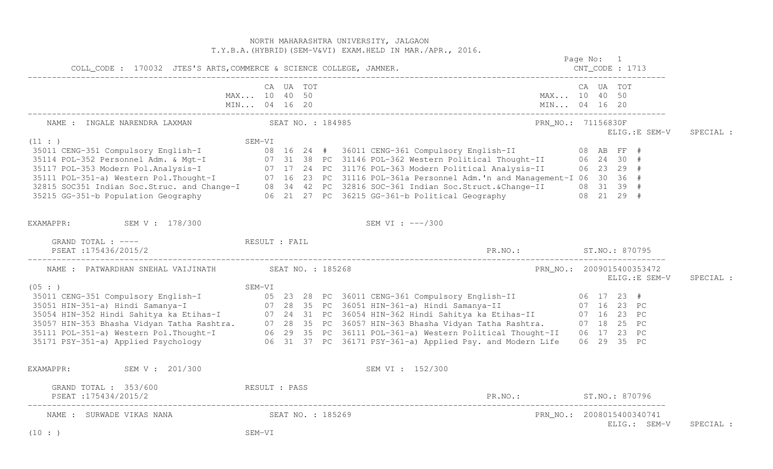|                                                            |              |           |  | NORTH MAHARASHTRA UNIVERSITY, JALGAON<br>T.Y.B.A. (HYBRID) (SEM-V&VI) EXAM. HELD IN MAR./APR., 2016.<br>Page No: 1                                                                                                                         |  |           |                |           |
|------------------------------------------------------------|--------------|-----------|--|--------------------------------------------------------------------------------------------------------------------------------------------------------------------------------------------------------------------------------------------|--|-----------|----------------|-----------|
|                                                            |              |           |  |                                                                                                                                                                                                                                            |  |           |                |           |
|                                                            | MAX 10 40 50 | CA UA TOT |  | MAX 10 40 50                                                                                                                                                                                                                               |  | CA UA TOT |                |           |
| NAME : INGALE NARENDRA LAXMAN SEAT NO. : 184985            |              |           |  | PRN_NO.: 71156830F                                                                                                                                                                                                                         |  |           | ELIG.: E SEM-V | SPECIAL : |
| (11: )                                                     | SEM-VI       |           |  | 3511 CENG-351 Compulsory English-I<br>35114 POL-352 Personnel Adm. & Mgt-I<br>35117 POL-353 Modern Pol.Analysis-I<br>35117 POL-353 Modern Pol.Analysis-I<br>35117 POL-353 Modern Pol.Analysis-I<br>35117 POL-353 Modern Pol.Analysis-I<br> |  |           |                |           |
| EXAMAPPR: SEM V : 178/300                                  |              |           |  | SEM VI : ---/300                                                                                                                                                                                                                           |  |           |                |           |
| GRAND TOTAL : ---- RESULT : FAIL<br>PSEAT : 175436/2015/2  |              |           |  |                                                                                                                                                                                                                                            |  |           |                |           |
| NAME : PATWARDHAN SNEHAL VAIJINATH SEAT NO. : 185268       |              |           |  | PRN_NO.: 2009015400353472                                                                                                                                                                                                                  |  |           | ELIG.: E SEM-V | SPECIAL : |
| (05 : )                                                    |              |           |  |                                                                                                                                                                                                                                            |  |           |                |           |
| EXAMAPPR: SEM V : 201/300                                  |              |           |  | SEM VI : 152/300                                                                                                                                                                                                                           |  |           |                |           |
| GRAND TOTAL : 353/600 RESULT : PASS<br>PSEAT:175434/2015/2 |              |           |  | PR.NO.: ST.NO.: 870796                                                                                                                                                                                                                     |  |           |                |           |
| NAME : SURWADE VIKAS NANA<br>SEAT NO. : 185269<br>(10 : )  | SEM-VI       |           |  | PRN NO.: 2008015400340741                                                                                                                                                                                                                  |  |           | ELIG.: SEM-V   | SPECIAL : |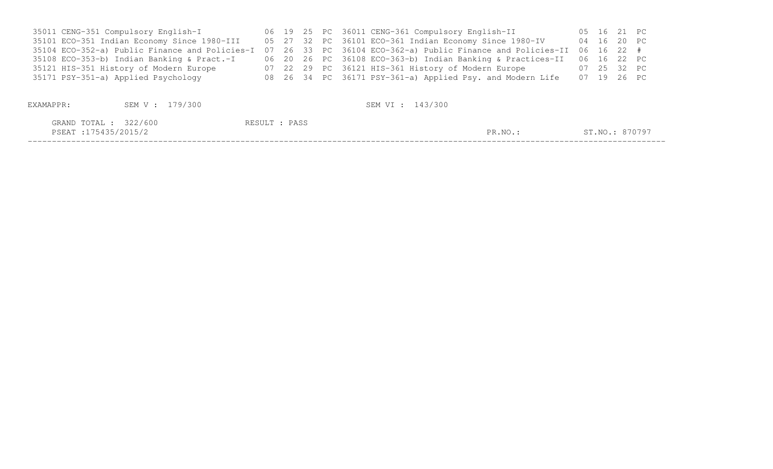| 35011 CENG-351 Compulsory English-I         |  |  | 06 19 25 PC 36011 CENG-361 Compulsory English-II                                                                      | 05 16 21 PC    |  |
|---------------------------------------------|--|--|-----------------------------------------------------------------------------------------------------------------------|----------------|--|
| 35101 ECO-351 Indian Economy Since 1980-III |  |  | 05 27 32 PC 36101 ECO-361 Indian Economy Since 1980-IV                                                                | 04 16 20 PC    |  |
|                                             |  |  | 35104 ECO-352-a) Public Finance and Policies-I 07 26 33 PC 36104 ECO-362-a) Public Finance and Policies-II 06 16 22 # |                |  |
| 35108 ECO-353-b) Indian Banking & Pract.-I  |  |  | 06 20 26 PC 36108 ECO-363-b) Indian Banking & Practices-II 06 16 22 PC                                                |                |  |
| 35121 HIS-351 History of Modern Europe      |  |  | 07 22 29 PC 36121 HIS-361 History of Modern Europe                                                                    | 07  25  32  PC |  |
| 35171 PSY-351-a) Applied Psychology         |  |  | 08 26 34 PC 36171 PSY-361-a) Applied Psy. and Modern Life                                                             | 07 19 26 PC    |  |
|                                             |  |  |                                                                                                                       |                |  |

| EXAMAPPR:                                    | SEM V : 179/300 | SEM VI : 143/300 |         |                |
|----------------------------------------------|-----------------|------------------|---------|----------------|
| GRAND TOTAL : 322/600<br>PSEAT:175435/2015/2 |                 | RESULT : PASS    | PR.NO.: | ST.NO.: 870797 |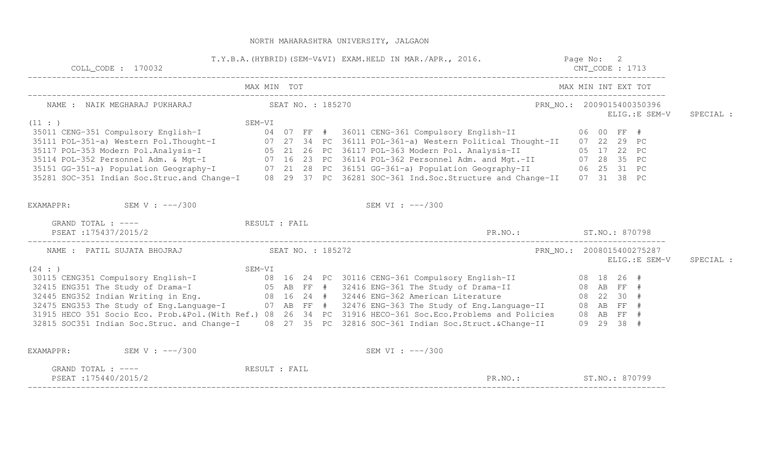| $COLL$ $COLL$ $170032$                                                                                                                                                                                                                   | T.Y.B.A. (HYBRID) (SEM-V&VI) EXAM.HELD IN MAR./APR., 2016. The comparent of the control of the control of the control of the control of the control of the control of the control of the control of the control of the control |                           | $CNT\_CODE$ : 1713                         |           |
|------------------------------------------------------------------------------------------------------------------------------------------------------------------------------------------------------------------------------------------|--------------------------------------------------------------------------------------------------------------------------------------------------------------------------------------------------------------------------------|---------------------------|--------------------------------------------|-----------|
|                                                                                                                                                                                                                                          |                                                                                                                                                                                                                                |                           |                                            |           |
| NAME : NAIK MEGHARAJ PUKHARAJ (SEAT NO. : 185270                                                                                                                                                                                         |                                                                                                                                                                                                                                |                           | PRN_NO.: 2009015400350396<br>ELIG.:E SEM-V | SPECIAL : |
|                                                                                                                                                                                                                                          |                                                                                                                                                                                                                                |                           |                                            |           |
|                                                                                                                                                                                                                                          |                                                                                                                                                                                                                                |                           |                                            |           |
|                                                                                                                                                                                                                                          |                                                                                                                                                                                                                                |                           |                                            |           |
|                                                                                                                                                                                                                                          |                                                                                                                                                                                                                                |                           |                                            |           |
|                                                                                                                                                                                                                                          |                                                                                                                                                                                                                                |                           |                                            |           |
|                                                                                                                                                                                                                                          |                                                                                                                                                                                                                                |                           |                                            |           |
| 9 5011 CENG-351 Compulsory English-I<br>35011 CENG-351 Compulsory English-I<br>35111 POL-351-a) Western Pol.Thought-I<br>35117 POL-353 Modern Pol.Analysis-I<br>35117 POL-353 Modern Pol.Analysis-I<br>35114 POL-352 Personnel Adm. & Mg |                                                                                                                                                                                                                                |                           |                                            |           |
| EXAMAPPR: $SEM V : --- / 300$                                                                                                                                                                                                            | SEM VI : $---/300$                                                                                                                                                                                                             |                           |                                            |           |
| GRAND TOTAL : ---- RESULT : FAIL                                                                                                                                                                                                         |                                                                                                                                                                                                                                |                           |                                            |           |
| PSEAT :175437/2015/2                                                                                                                                                                                                                     |                                                                                                                                                                                                                                | PR.NO.: ST.NO.: 870798    |                                            |           |
| NAME : PATIL SUJATA BHOJRAJ SEAT NO. : 185272                                                                                                                                                                                            |                                                                                                                                                                                                                                | PRN_NO.: 2008015400275287 |                                            |           |
| SEM-VI<br>30115 CENG351 Compulsory English-I 08 16 24 PC 30116 CENG-361 Compulsory English-II 08 18 26 #<br>32415 ENG351 The Study of Drama-I 05 AB FF # 32416 ENG-361 The Study of Drama-II 08 AB FF #<br>32445 ENG352 Indian Writi     |                                                                                                                                                                                                                                |                           | ELIG.: E SEM-V                             | SPECIAL : |
|                                                                                                                                                                                                                                          |                                                                                                                                                                                                                                |                           |                                            |           |
|                                                                                                                                                                                                                                          |                                                                                                                                                                                                                                |                           |                                            |           |
|                                                                                                                                                                                                                                          |                                                                                                                                                                                                                                |                           |                                            |           |
|                                                                                                                                                                                                                                          |                                                                                                                                                                                                                                |                           |                                            |           |
| 31915 HECO 351 Socio Eco. Prob. &Pol. (With Ref.) 08 26 34 PC 31916 HECO-361 Soc. Eco. Problems and Policies 08 AB FF #                                                                                                                  |                                                                                                                                                                                                                                |                           |                                            |           |
| 32815 SOC351 Indian Soc.Struc. and Change-I 08 27 35 PC 32816 SOC-361 Indian Soc.Struct.&Change-II 09 29 38 #                                                                                                                            |                                                                                                                                                                                                                                |                           |                                            |           |
| SEM V : $---/300$<br>EXAMAPPR:                                                                                                                                                                                                           | SEM VI : ---/300                                                                                                                                                                                                               |                           |                                            |           |
| GRAND TOTAL : ---- RESULT : FAIL<br>PSEAT:175440/2015/2                                                                                                                                                                                  |                                                                                                                                                                                                                                | PR.NO.: ST.NO.: 870799    |                                            |           |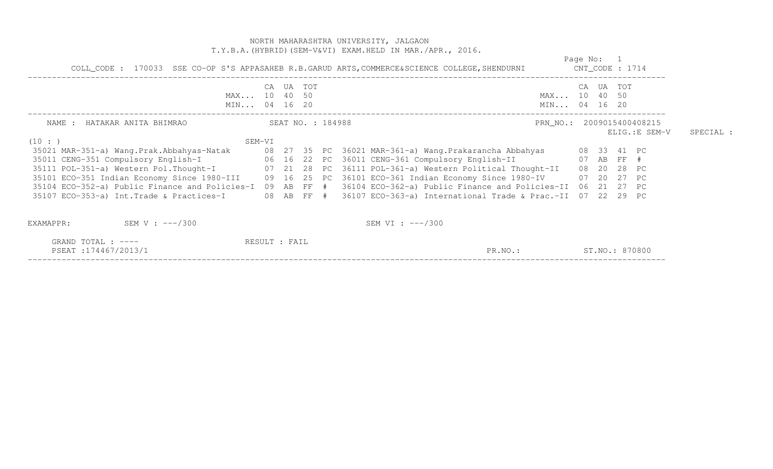|                                                                                                                                                                                                                                              |        |                   |  | NORTH MAHARASHTRA UNIVERSITY, JALGAON<br>T.Y.B.A. (HYBRID) (SEM-V&VI) EXAM. HELD IN MAR. / APR., 2016.       |                              |            |                |               |           |
|----------------------------------------------------------------------------------------------------------------------------------------------------------------------------------------------------------------------------------------------|--------|-------------------|--|--------------------------------------------------------------------------------------------------------------|------------------------------|------------|----------------|---------------|-----------|
|                                                                                                                                                                                                                                              |        |                   |  | COLL_CODE: 170033 SSE CO-OP S'S APPASAHEB R.B.GARUD ARTS, COMMERCE&SCIENCE COLLEGE, SHENDURNI CNT_CODE: 1714 |                              | Page No: 1 |                |               |           |
| MAX 10 40 50<br>MIN 04 16 20                                                                                                                                                                                                                 | CA     | UA TOT            |  |                                                                                                              | MAX 10 40 50<br>MIN 04 16 20 | CA UA TOT  |                |               |           |
| NAME : HATAKAR ANITA BHIMRAO                                                                                                                                                                                                                 |        | SEAT NO. : 184988 |  |                                                                                                              | PRN_NO.: 2009015400408215    |            |                | ELIG.:E SEM-V | SPECIAL : |
| (10 : )<br>35021 MAR-351-a) Wang.Prak.Abbahyas-Natak     08 27 35 PC 36021 MAR-361-a) Wang.Prakarancha Abbahyas     08 33 41 PC<br>35011 CENG-351 Compulsory English-I         06 16 22 PC 36011 CENG-361 Compulsory English-II         07 A | SEM-VI |                   |  |                                                                                                              |                              |            |                |               |           |
| 35111 POL-351-a) Western Pol. Thought-I (07 21 28 PC 36111 POL-361-a) Western Political Thought-II                                                                                                                                           |        |                   |  |                                                                                                              |                              |            | 08  20  28  PC |               |           |
| 35101 ECO-351 Indian Economy Since 1980-III 09 16 25 PC 36101 ECO-361 Indian Economy Since 1980-IV 07 20 27 PC<br>35104 ECO-352-a) Public Finance and Policies-I 09 AB FF # 36104 ECO-362-a) Public Finance and Policies-II 06 21 27 PC      |        |                   |  |                                                                                                              |                              |            |                |               |           |
| 35107 ECO-353-a) Int.Trade & Practices-I 08 AB FF # 36107 ECO-363-a) International Trade & Prac.-II 07 22 29 PC                                                                                                                              |        |                   |  |                                                                                                              |                              |            |                |               |           |
| SEM V : $---/300$<br>EXAMAPPR:                                                                                                                                                                                                               |        |                   |  | SEM VI : $---/300$                                                                                           |                              |            |                |               |           |
| GRAND TOTAL : ----<br>PSEAT: 174467/2013/1                                                                                                                                                                                                   |        | RESULT : FAIL     |  | PR.NO.:                                                                                                      |                              |            | ST.NO.: 870800 |               |           |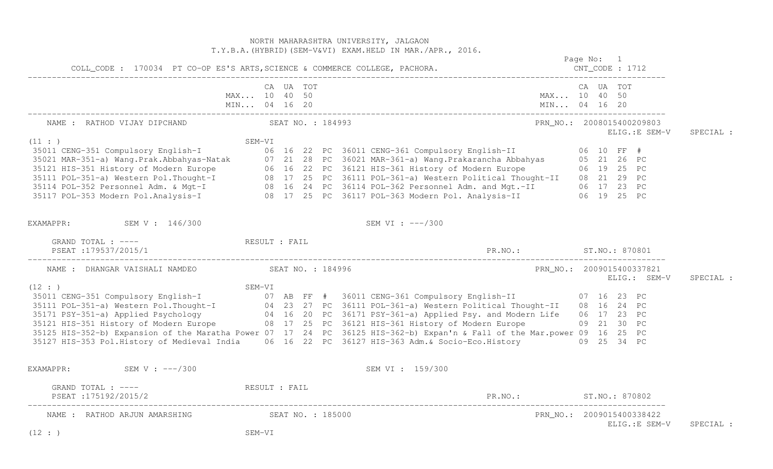|                                                                             |                              |           |  | NORTH MAHARASHTRA UNIVERSITY, JALGAON<br>T.Y.B.A. (HYBRID) (SEM-V&VI) EXAM. HELD IN MAR./APR., 2016.                                                                                                                                       |  |                                             |           |
|-----------------------------------------------------------------------------|------------------------------|-----------|--|--------------------------------------------------------------------------------------------------------------------------------------------------------------------------------------------------------------------------------------------|--|---------------------------------------------|-----------|
| COLL_CODE : 170034 PT CO-OP ES'S ARTS, SCIENCE & COMMERCE COLLEGE, PACHORA. |                              |           |  | Page No: 1                                                                                                                                                                                                                                 |  |                                             |           |
|                                                                             | MAX 10 40 50<br>MIN 04 16 20 | CA UA TOT |  | MAX 10 40 50<br>MIN 04 16 20                                                                                                                                                                                                               |  | CA UA TOT                                   |           |
| NAME : RATHOD VIJAY DIPCHAND SEAT NO. : 184993                              |                              |           |  |                                                                                                                                                                                                                                            |  | PRN_NO.: 2008015400209803<br>ELIG.: E SEM-V | SPECIAL : |
| (11: )                                                                      | SEM-VI                       |           |  |                                                                                                                                                                                                                                            |  |                                             |           |
|                                                                             |                              |           |  |                                                                                                                                                                                                                                            |  |                                             |           |
|                                                                             |                              |           |  |                                                                                                                                                                                                                                            |  |                                             |           |
|                                                                             |                              |           |  |                                                                                                                                                                                                                                            |  |                                             |           |
|                                                                             |                              |           |  |                                                                                                                                                                                                                                            |  |                                             |           |
|                                                                             |                              |           |  |                                                                                                                                                                                                                                            |  |                                             |           |
|                                                                             |                              |           |  | 35011 CENG-351 Compulsory English-I<br>35021 MAR-351-a) Wang.Prak.Abbahyas-Natak 07 21 28 PC 36021 MAR-361-a) Wang.Prakarancha Abbahyas 05 21 26 PC<br>35121 HIS-351 History of Modern Europe 06 16 22 PC 36121 HIS-361 History of         |  |                                             |           |
| EXAMAPPR: SEM V : 146/300                                                   |                              |           |  | SEM VI : ---/300                                                                                                                                                                                                                           |  |                                             |           |
| GRAND TOTAL : ---- RESULT : FAIL                                            |                              |           |  |                                                                                                                                                                                                                                            |  |                                             |           |
| NAME : DHANGAR VAISHALI NAMDEO SEAT NO. : 184996                            |                              |           |  |                                                                                                                                                                                                                                            |  | PRN_NO.: 2009015400337821<br>ELIG.: SEM-V   | SPECIAL : |
| (12 : )                                                                     |                              |           |  | SEM-VI<br>35011 CENG-351 Compulsory English-I<br>35111 POL-351-a) Western Pol.Thought-I<br>35111 POL-351-a) Western Pol.Thought-I<br>35121 HIS-351-a) Applied Psychology<br>35121 HIS-351 History of Modern Europe<br>35121 HIS-351 Histor |  |                                             |           |
|                                                                             |                              |           |  |                                                                                                                                                                                                                                            |  |                                             |           |
|                                                                             |                              |           |  |                                                                                                                                                                                                                                            |  |                                             |           |
|                                                                             |                              |           |  |                                                                                                                                                                                                                                            |  |                                             |           |
|                                                                             |                              |           |  |                                                                                                                                                                                                                                            |  |                                             |           |
|                                                                             |                              |           |  | 35125 HIS-352-b) Expansion of the Maratha Power 07 17 24 PC 36125 HIS-362-b) Expan'n & Fall of the Mar.power 09 16 25 PC                                                                                                                   |  |                                             |           |
|                                                                             |                              |           |  | 35127 HIS-353 Pol.History of Medieval India 06 16 22 PC 36127 HIS-363 Adm.& Socio-Eco.History 09 25 34 PC                                                                                                                                  |  |                                             |           |
| EXAMAPPR: SEM V : ---/300                                                   |                              |           |  | SEM VI : 159/300                                                                                                                                                                                                                           |  |                                             |           |
| GRAND TOTAL : ---- The RESULT : FAIL                                        |                              |           |  |                                                                                                                                                                                                                                            |  |                                             |           |
| PSEAT:175192/2015/2                                                         |                              |           |  | PR.NO.: ST.NO.: 870802                                                                                                                                                                                                                     |  |                                             |           |
| NAME : RATHOD ARJUN AMARSHING SEAT NO. : 185000                             |                              |           |  |                                                                                                                                                                                                                                            |  | PRN NO.: 2009015400338422<br>ELIG.:E SEM-V  | SPECIAL : |
| (12 : )                                                                     | SEM-VI                       |           |  |                                                                                                                                                                                                                                            |  |                                             |           |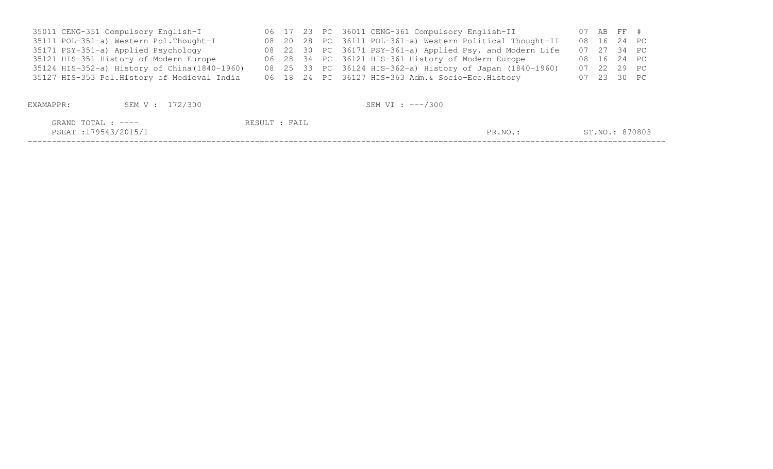| 35011 CENG-351 Compulsory English-I           |  |  | 06 17 23 PC 36011 CENG-361 Compulsory English-II          | 07 AB FF #     |             |
|-----------------------------------------------|--|--|-----------------------------------------------------------|----------------|-------------|
| 35111 POL-351-a) Western Pol. Thought-I       |  |  | 08 20 28 PC 36111 POL-361-a) Western Political Thought-II | 08  16  24  PC |             |
| 35171 PSY-351-a) Applied Psychology           |  |  | 08 22 30 PC 36171 PSY-361-a) Applied Psy. and Modern Life |                | 07 27 34 PC |
| 35121 HIS-351 History of Modern Europe        |  |  | 06 28 34 PC 36121 HIS-361 History of Modern Europe        |                | 08 16 24 PC |
| 35124 HIS-352-a) History of China (1840-1960) |  |  | 08 25 33 PC 36124 HIS-362-a) History of Japan (1840-1960) |                | 07 22 29 PC |
| 35127 HIS-353 Pol.History of Medieval India   |  |  | 06 18 24 PC 36127 HIS-363 Adm. & Socio-Eco. History       |                | 07 23 30 PC |

| EXAMAPPR:                                   | SEM V : 172/300 |               | SEM VI : ---/300 |         |                |
|---------------------------------------------|-----------------|---------------|------------------|---------|----------------|
| GRAND TOTAL : $---$<br>PSEAT :179543/2015/1 |                 | RESULT : FAIL |                  | PR.NO.: | ST.NO.: 870803 |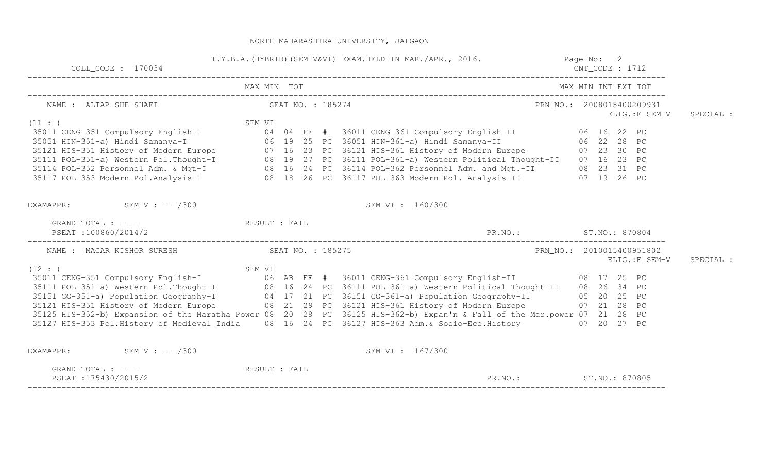| COLL CODE : 170034                                                                                                                                                                                                                   |             | T.Y.B.A. (HYBRID) (SEM-V&VI) EXAM.HELD IN MAR./APR., 2016. Page No: 2 |  | $CNT\_CODE$ : 1712 |                                            |           |
|--------------------------------------------------------------------------------------------------------------------------------------------------------------------------------------------------------------------------------------|-------------|-----------------------------------------------------------------------|--|--------------------|--------------------------------------------|-----------|
|                                                                                                                                                                                                                                      | MAX MIN TOT |                                                                       |  |                    | MAX MIN INT EXT TOT                        |           |
| NAME : ALTAP SHE SHAFI SEAT NO. : 185274                                                                                                                                                                                             |             |                                                                       |  |                    | PRN_NO.: 2008015400209931<br>ELIG.:E SEM-V | SPECIAL : |
|                                                                                                                                                                                                                                      |             |                                                                       |  |                    |                                            |           |
|                                                                                                                                                                                                                                      |             |                                                                       |  |                    |                                            |           |
|                                                                                                                                                                                                                                      |             |                                                                       |  |                    |                                            |           |
|                                                                                                                                                                                                                                      |             |                                                                       |  |                    |                                            |           |
|                                                                                                                                                                                                                                      |             |                                                                       |  |                    |                                            |           |
|                                                                                                                                                                                                                                      |             |                                                                       |  |                    |                                            |           |
|                                                                                                                                                                                                                                      |             |                                                                       |  |                    |                                            |           |
| EXAMAPPR: SEM V : ---/300                                                                                                                                                                                                            |             | SEM VI : 160/300                                                      |  |                    |                                            |           |
| GRAND TOTAL : ---- RESULT : FAIL                                                                                                                                                                                                     |             |                                                                       |  |                    |                                            |           |
| PSEAT:100860/2014/2                                                                                                                                                                                                                  |             | PR. NO.: ST. NO.: 870804                                              |  |                    |                                            |           |
| NAME : MAGAR KISHOR SURESH SEAT NO. : 185275                                                                                                                                                                                         |             | PRN_NO.: 2010015400951802                                             |  |                    |                                            |           |
| (12 : )                                                                                                                                                                                                                              |             |                                                                       |  |                    | ELIG.: E SEM-V                             | SPECIAL : |
| SEM-VI<br>35011 CENG-351 Compulsory English-I (12:)<br>35111 POL-351-a) Western Pol.Thought-I (18 16 24 PC 36111 POL-361-a) Western Political Thought-II (18 26 34 PC<br>35151 GG-351-a) Population Geography-I (18 17 21 PC 36151 G |             |                                                                       |  |                    |                                            |           |
|                                                                                                                                                                                                                                      |             |                                                                       |  |                    |                                            |           |
|                                                                                                                                                                                                                                      |             |                                                                       |  |                    |                                            |           |
| 35121 HIS-351 History of Modern Europe 68 21 29 PC 36121 HIS-361 History of Modern Europe 67 21 28 PC                                                                                                                                |             |                                                                       |  |                    |                                            |           |
| 35125 HIS-352-b) Expansion of the Maratha Power 08 20 28 PC 36125 HIS-362-b) Expan'n & Fall of the Mar.power 07 21 28 PC                                                                                                             |             |                                                                       |  |                    |                                            |           |
| 35127 HIS-353 Pol.History of Medieval India 08 16 24 PC 36127 HIS-363 Adm. & Socio-Eco.History 07 20 27 PC                                                                                                                           |             |                                                                       |  |                    |                                            |           |
| EXAMAPPR: SEM V : $---/300$                                                                                                                                                                                                          |             | SEM VI : 167/300                                                      |  |                    |                                            |           |
| GRAND TOTAL : ---- The RESULT : FAIL<br>PSEAT:175430/2015/2                                                                                                                                                                          |             | PR.NO.: ST.NO.: 870805                                                |  |                    |                                            |           |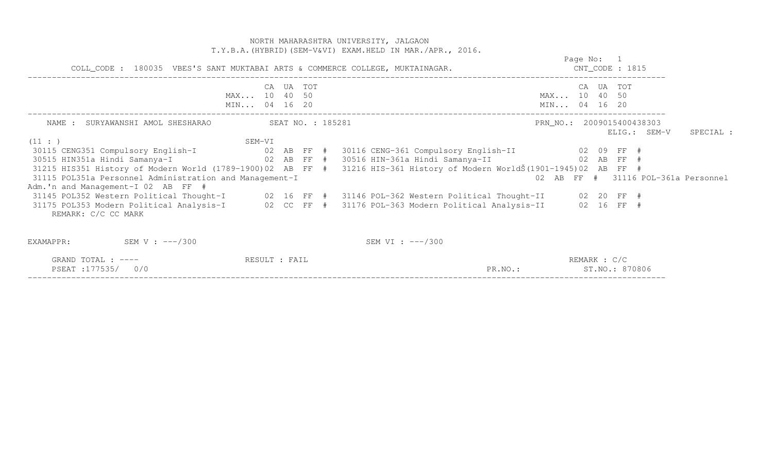NORTH MAHARASHTRA UNIVERSITY, JALGAON T.Y.B.A.(HYBRID)(SEM-V&VI) EXAM.HELD IN MAR./APR., 2016. Page No: 1 CNT CODE : 1815 COLL\_CODE : 180035 VBES'S SANT MUKTABAI ARTS & COMMERCE COLLEGE, MUKTAINAGAR. CNT\_CODE : 1815 ------------------------------------------------------------------------------------------------------------------------------------ CA UA TOT CA UA TOT MAX... 10 40 50 MAX... 10 40 50 MIN... 04 16 20 MIN... 04 16 20 MIN... 04 16 20 ------------------------------------------------------------------------------------------------------------------------------------ NAME : SURYAWANSHI AMOL SHESHARAO SEAT NO. : 185281 PRN\_NO. : 2009015400438303 ELIG.: SEM-V SPECIAL :  $(11 : )$  SEM-VI 30115 CENG351 Compulsory English-I 02 AB FF # 30116 CENG-361 Compulsory English-II 02 09 FF # 30515 HIN351a Hindi Samanya-I 02 AB FF # 30516 HIN-361a Hindi Samanya-II 02 AB FF # 31215 HIS351 History of Modern World (1789-1900)02 AB FF # 31216 HIS-361 History of Modern WorldŠ(1901-1945)02 AB FF # 02 AB FF # 31116 POL-361a Personnel 31115 POL351a Personnel Administration and Management-I Adm.'n and Management-I 02 AB FF # 31145 POL352 Western Political Thought-I 02 16 FF # 31146 POL-362 Western Political Thought-II 02 20 FF # 31175 POL353 Modern Political Analysis-I 02 CC FF # 31176 POL-363 Modern Political Analysis-II 02 16 FF # REMARK: C/C CC MARK EXAMAPPR: SEM V : ---/300 SEM VI : ---/300 GRAND TOTAL : ---- RESULT : FAIL REMARK : C/C

PSEAT :177535/ 0/0 PR.NO.: ST.NO.: 870806 ------------------------------------------------------------------------------------------------------------------------------------

ST. NO.: 870806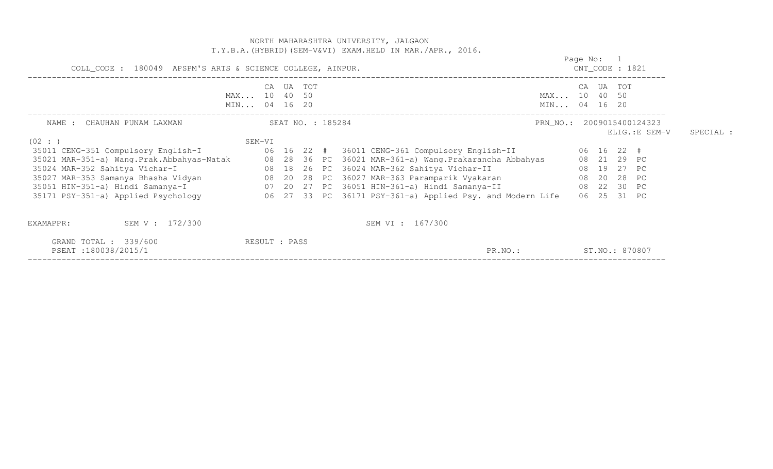|                                                                              |                                                            |                   |  |  | NORTH MAHARASHTRA UNIVERSITY, JALGAON<br>T.Y.B.A. (HYBRID) (SEM-V&VI) EXAM.HELD IN MAR./APR., 2016.                                                                                                                                                                                                                                                                                                                                                                                               |                              |                                             |  |                                             |           |  |
|------------------------------------------------------------------------------|------------------------------------------------------------|-------------------|--|--|---------------------------------------------------------------------------------------------------------------------------------------------------------------------------------------------------------------------------------------------------------------------------------------------------------------------------------------------------------------------------------------------------------------------------------------------------------------------------------------------------|------------------------------|---------------------------------------------|--|---------------------------------------------|-----------|--|
|                                                                              | COLL_CODE : 180049 APSPM'S ARTS & SCIENCE COLLEGE, AINPUR. |                   |  |  |                                                                                                                                                                                                                                                                                                                                                                                                                                                                                                   |                              |                                             |  |                                             |           |  |
|                                                                              | CA<br>MAX 10 40 50<br>MIN 04 16 20                         | UA TOT            |  |  |                                                                                                                                                                                                                                                                                                                                                                                                                                                                                                   | MAX 10 40 50<br>MIN 04 16 20 | CA UA TOT                                   |  |                                             |           |  |
| NAME : CHAUHAN PUNAM LAXMAN<br>(02 : )                                       | SEM-VI                                                     | SEAT NO. : 185284 |  |  |                                                                                                                                                                                                                                                                                                                                                                                                                                                                                                   |                              |                                             |  | PRN NO.: 2009015400124323<br>ELIG.: E SEM-V | SPECIAL : |  |
| 35011 CENG-351 Compulsory English-I                                          |                                                            |                   |  |  | 06  16  22  #  36011  CENG-361  Compulsory English-II<br>35021 MAR-351-a) Wang.Prak.Abbahyas-Natak 108 28 36 PC 36021 MAR-361-a) Wang.Prakarancha Abbahyas<br>س سن سن سن 10 20 20 20 20 21 22 24 AAR-362 Sahitya Vichar-II (18 19 27 PC)<br>35027 MAR-353 Samanya Bhasha Vidyan (18 20 28 PC 36027 MAR-363 Paramparik Vyakaran (18 20 28 PC)<br>35051 HIN-351-a) Hindi Samanya-I (18 20 20 27 PC<br>35171 PSY-351-a) Applied Psychology 66 27 33 PC 36171 PSY-361-a) Applied Psy. and Modern Life |                              | 06 16 22 #<br>08  21  29  PC<br>06 25 31 PC |  |                                             |           |  |
| SEM V : 172/300<br>EXAMAPPR:<br>GRAND TOTAL : 339/600<br>PSEAT:180038/2015/1 | RESULT : PASS                                              |                   |  |  | SEM VI : 167/300<br>PR.NO.:                                                                                                                                                                                                                                                                                                                                                                                                                                                                       |                              | ST.NO.: 870807                              |  |                                             |           |  |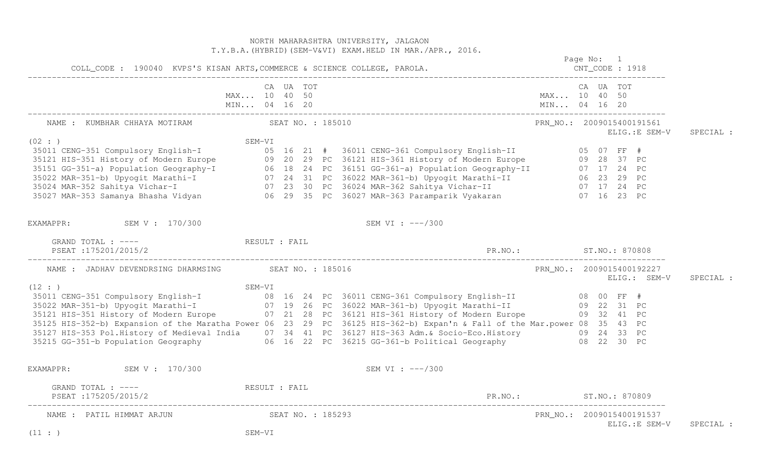|                                                                                                                                                                                                                                                                                                                                                                                                                                                                                                                                                                                              |                             |           |  | NORTH MAHARASHTRA UNIVERSITY, JALGAON<br>T.Y.B.A. (HYBRID) (SEM-V&VI) EXAM.HELD IN MAR./APR., 2016. |                           |  | Page No: 1                                  |           |
|----------------------------------------------------------------------------------------------------------------------------------------------------------------------------------------------------------------------------------------------------------------------------------------------------------------------------------------------------------------------------------------------------------------------------------------------------------------------------------------------------------------------------------------------------------------------------------------------|-----------------------------|-----------|--|-----------------------------------------------------------------------------------------------------|---------------------------|--|---------------------------------------------|-----------|
| COLL_CODE : 190040 KVPS'S KISAN ARTS, COMMERCE & SCIENCE COLLEGE, PAROLA.                                                                                                                                                                                                                                                                                                                                                                                                                                                                                                                    |                             |           |  |                                                                                                     |                           |  |                                             |           |
|                                                                                                                                                                                                                                                                                                                                                                                                                                                                                                                                                                                              | MAX 10 40 50                | CA UA TOT |  |                                                                                                     | MAX 10 40 50              |  | CA UA TOT                                   |           |
| NAME : KUMBHAR CHHAYA MOTIRAM (SEAT NO. : 185010)                                                                                                                                                                                                                                                                                                                                                                                                                                                                                                                                            |                             |           |  |                                                                                                     | PRN_NO.: 2009015400191561 |  | ELIG.:E SEM-V                               | SPECIAL : |
| (02 : )<br>35021 MR-351 Compulsory English-I<br>35021 MIS-351 Elmitory of Modern Europe<br>35121 HIS-351 History of Modern Europe<br>35121 HIS-351 History of Modern Europe<br>35121 MIS-351 History of Modern Europe<br>35121 MIS-351 History of M                                                                                                                                                                                                                                                                                                                                          | SEM-VI                      |           |  |                                                                                                     |                           |  |                                             |           |
| EXAMAPPR: SEM V : 170/300                                                                                                                                                                                                                                                                                                                                                                                                                                                                                                                                                                    |                             |           |  | SEM VI : ---/300                                                                                    |                           |  |                                             |           |
| GRAND TOTAL : ---- RESULT : FAIL<br>PSEAT : 175201/2015/2                                                                                                                                                                                                                                                                                                                                                                                                                                                                                                                                    |                             |           |  |                                                                                                     |                           |  |                                             |           |
| NAME : JADHAV DEVENDRSING DHARMSING SEAT NO. : 185016                                                                                                                                                                                                                                                                                                                                                                                                                                                                                                                                        |                             |           |  |                                                                                                     |                           |  | PRN_NO.: 2009015400192227<br>$ELIG.:$ SEM-V | SPECIAL : |
| (12 : )<br>SEM-VI<br>SEM-VI (12 : )<br>35011 CENG-351 Compulsory English-I<br>35022 MAR-351-b) Upyogit Marathi-I (27 19 26 PC 36022 MAR-361-b) Upyogit Marathi-II (29 22 31 PC<br>35121 HIS-351 History of Modern Europe (27 21 28 PC 36121 HIS-3<br>35125 HIS-352-b) Expansion of the Maratha Power 06 23 29 PC 36125 HIS-362-b) Expan'n & Fall of the Mar.power 08 35 43 PC<br>35127 HIS-353 Pol.History of Medieval India 07 34 41 PC 36127 HIS-363 Adm.& Socio-Eco.History 09 24 33 PC<br>35215 GG-351-b Population Geography 06 16 22 PC 36215 GG-361-b Political Geography 08 22 30 PC |                             |           |  |                                                                                                     |                           |  |                                             |           |
| EXAMAPPR: SEM V : 170/300                                                                                                                                                                                                                                                                                                                                                                                                                                                                                                                                                                    |                             |           |  | SEM VI : ---/300                                                                                    |                           |  |                                             |           |
| GRAND TOTAL : ---- RESULT : FAIL<br>PSEAT : 175205/2015/2                                                                                                                                                                                                                                                                                                                                                                                                                                                                                                                                    |                             |           |  | PR.NO.: ST.NO.: 870809                                                                              |                           |  |                                             |           |
| NAME : PATIL HIMMAT ARJUN<br>(11: )                                                                                                                                                                                                                                                                                                                                                                                                                                                                                                                                                          | SEAT NO. : 185293<br>SEM-VI |           |  |                                                                                                     |                           |  | PRN NO.: 2009015400191537<br>ELIG.: E SEM-V | SPECIAL : |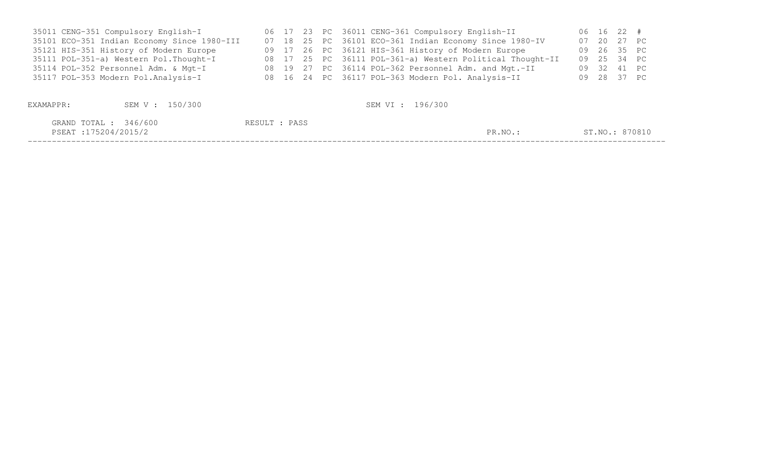| 35011 CENG-351 Compulsory English-I         |  |  | 06 17 23 PC 36011 CENG-361 Compulsory English-II          | 06 16 22 #  |                |
|---------------------------------------------|--|--|-----------------------------------------------------------|-------------|----------------|
| 35101 ECO-351 Indian Economy Since 1980-III |  |  | 07 18 25 PC 36101 ECO-361 Indian Economy Since 1980-IV    | 07 20 27 PC |                |
| 35121 HIS-351 History of Modern Europe      |  |  | 09 17 26 PC 36121 HIS-361 History of Modern Europe        |             | 09  26  35  PC |
| 35111 POL-351-a) Western Pol. Thought-I     |  |  | 08 17 25 PC 36111 POL-361-a) Western Political Thought-II |             | 09  25  34  PC |
| 35114 POL-352 Personnel Adm. & Mgt-I        |  |  | 08 19 27 PC 36114 POL-362 Personnel Adm. and Mgt.-II      |             | 09 32 41 PC    |
| 35117 POL-353 Modern Pol.Analysis-I         |  |  | 08 16 24 PC 36117 POL-363 Modern Pol. Analysis-II         |             | 09 28 37 PC    |
|                                             |  |  |                                                           |             |                |

| EXAMAPPR:                                      | SEM V : 150/300 | SEM VI : 196/300 |         |                |
|------------------------------------------------|-----------------|------------------|---------|----------------|
| GRAND TOTAL : 346/600<br>PSEAT : 175204/2015/2 |                 | RESULT : PASS    | PR.NO.: | ST.NO.: 870810 |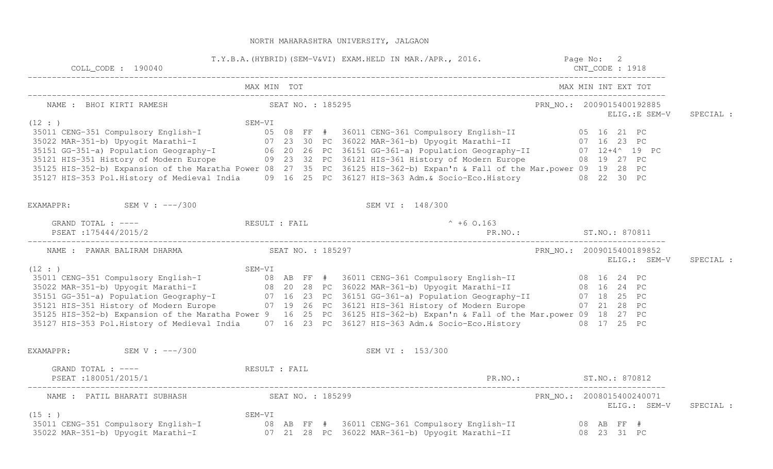| $COLL$ $CODE: 190040$         |                                                          | T.Y.B.A. (HYBRID) (SEM-V&VI) EXAM.HELD IN MAR./APR., 2016. Page No: 2                                                                                                                                                                      |                                             |           |
|-------------------------------|----------------------------------------------------------|--------------------------------------------------------------------------------------------------------------------------------------------------------------------------------------------------------------------------------------------|---------------------------------------------|-----------|
|                               | MAX MIN TOT                                              |                                                                                                                                                                                                                                            | MAX MIN INT EXT TOT                         |           |
|                               | NAME : BHOI KIRTI RAMESH SEAT NO. : 185295               |                                                                                                                                                                                                                                            | PRN_NO.: 2009015400192885<br>ELIG.: E SEM-V | SPECIAL : |
| (12 : )                       |                                                          | SEM-VI<br>35011 CENG-351 Compulsory English-I<br>35022 MAR-351-b) Upyogit Marathi-I<br>35122 MAR-351-b) Upyogit Marathi-I<br>35123 HIS-351-a) Population Geography-I<br>35121 HIS-351-a) Population Geography-I<br>35121 HIS-351 History o |                                             |           |
|                               |                                                          |                                                                                                                                                                                                                                            |                                             |           |
|                               |                                                          |                                                                                                                                                                                                                                            |                                             |           |
|                               |                                                          |                                                                                                                                                                                                                                            |                                             |           |
|                               |                                                          |                                                                                                                                                                                                                                            |                                             |           |
|                               |                                                          | 35125 HIS-352-b) Expansion of the Maratha Power 08 27 35 PC 36125 HIS-362-b) Expan'n & Fall of the Mar.power 09 19 28 PC                                                                                                                   |                                             |           |
|                               |                                                          | 35127 HIS-353 Pol.History of Medieval India 09 16 25 PC 36127 HIS-363 Adm.& Socio-Eco.History 08 22 30 PC                                                                                                                                  |                                             |           |
| EXAMAPPR: SEM V : $---/300$   |                                                          | SEM VI : 148/300                                                                                                                                                                                                                           |                                             |           |
|                               | GRAND TOTAL : ----<br>PSEAT ·175444/2015/2               | $^{\circ}$ +6 0.163                                                                                                                                                                                                                        |                                             |           |
| PSEAT:175444/2015/2           |                                                          |                                                                                                                                                                                                                                            |                                             |           |
|                               |                                                          |                                                                                                                                                                                                                                            | PRN_NO.: 2009015400189852<br>ELIG.: SEM-V   | SPECIAL : |
| (12 : )                       |                                                          | SEM-VI<br>35011 CENG-351 Compulsory English-I<br>35022 MAR-351-b) Upyogit Marathi-I<br>35122 MAR-351-b) Upyogit Marathi-I<br>35121 HIS-351-a) Population Geography-I<br>35121 HIS-351-a) Population Geography-I<br>35121 HIS-351-a) Popula |                                             |           |
|                               |                                                          |                                                                                                                                                                                                                                            |                                             |           |
|                               |                                                          |                                                                                                                                                                                                                                            |                                             |           |
|                               |                                                          |                                                                                                                                                                                                                                            |                                             |           |
|                               |                                                          |                                                                                                                                                                                                                                            |                                             |           |
|                               |                                                          | 35125 HIS-352-b) Expansion of the Maratha Power 9 16 25 PC 36125 HIS-362-b) Expan'n & Fall of the Mar.power 09 18 27 PC                                                                                                                    |                                             |           |
|                               |                                                          | 35127 HIS-353 Pol.History of Medieval India 07 16 23 PC 36127 HIS-363 Adm. & Socio-Eco.History 08 17 25 PC                                                                                                                                 |                                             |           |
| EXAMAPPR: $SEM V : --- / 300$ |                                                          | SEM VI : 153/300                                                                                                                                                                                                                           |                                             |           |
|                               | GRAND TOTAL : ---- The RESULT : FAIL                     |                                                                                                                                                                                                                                            |                                             |           |
| PSEAT : 180051/2015/1         |                                                          | PR.NO.: ST.NO.: 870812                                                                                                                                                                                                                     |                                             |           |
|                               | NAME : PATIL BHARATI SUBHASH SEAT NO. : 185299<br>SEM-VI |                                                                                                                                                                                                                                            | PRN_NO.: 2008015400240071<br>ELIG.: SEM-V   | SPECIAL : |
| (15 : )                       |                                                          |                                                                                                                                                                                                                                            |                                             |           |
|                               |                                                          | .<br>35011 CENG-351 Compulsory English-I                08  AB  FF  #  36011 CENG-361 Compulsory English-II              08  AB  FF  #<br>35022 MAR-351-b) Upyogit Marathi-I                07  21  28  PC  36022 MAR-361-b) Upyogit       | 08  23  31  PC                              |           |
|                               |                                                          |                                                                                                                                                                                                                                            |                                             |           |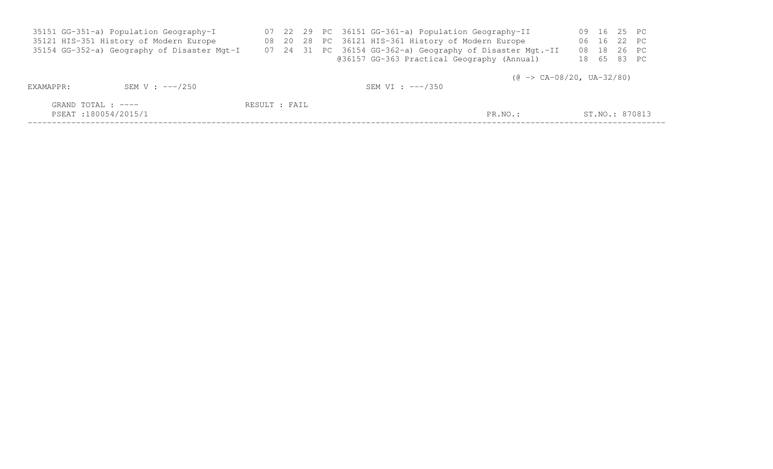|           | 35151 GG-351-a) Population Geography-I      |               |  | 07 22 29 PC 36151 GG-361-a) Population Geography-II       |       |       | 09 16 25 PC |                |
|-----------|---------------------------------------------|---------------|--|-----------------------------------------------------------|-------|-------|-------------|----------------|
|           | 35121 HIS-351 History of Modern Europe      |               |  | 08 20 28 PC 36121 HIS-361 History of Modern Europe        |       | 06 16 | 22 PC       |                |
|           | 35154 GG-352-a) Geography of Disaster Mgt-I |               |  | 07 24 31 PC 36154 GG-362-a) Geography of Disaster Mgt.-II | 08 18 |       | 26 PC       |                |
|           |                                             |               |  | @36157 GG-363 Practical Geography (Annual)                |       |       | 18 65 83 PC |                |
| EXAMAPPR: | SEM V : $---/250$                           |               |  | $(0 \rightarrow CA-08/20, UA-32/80)$<br>SEM VI : ---/350  |       |       |             |                |
|           | GRAND TOTAL : ----<br>PSEAT:180054/2015/1   | RESULT : FAIL |  | PR.NO.:                                                   |       |       |             | ST.NO.: 870813 |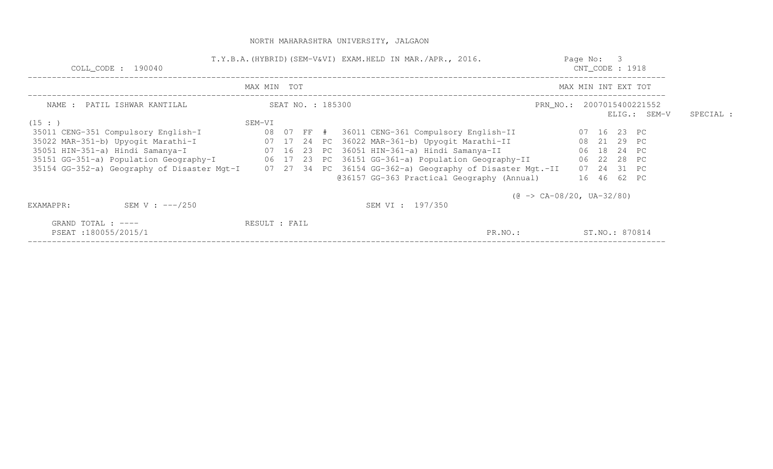| COLL_CODE : 190040                                                                                    | T.Y.B.A. (HYBRID) (SEM-V&VI) EXAM.HELD IN MAR./APR., 2016. |  |                   |  |                                                              |                                      |  |  |                | $C\text{NT\_CODE}$ : 1918 |  |
|-------------------------------------------------------------------------------------------------------|------------------------------------------------------------|--|-------------------|--|--------------------------------------------------------------|--------------------------------------|--|--|----------------|---------------------------|--|
|                                                                                                       | MAX MIN TOT                                                |  |                   |  |                                                              | MAX MIN INT EXT TOT                  |  |  |                |                           |  |
| NAME : PATIL ISHWAR KANTILAL                                                                          |                                                            |  | SEAT NO. : 185300 |  |                                                              | PRN NO.: 2007015400221552            |  |  | ELIG.: SEM-V   | SPECIAL :                 |  |
| (15: )                                                                                                | SEM-VI                                                     |  |                   |  |                                                              |                                      |  |  |                |                           |  |
| 35011 CENG-351 Compulsory English-I                                                                   |                                                            |  |                   |  | 08   07   FF   #     36011  CENG-361  Compulsory  English-II |                                      |  |  | 07 16 23 PC    |                           |  |
| 35022 MAR-351-b) Upyogit Marathi-I                                                                    |                                                            |  |                   |  | 07 17 24 PC 36022 MAR-361-b) Upyogit Marathi-II              |                                      |  |  | 08  21  29  PC |                           |  |
| 35051 HIN-351-a) Hindi Samanya-I                                                                      |                                                            |  |                   |  | 07 16 23 PC 36051 HIN-361-a) Hindi Samanya-II                |                                      |  |  | 06 18 24 PC    |                           |  |
| 35151 GG-351-a) Population Geography-I       06 17 23 PC 36151 GG-361-a) Population Geography-II      |                                                            |  |                   |  |                                                              |                                      |  |  | 06 22 28 PC    |                           |  |
| 35154 GG-352-a) Geography of Disaster Mgt-I 07 27 34 PC 36154 GG-362-a) Geography of Disaster Mgt.-II |                                                            |  |                   |  |                                                              |                                      |  |  | 07 24 31 PC    |                           |  |
|                                                                                                       |                                                            |  |                   |  | @36157 GG-363 Practical Geography (Annual)                   |                                      |  |  | 16 46 62 PC    |                           |  |
|                                                                                                       |                                                            |  |                   |  |                                                              | $(0 \rightarrow CA-08/20, UA-32/80)$ |  |  |                |                           |  |
| SEM V : $---/250$<br>EXAMAPPR:                                                                        |                                                            |  |                   |  | SEM VI: 197/350                                              |                                      |  |  |                |                           |  |
| GRAND TOTAL : $---$                                                                                   | RESULT : FAIL                                              |  |                   |  |                                                              |                                      |  |  |                |                           |  |
| PSEAT:180055/2015/1                                                                                   |                                                            |  |                   |  | PR.NO.:                                                      |                                      |  |  | ST.NO.: 870814 |                           |  |
|                                                                                                       |                                                            |  |                   |  |                                                              |                                      |  |  |                |                           |  |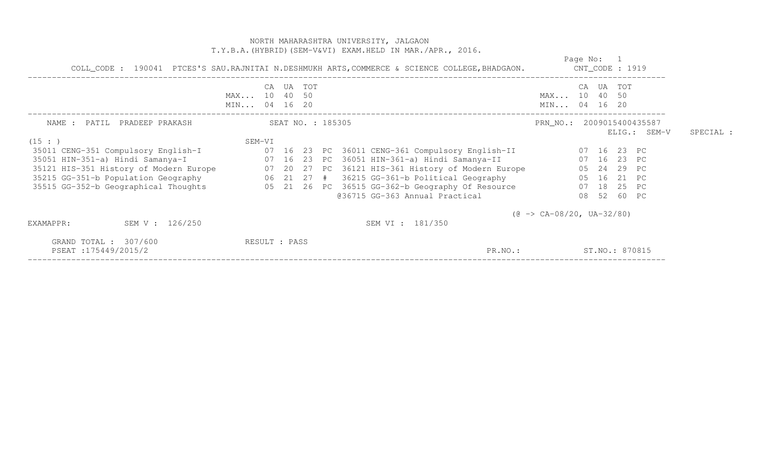|                                                 | NORTH MAHARASHTRA UNIVERSITY, JALGAON<br>T.Y.B.A. (HYBRID) (SEM-V&VI) EXAM.HELD IN MAR./APR., 2016.                                                                                                                                                                                                                                                                                                                                                                                                                           |                                           |           |
|-------------------------------------------------|-------------------------------------------------------------------------------------------------------------------------------------------------------------------------------------------------------------------------------------------------------------------------------------------------------------------------------------------------------------------------------------------------------------------------------------------------------------------------------------------------------------------------------|-------------------------------------------|-----------|
|                                                 | COLL_CODE: 190041 PTCES'S SAU.RAJNITAI N.DESHMUKH ARTS, COMMERCE & SCIENCE COLLEGE, BHADGAON. CNT_CODE: 1919                                                                                                                                                                                                                                                                                                                                                                                                                  | Page No: 1                                |           |
|                                                 | UA TOT<br>CA<br>MAX 10 40 50<br>MIN 04 16 20                                                                                                                                                                                                                                                                                                                                                                                                                                                                                  | CA UA TOT<br>MAX 10 40 50<br>MIN 04 16 20 |           |
| NAME: PATIL PRADEEP PRAKASH                     | SEAT NO. : 185305<br>SEM-VI                                                                                                                                                                                                                                                                                                                                                                                                                                                                                                   | PRN_NO.: 2009015400435587<br>ELIG.: SEM-V | SPECIAL : |
| (15 : )<br>35515 GG-352-b Geographical Thoughts | 35011 CENG-351 Compulsory English-I (07 16 23 PC 36011 CENG-361 Compulsory English-II (07 16 23 PC<br>35051 HIN-351-a) Hindi Samanya-I (07 16 23 PC 36051 HIN-361-a) Hindi Samanya-II<br>35121 HIS-351 History of Modern Europe 07 20 27 PC 36121 HIS-361 History of Modern Europe 05 24 29 PC<br>35215 GG-351-b Population Geography 06 21 27 # 36215 GG-361-b Political Geography 05 16 21 PC<br>05   21   26   PC   36515   GG-362-b   Geography   Of Resource         07   18   25   PC<br>@36715 GG-363 Annual Practical | 07 16 23 PC<br>08 52 60 PC                |           |
| SEM V : 126/250<br>EXAMAPPR:                    | SEM VI : 181/350                                                                                                                                                                                                                                                                                                                                                                                                                                                                                                              | $(\theta \rightarrow CA-08/20, UA-32/80)$ |           |
| GRAND TOTAL : 307/600<br>PSEAT: 175449/2015/2   | RESULT : PASS<br>PR.NO.:                                                                                                                                                                                                                                                                                                                                                                                                                                                                                                      | ST.NO.: 870815                            |           |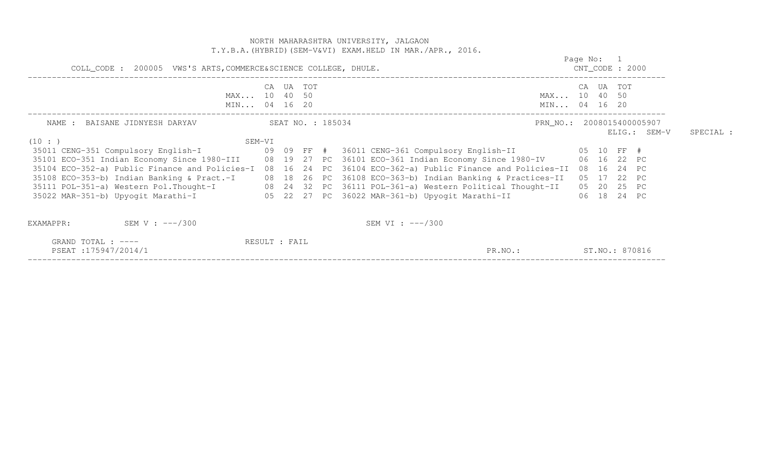NORTH MAHARASHTRA UNIVERSITY, JALGAON T.Y.B.A.(HYBRID)(SEM-V&VI) EXAM.HELD IN MAR./APR., 2016. Page No: 1 CNT CODE : 2000 COLL\_CODE : 200005 VWS'S ARTS,COMMERCE&SCIENCE COLLEGE, DHULE. CNT\_CODE : 2000 ------------------------------------------------------------------------------------------------------------------------------------ CA UA TOT CA UA TOT MAX... 10 40 50 MAX... 10 40 50 MIN... 04 16 20 MIN... 04 16 20 MIN... 04 16 20 ------------------------------------------------------------------------------------------------------------------------------------ NAME : BAISANE JIDNYESH DARYAV SEAT NO. : 185034 PRN NO.: 2008015400005907 ELIG.: SEM-V SPECIAL :  $(10 : )$  SEM-VI 35011 CENG-351 Compulsory English-I 09 09 FF # 36011 CENG-361 Compulsory English-II 05 10 FF # 35101 ECO-351 Indian Economy Since 1980-III 08 19 27 PC 36101 ECO-361 Indian Economy Since 1980-IV 06 16 22 PC 35104 ECO-352-a) Public Finance and Policies-I 08 16 24 PC 36104 ECO-362-a) Public Finance and Policies-II 08 16 24 PC 35108 ECO-353-b) Indian Banking & Pract.-I 08 18 26 PC 36108 ECO-363-b) Indian Banking & Practices-II 05 17 22 PC 35111 POL-351-a) Western Pol.Thought-I 08 24 32 PC 36111 POL-361-a) Western Political Thought-II 05 20 25 PC 35022 MAR-351-b) Upyogit Marathi-I 05 22 27 PC 36022 MAR-361-b) Upyogit Marathi-II 06 18 24 PC EXAMAPPR: SEM V : ---/300 SEM VI : ---/300 GRAND TOTAL : ----  $\overline{R}$ PSEAT :175947/2014/1 PR.NO.: ST.NO.: 870816 ------------------------------------------------------------------------------------------------------------------------------------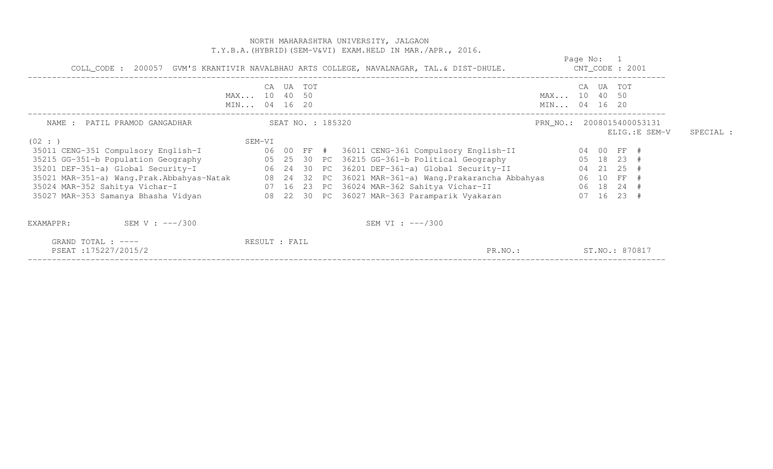|                                                                                       |                                    |                   |        | T.Y.B.A. (HYBRID) (SEM-V&VI) EXAM.HELD IN MAR./APR., 2016.<br>COLL_CODE : 200057 GVM'S KRANTIVIR NAVALBHAU ARTS COLLEGE, NAVALNAGAR, TAL.& DIST-DHULE. |                              | Page No: 1<br>$CNT\_CODE$ : 2001 |       |            |                |           |
|---------------------------------------------------------------------------------------|------------------------------------|-------------------|--------|--------------------------------------------------------------------------------------------------------------------------------------------------------|------------------------------|----------------------------------|-------|------------|----------------|-----------|
|                                                                                       | CA<br>MAX 10 40 50<br>MIN 04 16 20 |                   | UA TOT |                                                                                                                                                        | MAX 10 40 50<br>MIN 04 16 20 |                                  |       | CA UA TOT  |                |           |
| NAME : PATIL PRAMOD GANGADHAR                                                         | SEM-VI                             | SEAT NO. : 185320 |        |                                                                                                                                                        | PRN_NO.: 2008015400053131    |                                  |       |            | ELIG.: E SEM-V | SPECIAL : |
| (02 : )<br>35011 CENG-351 Compulsory English-I                                        |                                    |                   |        | 06 00 FF # 36011 CENG-361 Compulsory English-II                                                                                                        |                              |                                  |       | 04 00 FF # |                |           |
| 35215 GG-351-b Population Geography                                                   |                                    |                   |        | 05 25 30 PC 36215 GG-361-b Political Geography                                                                                                         |                              |                                  |       | 05 18 23 # |                |           |
| 35201 DEF-351-a) Global Security-I<br>06 24 30 PC 36201 DEF-361-a) Global Security-II |                                    |                   |        |                                                                                                                                                        |                              |                                  |       | 04 21 25   |                |           |
| 35021 MAR-351-a) Wang. Prak. Abbahyas-Natak 08 24                                     |                                    |                   |        | 32 PC 36021 MAR-361-a) Wang. Prakarancha Abbahyas                                                                                                      |                              |                                  |       | 06 10 FF   |                |           |
| $\frac{1}{2}$ 07 16<br>35024 MAR-352 Sahitya Vichar-I                                 |                                    |                   |        | 23 PC 36024 MAR-362 Sahitya Vichar-II                                                                                                                  |                              |                                  |       | 06 18 24 # |                |           |
| 35027 MAR-353 Samanya Bhasha Vidyan                                                   |                                    |                   |        | 08 22 30 PC 36027 MAR-363 Paramparik Vyakaran                                                                                                          |                              |                                  | 07 16 | 23 #       |                |           |
| SEM V : ---/300<br>EXAMAPPR:                                                          |                                    |                   |        | SEM VI : $---/300$                                                                                                                                     |                              |                                  |       |            |                |           |
| GRAND TOTAL : $---$<br>PSEAT:175227/2015/2                                            | RESULT : FAIL                      |                   |        | PR.NO.:                                                                                                                                                |                              | ST.NO.: 870817                   |       |            |                |           |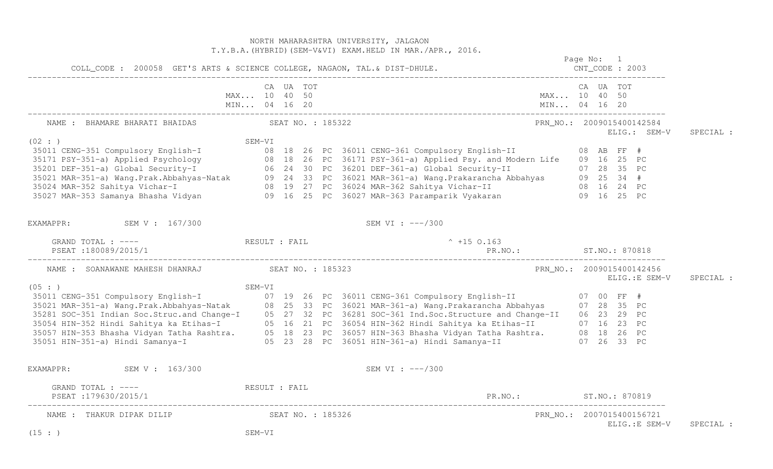|                                                                                                                   |                             |           |  | NORTH MAHARASHTRA UNIVERSITY, JALGAON<br>T.Y.B.A. (HYBRID) (SEM-V&VI) EXAM.HELD IN MAR./APR., 2016.                                                                                                                                                                                                                                |  | Page No: 1                                  |           |
|-------------------------------------------------------------------------------------------------------------------|-----------------------------|-----------|--|------------------------------------------------------------------------------------------------------------------------------------------------------------------------------------------------------------------------------------------------------------------------------------------------------------------------------------|--|---------------------------------------------|-----------|
| COLL_CODE : 200058 GET'S ARTS & SCIENCE COLLEGE, NAGAON, TAL.& DIST-DHULE.                                        |                             |           |  |                                                                                                                                                                                                                                                                                                                                    |  |                                             |           |
|                                                                                                                   | MAX 10 40 50                | CA UA TOT |  | MAX 10 40 50                                                                                                                                                                                                                                                                                                                       |  | CA UA TOT                                   |           |
| NAME : BHAMARE BHARATI BHAIDAS (SEAT NO. : 185322                                                                 |                             |           |  |                                                                                                                                                                                                                                                                                                                                    |  | PRN_NO.: 2009015400142584<br>ELIG.: SEM-V   | SPECIAL : |
| (02 : )                                                                                                           | SEM-VI                      |           |  | 35021 MAR-351 Compulsory English-I<br>35171 PSY-351-a) Applied Psychology and Modern Life in the USA of the SERTH-VI<br>35201 DEF-351-a) Global Security-I<br>35021 MAR-351-a) Global Security-I and Modern Life in the USA of the S                                                                                               |  |                                             |           |
| EXAMAPPR: SEM V : 167/300                                                                                         |                             |           |  | SEM VI : ---/300                                                                                                                                                                                                                                                                                                                   |  |                                             |           |
| GRAND TOTAL : ----               RESULT : FAIL                               ^ +15 0.163<br>PSEAT : 180089/2015/1 |                             |           |  |                                                                                                                                                                                                                                                                                                                                    |  |                                             |           |
| NAME : SOANAWANE MAHESH DHANRAJ SEAT NO. : 185323                                                                 |                             |           |  |                                                                                                                                                                                                                                                                                                                                    |  | PRN_NO.: 2009015400142456<br>ELIG.:E SEM-V  | SPECIAL : |
|                                                                                                                   |                             |           |  | SEM-VI<br>35011 CENG-351 Compulsory English-I and Change-I 07 19 26 PC 36011 CENG-361 Compulsory English-II 07 00 FF #<br>35021 MAR-351-a) Wang.Prak.Abbahyas-Natak 08 25 33 PC 36021 MAR-361-a) Wang.Prakarancha Abbahyas 07 28 3<br>35051 HIN-351-a) Hindi Samanya-I (05 23 28 PC 36051 HIN-361-a) Hindi Samanya-II (07 26 33 PC |  |                                             |           |
| EXAMAPPR: SEM V : 163/300                                                                                         |                             |           |  | SEM VI : ---/300                                                                                                                                                                                                                                                                                                                   |  |                                             |           |
| GRAND TOTAL : ---- RESULT : FAIL<br>PSEAT : 179630/2015/1                                                         |                             |           |  | PR. NO.: ST. NO.: 870819                                                                                                                                                                                                                                                                                                           |  |                                             |           |
| NAME : THAKUR DIPAK DILIP<br>(15 : )                                                                              | SEAT NO. : 185326<br>SEM-VI |           |  |                                                                                                                                                                                                                                                                                                                                    |  | PRN NO.: 2007015400156721<br>ELIG.: E SEM-V | SPECIAL : |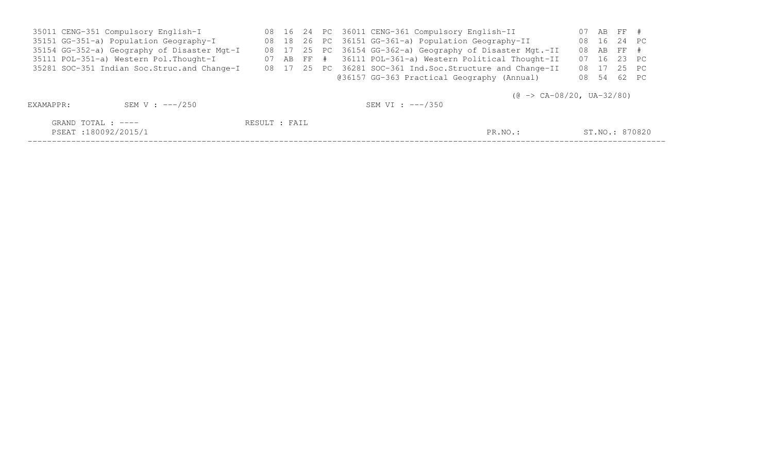| 35011 CENG-351 Compulsory English-I         |  |  | 08 16 24 PC 36011 CENG-361 Compulsory English-II            |             | 07 AB FF #     |  |
|---------------------------------------------|--|--|-------------------------------------------------------------|-------------|----------------|--|
| 35151 GG-351-a) Population Geography-I      |  |  | 08 18 26 PC 36151 GG-361-a) Population Geography-II         |             | 08  16  24  PC |  |
| 35154 GG-352-a) Geography of Disaster Mgt-I |  |  | 08 17 25 PC 36154 GG-362-a) Geography of Disaster Mgt.-II   |             | 08 AB FF #     |  |
| 35111 POL-351-a) Western Pol. Thought-I     |  |  | 07 AB FF # 36111 POL-361-a) Western Political Thought-II    | 07 16 23 PC |                |  |
| 35281 SOC-351 Indian Soc.Struc.and Change-I |  |  | 08 17 25 PC 36281 SOC-361 Ind. Soc. Structure and Change-II |             | 08 17 25 PC    |  |
|                                             |  |  | @36157 GG-363 Practical Geography (Annual)                  |             | 08 54 62 PC    |  |
|                                             |  |  |                                                             |             |                |  |

 $(\theta \rightarrow CA-08/20, UA-32/80)$ 

| EXAMAPPR:                                 | SEM V : ---/250 |               | SEM VI : ---/350 |         |                |
|-------------------------------------------|-----------------|---------------|------------------|---------|----------------|
| GRAND TOTAL : ----<br>PSEAT:180092/2015/1 |                 | RESULT : FAIL |                  | PR.NO.: | ST.NO.: 870820 |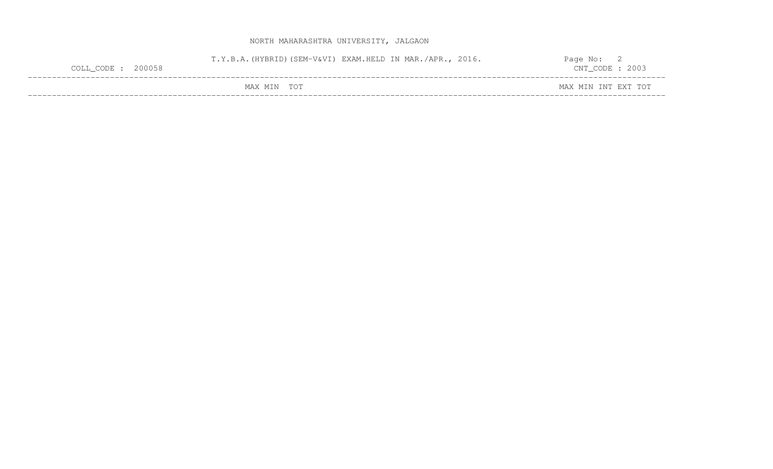| COLL_CODE : 200058 | T.Y.B.A. (HYBRID) (SEM-V&VI) EXAM.HELD IN MAR./APR., 2016. |            |  | Page No:<br>$CNT\_CODE : 2003$ |  |
|--------------------|------------------------------------------------------------|------------|--|--------------------------------|--|
|                    | MAX MIN                                                    | <b>TOT</b> |  | MAX MIN INT EXT TOT            |  |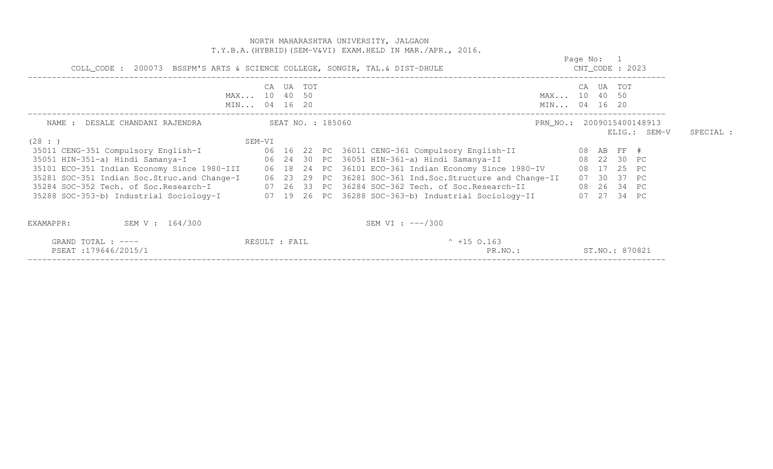| COLL_CODE : 200073 BSSPM'S ARTS & SCIENCE COLLEGE, SONGIR, TAL. & DIST-DHULE             |                              |           |  | T.Y.B.A. (HYBRID) (SEM-V&VI) EXAM.HELD IN MAR./APR., 2016.<br>$CNT\_CODE$ : 2023                               |                              | Page No: 1 |                |                                           |           |
|------------------------------------------------------------------------------------------|------------------------------|-----------|--|----------------------------------------------------------------------------------------------------------------|------------------------------|------------|----------------|-------------------------------------------|-----------|
|                                                                                          | MAX 10 40 50<br>MIN 04 16 20 | CA UA TOT |  |                                                                                                                | MAX 10 40 50<br>MIN 04 16 20 |            | CA UA TOT      |                                           |           |
| NAME : DESALE CHANDANI RAJENDRA SEAT NO. : 185060<br>(28: )                              | SEM-VI                       |           |  |                                                                                                                |                              |            |                | PRN_NO.: 2009015400148913<br>ELIG.: SEM-V | SPECIAL : |
|                                                                                          |                              |           |  |                                                                                                                |                              |            |                |                                           |           |
|                                                                                          |                              |           |  |                                                                                                                |                              |            |                |                                           |           |
|                                                                                          |                              |           |  | 35101 ECO-351 Indian Economy Since 1980-III 06 18 24 PC 36101 ECO-361 Indian Economy Since 1980-IV 08 17 25 PC |                              |            |                |                                           |           |
|                                                                                          |                              |           |  | 35281 SOC-351 Indian Soc.Struc.and Change-I 06 23 29 PC 36281 SOC-361 Ind.Soc.Structure and Change-II          |                              |            | 07 30 37 PC    |                                           |           |
| 35284 SOC-352 Tech. of Soc.Research-I 07 26 33 PC 36284 SOC-362 Tech. of Soc.Research-II |                              |           |  |                                                                                                                |                              |            | 08  26  34  PC |                                           |           |
|                                                                                          |                              |           |  | 35288 SOC-353-b) Industrial Sociology-I 07 19 26 PC 36288 SOC-363-b) Industrial Sociology-II 07 27 34 PC       |                              |            |                |                                           |           |
| SEM V : 164/300<br>EXAMAPPR:                                                             |                              |           |  | SEM VI : $---/300$                                                                                             |                              |            |                |                                           |           |
| GRAND TOTAL : ----<br>PSEAT:179646/2015/1                                                | RESULT : FAIL                |           |  | $^{\circ}$ +15 0.163<br>PR.NO.:<br>ST.NO.: 870821                                                              |                              |            |                |                                           |           |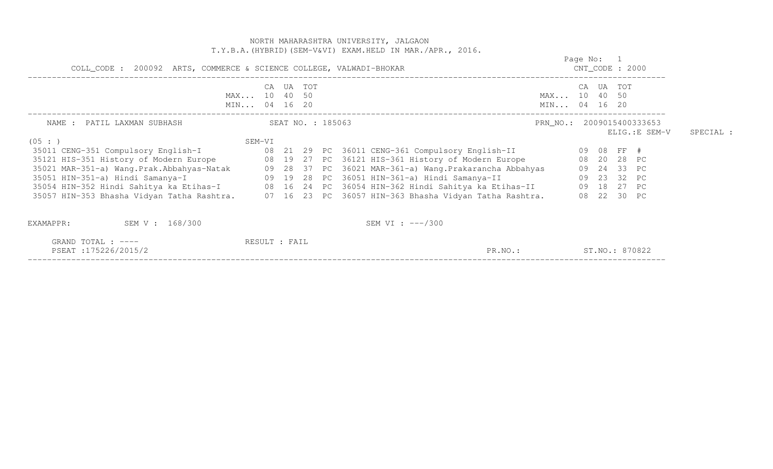|                                            | NORTH MAHARASHTRA UNIVERSITY, JALGAON<br>T.Y.B.A. (HYBRID) (SEM-V&VI) EXAM.HELD IN MAR./APR., 2016.                                                                                                                                                                                                                                                                                                                                                                                                                        |                              |  |  |                                                                               |  |           |  |  |
|--------------------------------------------|----------------------------------------------------------------------------------------------------------------------------------------------------------------------------------------------------------------------------------------------------------------------------------------------------------------------------------------------------------------------------------------------------------------------------------------------------------------------------------------------------------------------------|------------------------------|--|--|-------------------------------------------------------------------------------|--|-----------|--|--|
|                                            | COLL_CODE : 200092 ARTS, COMMERCE & SCIENCE COLLEGE, VALWADI-BHOKAR                                                                                                                                                                                                                                                                                                                                                                                                                                                        |                              |  |  |                                                                               |  |           |  |  |
|                                            | UA TOT<br>CA<br>MAX 10 40 50<br>MIN 04 16 20                                                                                                                                                                                                                                                                                                                                                                                                                                                                               | MAX 10 40 50<br>MIN 04 16 20 |  |  | CA UA TOT                                                                     |  |           |  |  |
| NAME : PATIL LAXMAN SUBHASH                | SEAT NO. : 185063<br>SEM-VI                                                                                                                                                                                                                                                                                                                                                                                                                                                                                                | PRN_NO.: 2009015400333653    |  |  | ELIG.: E SEM-V                                                                |  | SPECIAL : |  |  |
| (05 : )                                    | 35121 HIS-351 History of Modern Europe 68 19 27 PC 36121 HIS-361 History of Modern Europe<br>35021 MAR-351-a) Wang.Prak.Abbahyas-Natak       09 28 37 PC 36021 MAR-361-a) Wang.Prakarancha Abbahyas<br>35051 HIN-351-a) Hindi Samanya-I                   09 19 28 PC 36051 HIN-361-a) Hindi Samanya-II<br>35054 HIN-352 Hindi Sahitya ka Etihas-I           08  16  24  PC  36054 HIN-362 Hindi Sahitya ka Etihas-II<br>35057 HIN-353 Bhasha Vidyan Tatha Rashtra. 07 16 23 PC 36057 HIN-363 Bhasha Vidyan Tatha Rashtra. |                              |  |  | 08  20  28  PC<br>09  24  33  PC<br>09 23 32 PC<br>09 18 27 PC<br>08 22 30 PC |  |           |  |  |
| SEM V : 168/300<br>EXAMAPPR:               | SEM VI : $---/300$                                                                                                                                                                                                                                                                                                                                                                                                                                                                                                         |                              |  |  |                                                                               |  |           |  |  |
| GRAND TOTAL : $---$<br>PSEAT:175226/2015/2 | RESULT : FAIL<br>PR.NO.:                                                                                                                                                                                                                                                                                                                                                                                                                                                                                                   |                              |  |  | ST.NO.: 870822                                                                |  |           |  |  |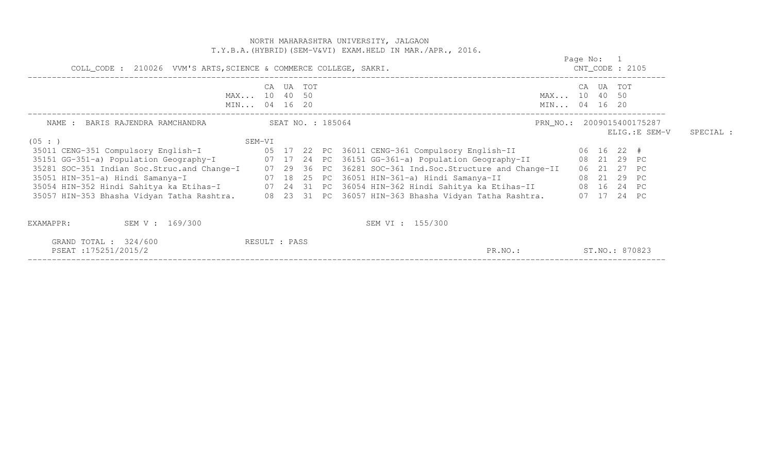|                                                                                |                              |           |  | NORTH MAHARASHTRA UNIVERSITY, JALGAON<br>T.Y.B.A. (HYBRID) (SEM-V&VI) EXAM.HELD IN MAR./APR., 2016.                                                                                                                                                                                                                                                                                                                                                                                                                                                                                                                                   |                                  |                            |               |           |
|--------------------------------------------------------------------------------|------------------------------|-----------|--|---------------------------------------------------------------------------------------------------------------------------------------------------------------------------------------------------------------------------------------------------------------------------------------------------------------------------------------------------------------------------------------------------------------------------------------------------------------------------------------------------------------------------------------------------------------------------------------------------------------------------------------|----------------------------------|----------------------------|---------------|-----------|
| COLL_CODE : 210026 VVM'S ARTS, SCIENCE & COMMERCE COLLEGE, SAKRI.              |                              |           |  |                                                                                                                                                                                                                                                                                                                                                                                                                                                                                                                                                                                                                                       | Page No: 1<br>$CNT\_CODE$ : 2105 |                            |               |           |
|                                                                                | MAX 10 40 50<br>MIN 04 16 20 | CA UA TOT |  | MIN 04 16 20                                                                                                                                                                                                                                                                                                                                                                                                                                                                                                                                                                                                                          | MAX 10 40 50                     | CA UA TOT                  |               |           |
| NAME : BARIS RAJENDRA RAMCHANDRA<br>(05 : )                                    | SEAT NO. : 185064<br>SEM-VI  |           |  | PRN_NO.: 2009015400175287                                                                                                                                                                                                                                                                                                                                                                                                                                                                                                                                                                                                             |                                  |                            | ELIG.:E SEM-V | SPECIAL : |
|                                                                                |                              |           |  | 35011 CENG-351 Compulsory English-I (05 17 22 PC 36011 CENG-361 Compulsory English-II (06 16 22 #<br>35151 GG-351-a) Population Geography-I 07 17 24 PC 36151 GG-361-a) Population Geography-II 08 21 29 PC<br>35281 SOC-351 Indian Soc.Struc.and Change-I 07 29 36 PC 36281 SOC-361 Ind.Soc.Structure and Change-II<br>35051 HIN-351-a) Hindi Samanya-I 07 18 25 PC 36051 HIN-361-a) Hindi Samanya-II<br>08 21 29 PC<br>35054 HIN-352 Hindi Sahitya ka Etihas-I (24 31 PC 36054 HIN-362 Hindi Sahitya ka Etihas-II (28 16 24 PC<br>35057 HIN-353 Bhasha Vidyan Tatha Rashtra. 08 23 31 PC 36057 HIN-363 Bhasha Vidyan Tatha Rashtra. |                                  | 06 21 27 PC<br>07 17 24 PC |               |           |
| SEM V : 169/300<br>EXAMAPPR:<br>GRAND TOTAL : $324/600$<br>PSEAT:175251/2015/2 | RESULT : PASS                |           |  | SEM VI : 155/300<br>PR.NO.:                                                                                                                                                                                                                                                                                                                                                                                                                                                                                                                                                                                                           | ST. NO.: 870823                  |                            |               |           |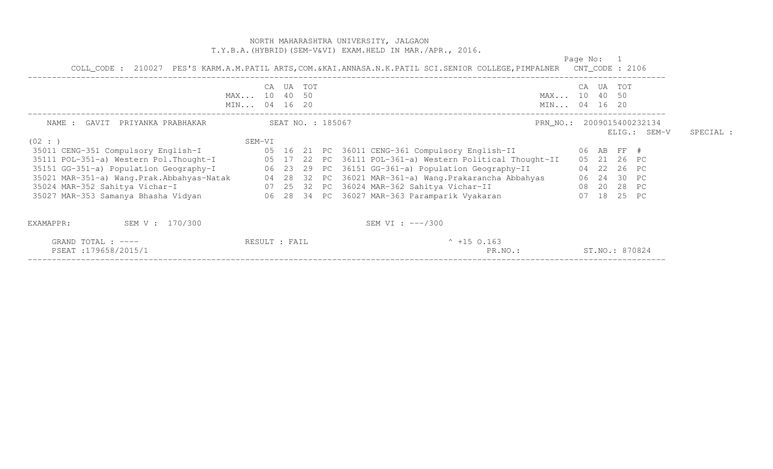### NORTH MAHARASHTRA UNIVERSITY, JALGAON T.Y.B.A.(HYBRID)(SEM-V&VI) EXAM.HELD IN MAR./APR., 2016.

|                                                                                                             |               |        |  | COLL_CODE: 210027 PES'S KARM.A.M.PATIL ARTS, COM.&KAI.ANNASA.N.K.PATIL SCI.SENIOR COLLEGE, PIMPALNER CNT_CODE: 2106                                                                                          | Page No:       |                |                |           |
|-------------------------------------------------------------------------------------------------------------|---------------|--------|--|--------------------------------------------------------------------------------------------------------------------------------------------------------------------------------------------------------------|----------------|----------------|----------------|-----------|
|                                                                                                             | CA            | UA TOT |  |                                                                                                                                                                                                              | CA UA TOT      |                |                |           |
|                                                                                                             | MAX 10 40 50  |        |  | MAX 10 40 50                                                                                                                                                                                                 |                |                |                |           |
|                                                                                                             | MIN 04 16 20  |        |  | MIN 04 16 20                                                                                                                                                                                                 |                |                |                |           |
| SEAT NO. : 185067<br>NAME : GAVIT PRIYANKA PRABHAKAR                                                        |               |        |  | PRN NO.: 2009015400232134                                                                                                                                                                                    |                |                |                |           |
| (02 :                                                                                                       | SEM-VI        |        |  |                                                                                                                                                                                                              |                |                | $ELIG.:$ SEM-V | SPECIAL : |
| 35011 CENG-351 Compulsory English-I 65 16 21 PC 36011 CENG-361 Compulsory English-II                        |               |        |  |                                                                                                                                                                                                              | 06 AB FF #     |                |                |           |
|                                                                                                             |               |        |  | 35111 POL-351-a) Western Pol.Thought-I 65 17 22 PC 36111 POL-361-a) Western Political Thought-II                                                                                                             | 05 21 26 PC    |                |                |           |
| 35151 GG-351-a) Population Geography-I 66 23 29 PC 36151 GG-361-a) Population Geography-II                  |               |        |  |                                                                                                                                                                                                              | 04 22 26 PC    |                |                |           |
|                                                                                                             |               |        |  |                                                                                                                                                                                                              | 06  24  30  PC |                |                |           |
|                                                                                                             |               |        |  | 35021 MAR-351-a) Wang.Prak.Abbahyas-Natak       04 28 32 PC 36021 MAR-361-a) Wang.Prakarancha Abbahyas<br>35024 MAR-352 Sahitya Vichar-I                         07 25 32 PC 36024 MAR-362 Sahitya Vichar-II | 08  20  28  PC |                |                |           |
| 35027 MAR-353 Samanya Bhasha Vidyan                       06  28  34  PC  36027 MAR-363 Paramparik Vyakaran |               |        |  |                                                                                                                                                                                                              | 07 18 25 PC    |                |                |           |
| SEM V : 170/300<br>EXAMAPPR:                                                                                |               |        |  | SEM VI : $---/300$                                                                                                                                                                                           |                |                |                |           |
| GRAND TOTAL : ----<br>PSEAT:179658/2015/1                                                                   | RESULT : FAIL |        |  | $^{\circ}$ +15 0.163<br>PR.NO.:                                                                                                                                                                              |                | ST.NO.: 870824 |                |           |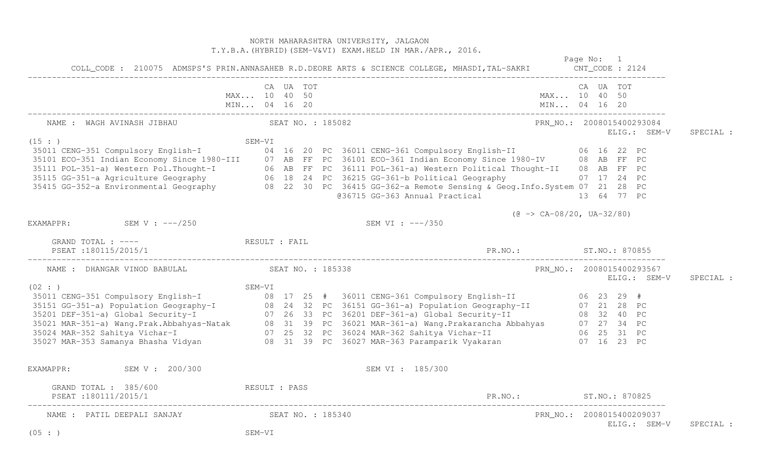|                                                                                                                                                                                                                                                |              |           |  | NORTH MAHARASHTRA UNIVERSITY, JALGAON<br>T.Y.B.A. (HYBRID) (SEM-V&VI) EXAM.HELD IN MAR./APR., 2016. |                                                           | Page No: 1 |           |              |           |
|------------------------------------------------------------------------------------------------------------------------------------------------------------------------------------------------------------------------------------------------|--------------|-----------|--|-----------------------------------------------------------------------------------------------------|-----------------------------------------------------------|------------|-----------|--------------|-----------|
|                                                                                                                                                                                                                                                | MAX 10 40 50 | CA UA TOT |  |                                                                                                     | MAX 10 40 50                                              |            | CA UA TOT |              |           |
| NAME : WAGH AVINASH JIBHAU (SEAT NO. : 185082)                                                                                                                                                                                                 |              |           |  |                                                                                                     | PRN_NO.: 2008015400293084                                 |            |           | ELIG.: SEM-V | SPECIAL : |
| (15: )<br>35111 POL-351-a) Western Pol.Thought-I 06 AB FF PC 36111 POL-361-a) Western Political Thought-II 08 AB FF PC<br>35115 GG-351-a Agriculture Geography 06 18 24 PC 36215 GG-361-b Political Geography 07 17 24 PC<br>35415 GG-352-a En |              |           |  | @36715 GG-363 Annual Practical 13 64 77 PC                                                          |                                                           |            |           |              |           |
| EXAMAPPR: SEM V : $---/250$                                                                                                                                                                                                                    |              |           |  | SEM VI : ---/350                                                                                    | $(\text{C} \rightarrow \text{CA}-08/20, \text{UA}-32/80)$ |            |           |              |           |
| GRAND TOTAL : $---$<br>PSEAT :180115/2015/1                                                                                                                                                                                                    |              |           |  | PR.NO.: ST.NO.: 870855                                                                              |                                                           |            |           |              |           |
| NAME : DHANGAR VINOD BABULAL SEAT NO. : 185338                                                                                                                                                                                                 |              |           |  |                                                                                                     | PRN_NO.: 2008015400293567                                 |            |           | ELIG.: SEM-V | SPECIAL : |
| 35011 CENG-351 Compulsory English-I<br>35011 CENG-351 Compulsory English-I<br>35151 GG-351-a) Population Geography-I<br>35201 DEF-351-a) Global Security-I<br>35021 MAR-351-a) Wang.Prak.Abbahyas-Natak<br>36021 MAR-352 Sahitya Vichar-       |              |           |  |                                                                                                     |                                                           |            |           |              |           |
| EXAMAPPR: SEM V : 200/300                                                                                                                                                                                                                      |              |           |  | SEM VI : 185/300                                                                                    |                                                           |            |           |              |           |
| RESULT : PASS<br>GRAND TOTAL : 385/600<br>PSEAT:180111/2015/1                                                                                                                                                                                  |              |           |  | PR.NO.: ST.NO.: 870825                                                                              |                                                           |            |           |              |           |
| NAME : PATIL DEEPALI SANJAY (SEAT NO. : 185340)<br>(05 : )                                                                                                                                                                                     | SEM-VI       |           |  |                                                                                                     | PRN_NO.: 2008015400209037                                 |            |           | ELIG.: SEM-V | SPECIAL : |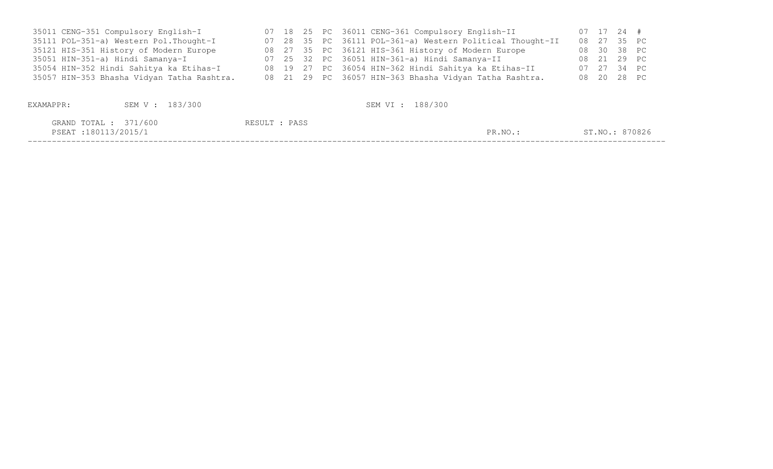| 35011 CENG-351 Compulsory English-I        |  |  | 07 18 25 PC 36011 CENG-361 Compulsory English-II          |  | 07 17 24 #     |  |
|--------------------------------------------|--|--|-----------------------------------------------------------|--|----------------|--|
| 35111 POL-351-a) Western Pol. Thought-I    |  |  | 07 28 35 PC 36111 POL-361-a) Western Political Thought-II |  | 08  27  35  PC |  |
| 35121 HIS-351 History of Modern Europe     |  |  | 08 27 35 PC 36121 HIS-361 History of Modern Europe        |  | 08 30 38 PC    |  |
| 35051 HIN-351-a) Hindi Samanya-I           |  |  | 07 25 32 PC 36051 HIN-361-a) Hindi Samanya-II             |  | 08 21 29 PC    |  |
| 35054 HIN-352 Hindi Sahitya ka Etihas-I    |  |  | 08 19 27 PC 36054 HIN-362 Hindi Sahitya ka Etihas-II      |  | 07 27 34 PC    |  |
| 35057 HIN-353 Bhasha Vidyan Tatha Rashtra. |  |  | 08 21 29 PC 36057 HIN-363 Bhasha Vidyan Tatha Rashtra.    |  | 08  20  28  PC |  |
|                                            |  |  |                                                           |  |                |  |
|                                            |  |  |                                                           |  |                |  |

| EXAMAPPR:                                    | SEM V : 183/300 |               | SEM VI : 188/300 |         |                |
|----------------------------------------------|-----------------|---------------|------------------|---------|----------------|
| GRAND TOTAL : 371/600<br>PSEAT:180113/2015/1 |                 | RESULT : PASS |                  | PR.NO.: | ST.NO.: 870826 |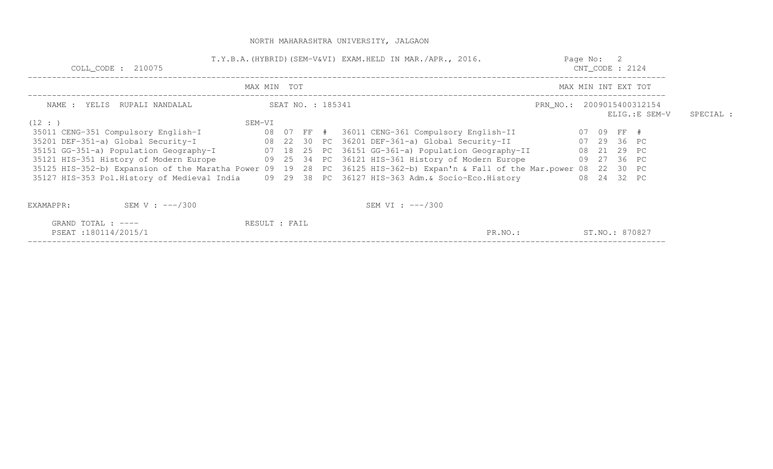| COLL CODE : 210075                                                                              | T.Y.B.A. (HYBRID) (SEM-V&VI) EXAM.HELD IN MAR./APR., 2016.<br>Page No: 2<br>$CNT\_CODE$ : 2124 |  |  |                   |                                                                                                                                                                                               |                     |                |  |                                             |           |
|-------------------------------------------------------------------------------------------------|------------------------------------------------------------------------------------------------|--|--|-------------------|-----------------------------------------------------------------------------------------------------------------------------------------------------------------------------------------------|---------------------|----------------|--|---------------------------------------------|-----------|
|                                                                                                 | MAX MIN TOT                                                                                    |  |  |                   |                                                                                                                                                                                               | MAX MIN INT EXT TOT |                |  |                                             |           |
| NAME : YELIS RUPALI NANDALAL                                                                    |                                                                                                |  |  | SEAT NO. : 185341 |                                                                                                                                                                                               |                     |                |  | PRN_NO.: 2009015400312154<br>ELIG.: E SEM-V | SPECIAL : |
| (12 : )                                                                                         | SEM-VI                                                                                         |  |  |                   | 35011 CENG-351 Compulsory English-I 68 07 FF # 36011 CENG-361 Compulsory English-II 67 09 FF #                                                                                                |                     |                |  |                                             |           |
|                                                                                                 |                                                                                                |  |  |                   | 35151 GG-351-a) Population Geography-I 07 18 25 PC 36151 GG-361-a) Population Geography-II 08 21 29 PC                                                                                        |                     | 07 29 36 PC    |  |                                             |           |
| 35121 HIS-351 History of Modern Europe                                                          |                                                                                                |  |  |                   | 09 25 34 PC 36121 HIS-361 History of Modern Europe<br>09 27 36 PC<br>35125 HIS-352-b) Expansion of the Maratha Power 09 19 28 PC 36125 HIS-362-b) Expan'n & Fall of the Mar.power 08 22 30 PC |                     |                |  |                                             |           |
| 35127 HIS-353 Pol.History of Medieval India (09 29 38 PC 36127 HIS-363 Adm. & Socio-Eco.History |                                                                                                |  |  |                   |                                                                                                                                                                                               |                     | 08  24  32  PC |  |                                             |           |
| SEM V : $---/300$<br>EXAMAPPR:                                                                  |                                                                                                |  |  |                   | SEM VI : $---/300$                                                                                                                                                                            |                     |                |  |                                             |           |
| GRAND TOTAL : ----<br>PSEAT:180114/2015/1                                                       | RESULT : FAIL                                                                                  |  |  |                   | PR.NO.:                                                                                                                                                                                       |                     | ST.NO.: 870827 |  |                                             |           |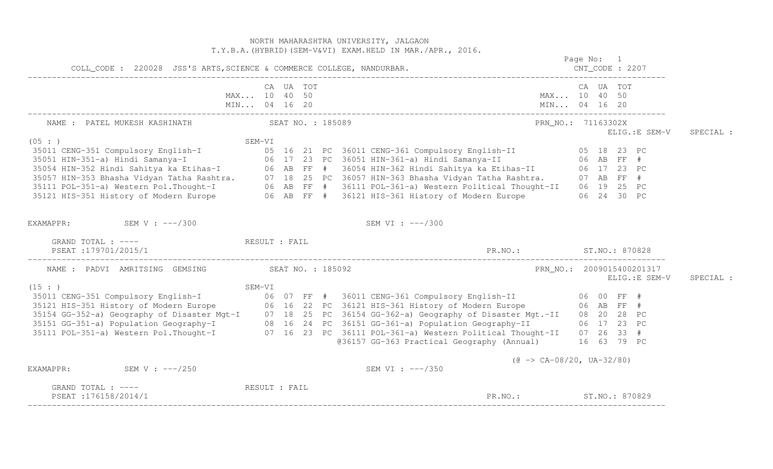NORTH MAHARASHTRA UNIVERSITY, JALGAON T.Y.B.A.(HYBRID)(SEM-V&VI) EXAM.HELD IN MAR./APR., 2016. Page No: 1 CNT CODE : 2207 COLL\_CODE : 220028 JSS'S ARTS,SCIENCE & COMMERCE COLLEGE, NANDURBAR. CNT\_CODE : 2207 ------------------------------------------------------------------------------------------------------------------------------------ CA UA TOT CA UA TOT MAX... 10 40 50 MAX... 10 40 50 MIN... 04 16 20 MIN... 04 16 20 MIN... 04 16 20 ------------------------------------------------------------------------------------------------------------------------------------ NAME : PATEL MUKESH KASHINATH SEAT NO. : 185089 PRANG. : 1980 PRN NO. : 71163302X ELIG.:E SEM-V SPECIAL : SEM-VI<br>
35011 CENG-351 Compulsory English-I 05 18 23 PC<br>
35011 CENG-351 Aindi Samanya-I 06 17 23 PC 36051 HIN-361-a) Hindi Samanya-II 06 AB FF #<br>
35054 HIN-352 Hindi Sahitya ka Etihas-I 06 AB FF # 36054 HIN-362 Hindi Sahit EXAMAPPR: SEM V : ---/300 SEM VI : ---/300 GRAND TOTAL : ----  $RESULT$  : FAIL PSEAT :179701/2015/1 PR.NO.: ST.NO.: 870828 ------------------------------------------------------------------------------------------------------------------------------------ NAME : PADVI AMRITSING GEMSING SEAT NO. : 185092 PRN\_NO.: 2009015400201317 ELIG.:E SEM-V SPECIAL : SEM-VI<br>
35011 CENG-351 Compulsory English-I 06 07 FF # 36011 CENG-361 Compulsory English-II 06 00 FF #<br>
35121 HIS-351 History of Modern Europe 06 16 22 PC 36121 HIS-361 History of Modern Europe 06 AB FF #<br>
35154 GG-352-a) @36157 GG-363 Practical Geography (Annual) 16 63 79 PC  $(\theta \rightarrow CA-08/20, UA-32/80)$ EXAMAPPR: SEM V : ---/250 SEM SEM V : ---/250 GRAND TOTAL : ---- RESULT : FAIL PSEAT :176158/2014/1 ST.NO.: S70829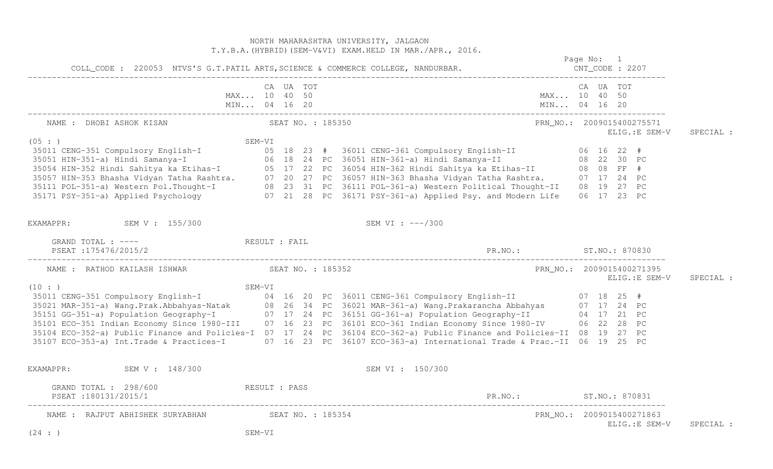|                                                               | NORTH MAHARASHTRA UNIVERSITY, JALGAON<br>T.Y.B.A. (HYBRID) (SEM-V&VI) EXAM.HELD IN MAR./APR., 2016.                                                                                                                                      |                          |                                             |           |
|---------------------------------------------------------------|------------------------------------------------------------------------------------------------------------------------------------------------------------------------------------------------------------------------------------------|--------------------------|---------------------------------------------|-----------|
|                                                               |                                                                                                                                                                                                                                          |                          | CNT_CODE : 2207                             |           |
|                                                               | CA UA TOT<br>MAX 10 40 50<br>MIN 04 16 20                                                                                                                                                                                                |                          | CA UA TOT<br>MAX 10 40 50<br>MIN 04 16 20   |           |
| NAME : DHOBI ASHOK KISAN SEAT NO. : 185350                    |                                                                                                                                                                                                                                          |                          | PRN_NO.: 2009015400275571<br>ELIG.:E SEM-V  | SPECIAL : |
| (05 : )                                                       | SEM-VI                                                                                                                                                                                                                                   |                          |                                             |           |
|                                                               |                                                                                                                                                                                                                                          |                          |                                             |           |
|                                                               |                                                                                                                                                                                                                                          |                          |                                             |           |
|                                                               |                                                                                                                                                                                                                                          |                          |                                             |           |
|                                                               |                                                                                                                                                                                                                                          |                          |                                             |           |
|                                                               | 35011 CENG-351 Compulsory English-I<br>35011 CENG-351 Compulsory English-I<br>35051 HIN-351-a) Hindi Samanya-I<br>35054 HIN-352 Hindi Sahitya ka Etihas-I<br>35054 HIN-352 Hindi Sahitya ka Etihas-I<br>35057 HIN-352 Hindi Sahitya ka E |                          |                                             |           |
| EXAMAPPR: SEM V : 155/300                                     | SEM VI : ---/300                                                                                                                                                                                                                         |                          |                                             |           |
| GRAND TOTAL : ---- RESULT : FAIL                              |                                                                                                                                                                                                                                          |                          |                                             |           |
|                                                               |                                                                                                                                                                                                                                          |                          | PRN NO.: 2009015400271395<br>ELIG.: E SEM-V | SPECIAL : |
| (10 : )                                                       | SEM-VI<br>35011 CENG-351 Compulsory English-I<br>35021 MAR-351-a) Wang.Prak.Abbahyas-Natak 08 26 34 PC 36021 MAR-361-a) Wang.Prakarancha Abbahyas 07 17 24 PC<br>35151 GG-351-a) Population Geography-I 07 17 24 PC 36151 GG-361-a)      |                          |                                             |           |
|                                                               |                                                                                                                                                                                                                                          |                          |                                             |           |
|                                                               |                                                                                                                                                                                                                                          |                          |                                             |           |
|                                                               |                                                                                                                                                                                                                                          |                          |                                             |           |
|                                                               |                                                                                                                                                                                                                                          |                          |                                             |           |
|                                                               | 35104 ECO-352-a) Public Finance and Policies-I 07 17 24 PC 36104 ECO-362-a) Public Finance and Policies-II 08 19 27 PC                                                                                                                   |                          |                                             |           |
|                                                               | 35107 ECO-353-a) Int.Trade & Practices-I 07 16 23 PC 36107 ECO-363-a) International Trade & Prac.-II 06 19 25 PC                                                                                                                         |                          |                                             |           |
| EXAMAPPR:<br>SEM V : 148/300                                  | SEM VI : 150/300                                                                                                                                                                                                                         |                          |                                             |           |
| GRAND TOTAL : 298/600 RESULT : PASS<br>PSEAT:180131/2015/1    |                                                                                                                                                                                                                                          | PR. NO.: ST. NO.: 870831 |                                             |           |
| NAME : RAJPUT ABHISHEK SURYABHAN SEAT NO. : 185354<br>(24 : ) | SEM-VI                                                                                                                                                                                                                                   |                          | PRN_NO.: 2009015400271863<br>ELIG.: E SEM-V | SPECIAL : |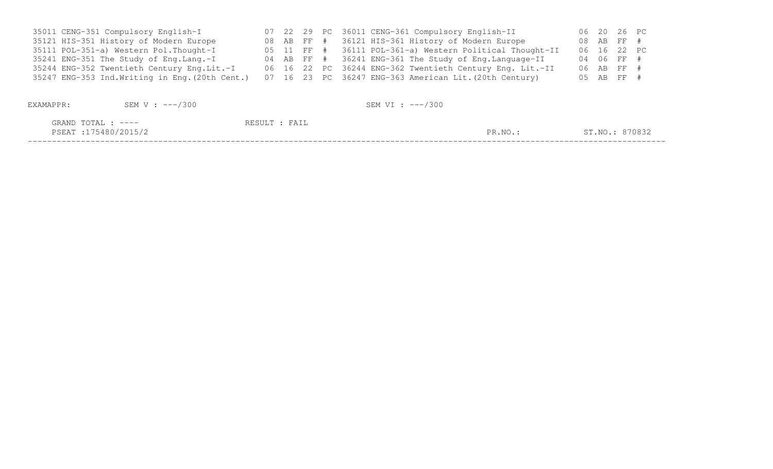| 35011 CENG-351 Compulsory English-I             |  |  | 07 22 29 PC 36011 CENG-361 Compulsory English-II         | 06 20 26 PC |  |
|-------------------------------------------------|--|--|----------------------------------------------------------|-------------|--|
| 35121 HIS-351 History of Modern Europe          |  |  | 08 AB FF # 36121 HIS-361 History of Modern Europe        | 08 AB FF #  |  |
| 35111 POL-351-a) Western Pol. Thought-I         |  |  | 05 11 FF # 36111 POL-361-a) Western Political Thought-II | 06 16 22 PC |  |
| 35241 ENG-351 The Study of Eng.Lang.-I          |  |  | 04 AB FF # 36241 ENG-361 The Study of Eng.Language-II    | 04 06 FF #  |  |
| 35244 ENG-352 Twentieth Century Eng.Lit.-I      |  |  | 06 16 22 PC 36244 ENG-362 Twentieth Century Eng. Lit.-II | 06 AB FF #  |  |
| 35247 ENG-353 Ind. Writing in Eng. (20th Cent.) |  |  | 07 16 23 PC 36247 ENG-363 American Lit. (20th Century)   | 05 AB FF -  |  |

| EXAMAPPR: | SEM V : ---/300                           |               | SEM VI : ---/300 |         |                |
|-----------|-------------------------------------------|---------------|------------------|---------|----------------|
|           | GRAND TOTAL : ----<br>PSEAT:175480/2015/2 | RESULT : FAIL |                  | PR.NO.: | ST.NO.: 870832 |
|           |                                           |               |                  |         |                |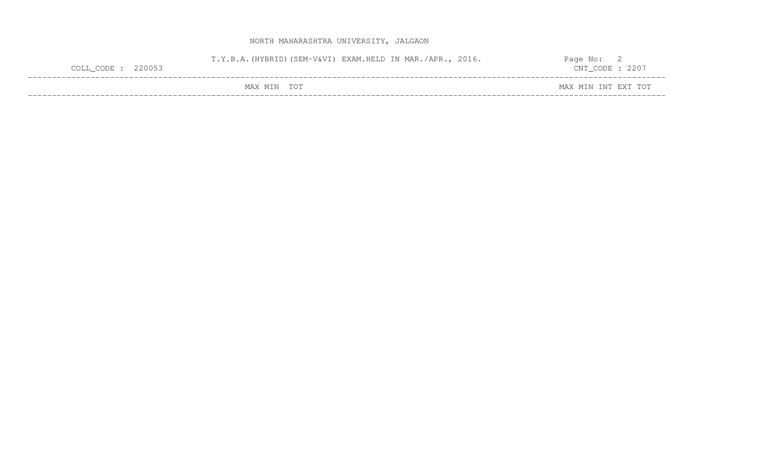| $COLL$ $COL$ $: 220053$ |             | T.Y.B.A. (HYBRID) (SEM-V&VI) EXAM.HELD IN MAR./APR., 2016. | Page No: L<br>$CNT\_CODE : 2207$ |  |
|-------------------------|-------------|------------------------------------------------------------|----------------------------------|--|
|                         | MAX MIN TOT |                                                            | MAX MIN INT EXT TOT              |  |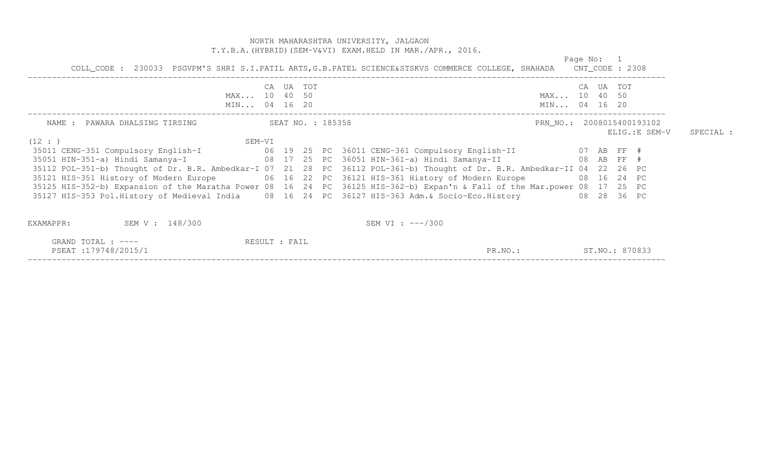#### NORTH MAHARASHTRA UNIVERSITY, JALGAON T.Y.B.A.(HYBRID)(SEM-V&VI) EXAM.HELD IN MAR./APR., 2016.

 Page No: 1 COLL CODE: 230033 PSGVPM'S SHRI S.I.PATIL ARTS, G.B.PATEL SCIENCE&STSKVS COMMERCE COLLEGE, SHAHADA CNT CODE: 2308 COLL\_CODE : 230033 PSGVPM'S SHRI S.I.PATIL ARTS,G.B.PATEL SCIENCE&STSKVS COMMERCE COLLEGE, SHAHADA CNT\_CODE : 2308 ------------------------------------------------------------------------------------------------------------------------------------ CA UA TOT CA UA TOT MAX... 10 40 50 MAX... 10 40 50 MIN... 04 16 20 MIN... 04 16 20 MIN... 04 16 20 ------------------------------------------------------------------------------------------------------------------------------------ NAME : PAWARA DHALSING TIRSING  $SERT NO.$ : 185358 PRN\_NO.: 2008015400193102 ELIG.:E SEM-V SPECIAL :  $(12 : )$  SEM-VI 35011 CENG-351 Compulsory English-I 06 19 25 PC 36011 CENG-361 Compulsory English-II 07 AB FF # 35051 HIN-351-a) Hindi Samanya-I 08 17 25 PC 36051 HIN-361-a) Hindi Samanya-II 08 AB FF # 35112 POL-351-b) Thought of Dr. B.R. Ambedkar-I 07 21 28 PC 36112 POL-361-b) Thought of Dr. B.R. Ambedkar-II 04 22 26 PC 35121 HIS-351 History of Modern Europe 06 16 22 PC 36121 HIS-361 History of Modern Europe 08 16 24 PC 35125 HIS-352-b) Expansion of the Maratha Power 08 16 24 PC 36125 HIS-362-b) Expan'n & Fall of the Mar.power 08 17 25 PC 35127 HIS-353 Pol.History of Medieval India 08 16 24 PC 36127 HIS-363 Adm.& Socio-Eco.History 08 28 36 PC EXAMAPPR: SEM V : 148/300 SEM VI : ---/300 GRAND TOTAL : ----  $RESULT$  : FAIL PSEAT :179748/2015/1 PR.NO.: ST.NO.: 870833 ------------------------------------------------------------------------------------------------------------------------------------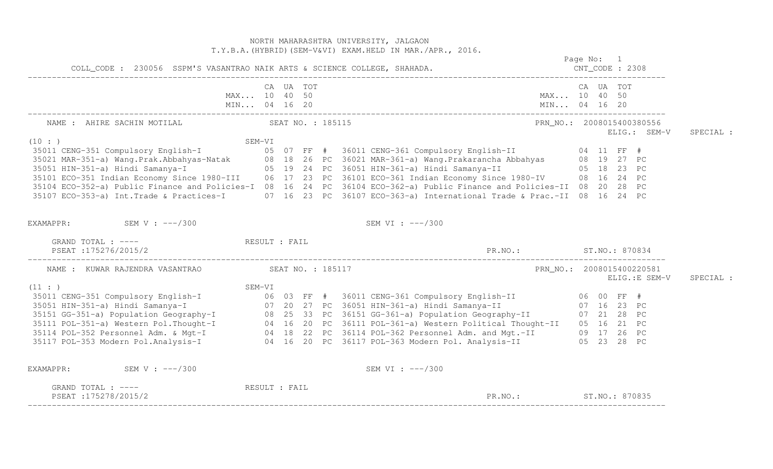|                                                                           |               |           |  | NORTH MAHARASHTRA UNIVERSITY, JALGAON<br>T.Y.B.A. (HYBRID) (SEM-V&VI) EXAM. HELD IN MAR./APR., 2016.                                                                                                                                 |           |                                           |           |
|---------------------------------------------------------------------------|---------------|-----------|--|--------------------------------------------------------------------------------------------------------------------------------------------------------------------------------------------------------------------------------------|-----------|-------------------------------------------|-----------|
|                                                                           |               |           |  |                                                                                                                                                                                                                                      |           | Page No: 1                                |           |
| COLL_CODE : 230056 SSPM'S VASANTRAO NAIK ARTS & SCIENCE COLLEGE, SHAHADA. |               |           |  |                                                                                                                                                                                                                                      |           |                                           |           |
|                                                                           |               | CA UA TOT |  |                                                                                                                                                                                                                                      | CA UA TOT |                                           |           |
|                                                                           | MAX 10 40 50  |           |  | MAX 10 40 50                                                                                                                                                                                                                         |           |                                           |           |
|                                                                           |               |           |  |                                                                                                                                                                                                                                      |           |                                           |           |
| NAME : AHIRE SACHIN MOTILAL SEAT NO. : 185115                             |               |           |  |                                                                                                                                                                                                                                      |           | PRN NO.: 2008015400380556<br>ELIG.: SEM-V | SPECIAL : |
| (10 : )                                                                   |               |           |  | SEM-VI<br>35011 CENG-351 Compulsory English-I (10 : )<br>35021 MAR-351-a) Wang.Prak.Abbahyas-Natak (18 18 26 PC 36021 MAR-361-a) Wang.Prakarancha Abbahyas (18 19 27 PC<br>35051 HIN-351-a) Hindi Samanya-I (1980-III (1980-III (198 |           |                                           |           |
|                                                                           |               |           |  |                                                                                                                                                                                                                                      |           |                                           |           |
|                                                                           |               |           |  |                                                                                                                                                                                                                                      |           |                                           |           |
|                                                                           |               |           |  |                                                                                                                                                                                                                                      |           |                                           |           |
|                                                                           |               |           |  |                                                                                                                                                                                                                                      |           |                                           |           |
|                                                                           |               |           |  | 35104 ECO-352-a) Public Finance and Policies-I 08 16 24 PC 36104 ECO-362-a) Public Finance and Policies-II 08 20 28 PC                                                                                                               |           |                                           |           |
|                                                                           |               |           |  | 35107 ECO-353-a) Int.Trade & Practices-I 07 16 23 PC 36107 ECO-363-a) International Trade & Prac.-II 08 16 24 PC                                                                                                                     |           |                                           |           |
| EXAMAPPR: SEM V : $---/300$                                               |               |           |  | SEM VI : $---/300$                                                                                                                                                                                                                   |           |                                           |           |
| GRAND TOTAL : ---- The RESULT : FAIL<br>PSEAT : 175276/2015/2             |               |           |  | PR. NO.: ST. NO.: 870834                                                                                                                                                                                                             |           |                                           |           |
| NAME : KUWAR RAJENDRA VASANTRAO SEAT NO. : 185117                         |               |           |  | PRN_NO.: 2008015400220581                                                                                                                                                                                                            |           |                                           |           |
| (11: )                                                                    | SEM-VI        |           |  |                                                                                                                                                                                                                                      |           | ELIG.: E SEM-V                            | SPECIAL : |
|                                                                           |               |           |  |                                                                                                                                                                                                                                      |           |                                           |           |
|                                                                           |               |           |  |                                                                                                                                                                                                                                      |           |                                           |           |
|                                                                           |               |           |  |                                                                                                                                                                                                                                      |           |                                           |           |
|                                                                           |               |           |  |                                                                                                                                                                                                                                      |           |                                           |           |
|                                                                           |               |           |  |                                                                                                                                                                                                                                      |           |                                           |           |
|                                                                           |               |           |  | 3501 (11:)<br>3501 CENG-351 Compulsory English-I and SEM-VI<br>35051 HIN-351-a) Hindi Samanya-I and Samanga-I and Seminarya and SEM-VI<br>35151 GG-351-a) Population Geography-I and Samanga-I and Samanga-I and Samanya-II and Sama |           |                                           |           |
| EXAMAPPR: SEM V : ---/300                                                 |               |           |  | SEM VI : ---/300                                                                                                                                                                                                                     |           |                                           |           |
| GRAND TOTAL : ----<br>PSEAT:175278/2015/2                                 | RESULT : FAIL |           |  | PR.NO.: ST.NO.: 870835                                                                                                                                                                                                               |           |                                           |           |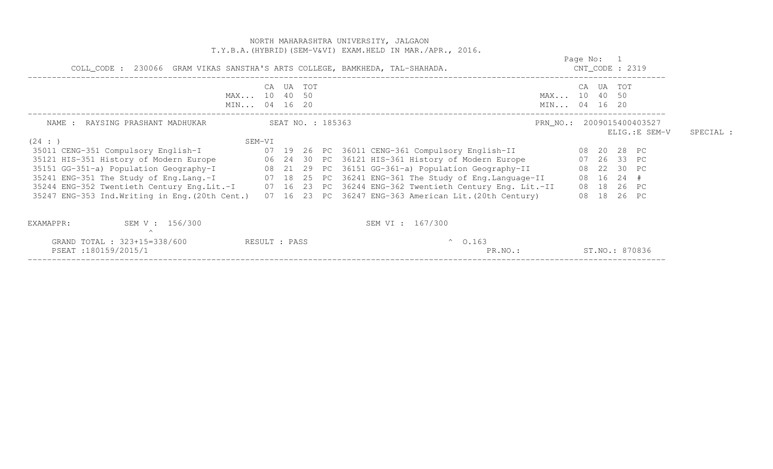|                                                                                                                                                                                                                                                                                                                                                                                                                                                                                                                                                          | NORTH MAHARASHTRA UNIVERSITY, JALGAON<br>T.Y.B.A. (HYBRID) (SEM-V&VI) EXAM.HELD IN MAR./APR., 2016. |                                           |                            |           |
|----------------------------------------------------------------------------------------------------------------------------------------------------------------------------------------------------------------------------------------------------------------------------------------------------------------------------------------------------------------------------------------------------------------------------------------------------------------------------------------------------------------------------------------------------------|-----------------------------------------------------------------------------------------------------|-------------------------------------------|----------------------------|-----------|
| COLL_CODE : 230066 GRAM VIKAS SANSTHA'S ARTS COLLEGE, BAMKHEDA, TAL-SHAHADA.                                                                                                                                                                                                                                                                                                                                                                                                                                                                             |                                                                                                     | Page No: 1<br>$CNT\_CODE$ : 2319          |                            |           |
| CA UA TOT<br>MAX 10 40 50<br>MIN 04 16 20                                                                                                                                                                                                                                                                                                                                                                                                                                                                                                                |                                                                                                     | CA UA TOT<br>MAX 10 40 50<br>MIN 04 16 20 |                            |           |
| NAME : RAYSING PRASHANT MADHUKAR SEAT NO. : 185363                                                                                                                                                                                                                                                                                                                                                                                                                                                                                                       |                                                                                                     | PRN_NO.: 2009015400403527                 | ELIG.:E SEM-V              | SPECIAL : |
| SEM-VI<br>(24 : )<br>35121 HIS-351 History of Modern Europe 6 06 24 30 PC 36121 HIS-361 History of Modern Europe 67 26 33 PC<br>35151 GG-351-a) Population Geography-I (8 21 29 PC 36151 GG-361-a) Population Geography-II (8 22 30 PC<br>35241 ENG-351 The Study of Eng.Lang.-I 07 18 25 PC 36241 ENG-361 The Study of Eng.Language-II<br>35244 ENG-352 Twentieth Century Eng.Lit.-I 07 16 23 PC 36244 ENG-362 Twentieth Century Eng. Lit.-II<br>35247 ENG-353 Ind. Writing in Eng. (20th Cent.) 07 16 23 PC 36247 ENG-363 American Lit. (20th Century) |                                                                                                     | 08 16 24 #                                | 08 18 26 PC<br>08 18 26 PC |           |
| SEM V : 156/300<br>EXAMAPPR:<br>$\wedge$                                                                                                                                                                                                                                                                                                                                                                                                                                                                                                                 | SEM VI : 167/300                                                                                    |                                           |                            |           |
| GRAND TOTAL : 323+15=338/600 RESULT : PASS<br>PSEAT:180159/2015/1                                                                                                                                                                                                                                                                                                                                                                                                                                                                                        | $^{\circ}$ 0.163<br>PR.NO.:                                                                         | ST. NO.: 870836                           |                            |           |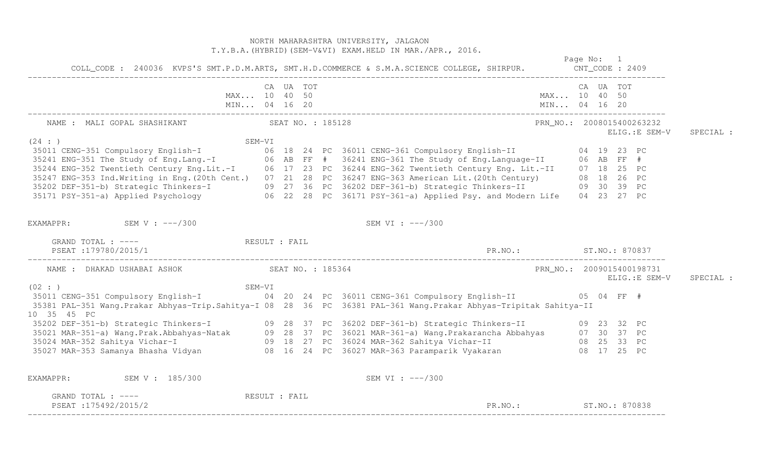|                                                                                                                                                                                                                                                                                                                                                |               |           | NORTH MAHARASHTRA UNIVERSITY, JALGAON<br>T.Y.B.A. (HYBRID) (SEM-V&VI) EXAM.HELD IN MAR./APR., 2016.                      |                                            |  |                                            |           |
|------------------------------------------------------------------------------------------------------------------------------------------------------------------------------------------------------------------------------------------------------------------------------------------------------------------------------------------------|---------------|-----------|--------------------------------------------------------------------------------------------------------------------------|--------------------------------------------|--|--------------------------------------------|-----------|
|                                                                                                                                                                                                                                                                                                                                                |               |           | Page No: 1<br>COLL_CODE: 240036 KVPS'S SMT.P.D.M.ARTS, SMT.H.D.COMMERCE & S.M.A.SCIENCE COLLEGE, SHIRPUR. CNT_CODE: 2409 |                                            |  |                                            |           |
| MIN 04 16 20                                                                                                                                                                                                                                                                                                                                   | MAX 10 40 50  | CA UA TOT | MAX 10 40 50<br>MIN 04 16 20                                                                                             | CA UA TOT                                  |  |                                            |           |
| NAME : MALI GOPAL SHASHIKANT SEAT NO. : 185128                                                                                                                                                                                                                                                                                                 |               |           |                                                                                                                          |                                            |  | PRN_NO.: 2008015400263232<br>ELIG.:E SEM-V | SPECIAL : |
| (24 : )<br>3521 CENG-351 Compulsory English-I<br>35241 ENG-351 Compulsory English-I<br>35241 ENG-351 The Study of Eng.Lang.-I<br>35244 ENG-352 Twentieth Century Eng.Lit.-I<br>35247 ENG-352 Twentieth Century Eng.Lit.-I<br>35247 ENG-353 Ind.Writ                                                                                            | SEM-VI        |           |                                                                                                                          |                                            |  |                                            |           |
| EXAMAPPR: SEM V : $---/300$                                                                                                                                                                                                                                                                                                                    |               |           | SEM VI : ---/300                                                                                                         |                                            |  |                                            |           |
| GRAND TOTAL : ---- The RESULT : FAIL<br>PSEAT:179780/2015/1                                                                                                                                                                                                                                                                                    |               |           | PR. NO.: ST. NO.: 870837                                                                                                 |                                            |  |                                            |           |
| NAME : DHAKAD USHABAI ASHOK NAME : 185364                                                                                                                                                                                                                                                                                                      |               |           |                                                                                                                          | PRN_NO.: 2009015400198731<br>ELIG.:E SEM-V |  |                                            | SPECIAL : |
| (02 : )<br>SEM-VI<br>35381 PAL-351 Wang.Prakar Abhyas-Trip.Sahitya-I 08 28 36 PC 36381 PAL-361 Wang.Prakar Abhyas-Tripitak Sahitya-II<br>10 35 45 PC                                                                                                                                                                                           |               |           |                                                                                                                          |                                            |  |                                            |           |
| 35202 DEF-351-b) Strategic Thinkers-I (09 28 37 PC 36202 DEF-361-b) Strategic Thinkers-II (09 23 32 PC<br>35021 MAR-351-a) Wang.Prak.Abbahyas-Natak (1982-2083) PC 36021 MAR-361-a) Wang.Prakarancha Abbahyas (1982-208<br>35024 MAR-352 Sahitya Vichar-I (1982-2083) PC 36021 MAR-361-a) Wang.Prakarancha Abbahyas (1982-2083) PC<br>35027 MA |               |           |                                                                                                                          |                                            |  |                                            |           |
| EXAMAPPR: SEM V : 185/300                                                                                                                                                                                                                                                                                                                      |               |           | SEM VI : ---/300                                                                                                         |                                            |  |                                            |           |
| GRAND TOTAL : ----<br>PSEAT:175492/2015/2                                                                                                                                                                                                                                                                                                      | RESULT : FAIL |           | PR.NO.: ST.NO.: 870838                                                                                                   |                                            |  |                                            |           |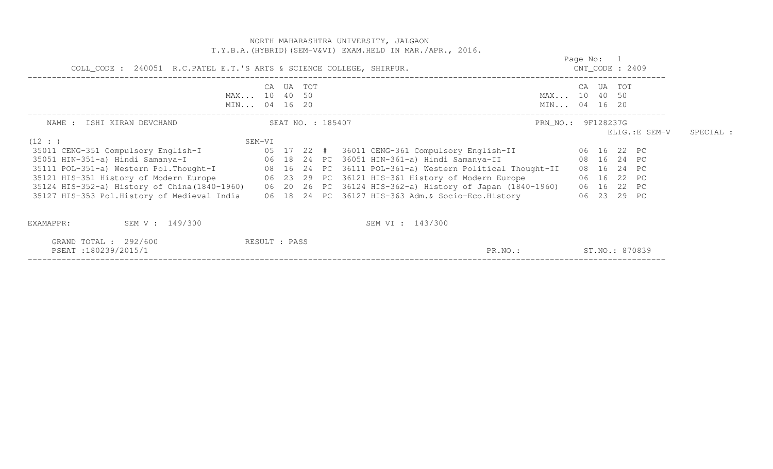|                                                                                                                                                                                                                                                                                                                                                                                                                                                                                                                                                                                                                 |                   |  |        |  | NORTH MAHARASHTRA UNIVERSITY, JALGAON<br>T.Y.B.A. (HYBRID) (SEM-V&VI) EXAM.HELD IN MAR./APR., 2016. |                              |            |                                                                               |                |           |
|-----------------------------------------------------------------------------------------------------------------------------------------------------------------------------------------------------------------------------------------------------------------------------------------------------------------------------------------------------------------------------------------------------------------------------------------------------------------------------------------------------------------------------------------------------------------------------------------------------------------|-------------------|--|--------|--|-----------------------------------------------------------------------------------------------------|------------------------------|------------|-------------------------------------------------------------------------------|----------------|-----------|
| COLL_CODE : 240051 R.C.PATEL E.T.'S ARTS & SCIENCE COLLEGE, SHIRPUR.                                                                                                                                                                                                                                                                                                                                                                                                                                                                                                                                            |                   |  |        |  |                                                                                                     |                              | Page No: 1 | $CNT\_CODE$ : 2409                                                            |                |           |
| MAX 10 40 50<br>MIN 04 16 20                                                                                                                                                                                                                                                                                                                                                                                                                                                                                                                                                                                    | CA                |  | UA TOT |  |                                                                                                     | MAX 10 40 50<br>MIN 04 16 20 |            | CA UA TOT                                                                     |                |           |
| NAME : ISHI KIRAN DEVCHAND                                                                                                                                                                                                                                                                                                                                                                                                                                                                                                                                                                                      | SEAT NO. : 185407 |  |        |  |                                                                                                     | PRN_NO.: 9F128237G           |            |                                                                               | ELIG.: E SEM-V | SPECIAL : |
| (12 : )<br>35011 CENG-351 Compulsory English-I (05 17 22 # 36011 CENG-361 Compulsory English-II (06 16 22 PC<br>35051 HIN-351-a) Hindi Samanya-I (26 18 24 PC 36051 HIN-361-a) Hindi Samanya-II<br>35111 POL-351-a) Western Pol. Thought-I 08 16 24 PC 36111 POL-361-a) Western Political Thought-II<br>35121 HIS-351 History of Modern Europe 6 06 23 29 PC 36121 HIS-361 History of Modern Europe<br>35124 HIS-352-a) History of China(1840-1960) 06 20 26 PC 36124 HIS-362-a) History of Japan (1840-1960)<br>35127 HIS-353 Pol.History of Medieval India 06 18 24 PC 36127 HIS-363 Adm. & Socio-Eco.History | SEM-VI            |  |        |  |                                                                                                     |                              |            | 08  16  24  PC<br>08  16  24  PC<br>06 16 22 PC<br>06 16 22 PC<br>06 23 29 PC |                |           |
| SEM V : 149/300<br>EXAMAPPR:                                                                                                                                                                                                                                                                                                                                                                                                                                                                                                                                                                                    |                   |  |        |  | SEM VI : 143/300                                                                                    |                              |            |                                                                               |                |           |
| GRAND TOTAL : $292/600$<br>PSEAT:180239/2015/1                                                                                                                                                                                                                                                                                                                                                                                                                                                                                                                                                                  | RESULT : PASS     |  |        |  | PR.NO.:                                                                                             |                              |            | ST.NO.: 870839                                                                |                |           |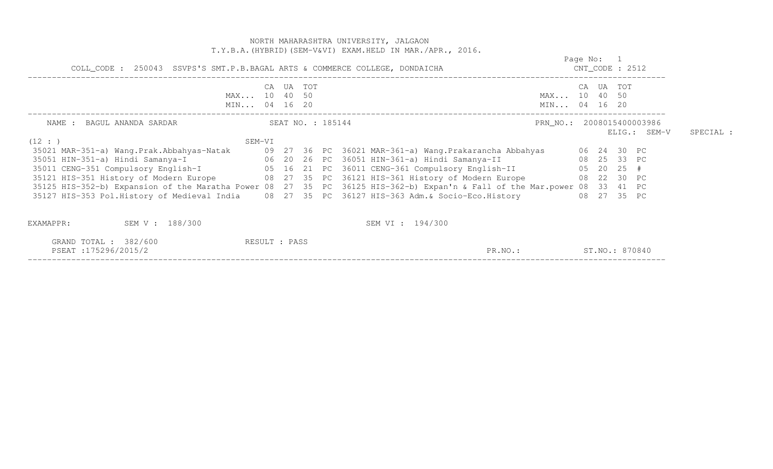|                                                                                            |        |                   |  | NORTH MAHARASHTRA UNIVERSITY, JALGAON<br>T.Y.B.A. (HYBRID) (SEM-V&VI) EXAM. HELD IN MAR./APR., 2016.                                                                                                                                                                                                                                                                                                                                                                                                                                                                         |            |                    |              |           |
|--------------------------------------------------------------------------------------------|--------|-------------------|--|------------------------------------------------------------------------------------------------------------------------------------------------------------------------------------------------------------------------------------------------------------------------------------------------------------------------------------------------------------------------------------------------------------------------------------------------------------------------------------------------------------------------------------------------------------------------------|------------|--------------------|--------------|-----------|
| COLL_CODE : 250043 SSVPS'S SMT.P.B.BAGAL ARTS & COMMERCE COLLEGE, DONDAICHA                |        |                   |  |                                                                                                                                                                                                                                                                                                                                                                                                                                                                                                                                                                              | Page No: 1 | $CNT\_CODE$ : 2512 |              |           |
| MAX 10 40 50<br>MIN 04 16 20                                                               |        | CA UA TOT         |  | MAX 10 40 50<br>MIN 04 16 20                                                                                                                                                                                                                                                                                                                                                                                                                                                                                                                                                 |            | CA UA TOT          |              |           |
| NAME : BAGUL ANANDA SARDAR                                                                 |        | SEAT NO. : 185144 |  | PRN_NO.: 2008015400003986                                                                                                                                                                                                                                                                                                                                                                                                                                                                                                                                                    |            |                    | ELIG.: SEM-V | SPECIAL : |
| (12 : )<br>35051 HIN-351-a) Hindi Samanya-I (20 20 26 PC 36051 HIN-361-a) Hindi Samanya-II | SEM-VI |                   |  | 35021 MAR-351-a) Wang.Prak.Abbahyas-Natak 69 27 36 PC 36021 MAR-361-a) Wang.Prakarancha Abbahyas 66 24 30 PC<br>08 25 33 PC<br>35011 CENG-351 Compulsory English-I<br>05 16 21 PC 36011 CENG-361 Compulsory English-II 05 20 25 #<br>35121 HIS-351 History of Modern Europe 68 27 35 PC 36121 HIS-361 History of Modern Europe 68 22 30 PC<br>35125 HIS-352-b) Expansion of the Maratha Power 08 27 35 PC 36125 HIS-362-b) Expan'n & Fall of the Mar.power 08 33 41 PC<br>35127 HIS-353 Pol.History of Medieval India (2008) 27 25 PC 36127 HIS-363 Adm. & Socio-Eco.History |            | 08 27 35 PC        |              |           |
| SEM V : 188/300<br>EXAMAPPR:<br>GRAND TOTAL : 382/600<br>PSEAT:175296/2015/2               |        | RESULT : PASS     |  | SEM VI : 194/300<br>PR.NO.:                                                                                                                                                                                                                                                                                                                                                                                                                                                                                                                                                  |            | ST.NO.: 870840     |              |           |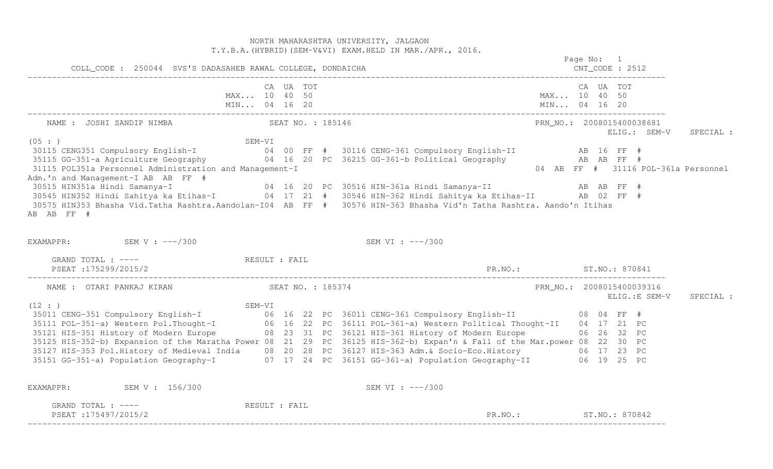NORTH MAHARASHTRA UNIVERSITY, JALGAON T.Y.B.A.(HYBRID)(SEM-V&VI) EXAM.HELD IN MAR./APR., 2016. Page No: 1 COLL\_CODE : 250044 SVS'S DADASAHEB RAWAL COLLEGE, DONDAICHA CNT\_CODE : 2512 ------------------------------------------------------------------------------------------------------------------------------------ CA UA TOT CA UA TOT MAX... 10 40 50 MAX... 10 40 50 MIN... 04 16 20 MIN... 04 16 20 MIN... 04 16 20 ------------------------------------------------------------------------------------------------------------------------------------ NAME : JOSHI SANDIP NIMBA SEAT NO. : 185146 PRN\_NO.: 2008015400038681 ELIG.: SEM-V SPECIAL : (05 : ) SEM-VI 30115 CENG351 Compulsory English-I 04 00 FF # 30116 CENG-361 Compulsory English-II AB 16 FF # 35115 GG-351-a Agriculture Geography 04 16 20 PC 36215 GG-361-b Political Geography AB AB FF # 04 AB FF # 31116 POL-361a Personnel 31115 POL351a Personnel Administration and Management-I Adm.'n and Management-I AB AB FF # 30515 HIN351a Hindi Samanya-I 04 16 20 PC 30516 HIN-361a Hindi Samanya-II AB AB FF # 30545 HIN352 Hindi Sahitya ka Etihas-I 04 17 21 # 30546 HIN-362 Hindi Sahitya ka Etihas-II AB 02 FF # 30575 HIN353 Bhasha Vid.Tatha Rashtra.Aandolan-I04 AB FF # 30576 HIN-363 Bhasha Vid'n Tatha Rashtra. Aando'n ItihasAB AB FF # EXAMAPPR: SEM V : ---/300 SEM VI : ---/300 GRAND TOTAL : ---- and the second of the second second second second second second second second second second second second second second second second second second second second second second second second second second PSEAT :175299/2015/2 PR.NO.: ST.NO.: 870841 ------------------------------------------------------------------------------------------------------------------------------------ NAME : OTARI PANKAJ KIRAN SEAT NO. : 185374 PRN\_NO.: 2008015400039316 ELIG.:E SEM-V SPECIAL : (12 : ) SEM-VI 35011 CENG-351 Compulsory English-I 06 16 22 PC 36011 CENG-361 Compulsory English-II 08 04 FF # 35111 POL-351-a) Western Pol.Thought-I 06 16 22 PC 36111 POL-361-a) Western Political Thought-II 04 17 21 PC 35121 HIS-351 History of Modern Europe 08 23 31 PC 36121 HIS-361 History of Modern Europe 06 26 32 PC 35125 HIS-352-b) Expansion of the Maratha Power 08 21 29 PC 36125 HIS-362-b) Expan'n & Fall of the Mar.power 08 22 30 PC 35127 HIS-353 Pol.History of Medieval India 08 20 28 PC 36127 HIS-363 Adm.& Socio-Eco.History 06 17 23 PC 35151 GG-351-a) Population Geography-I 07 17 24 PC 36151 GG-361-a) Population Geography-II 06 19 25 PC EXAMAPPR: SEM V : 156/300 SEM VI : ---/300 GRAND TOTAL : ---- **RESULT** : FAIL PSEAT :175497/2015/2 PR.NO.: ST.NO.: 870842 ------------------------------------------------------------------------------------------------------------------------------------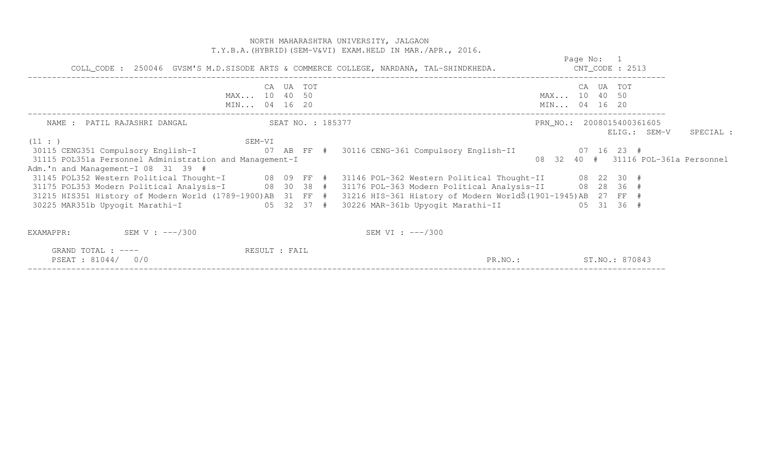|                                                                                                                                                                                                          |                                           | NORTH MAHARASHTRA UNIVERSITY, JALGAON<br>T.Y.B.A. (HYBRID) (SEM-V&VI) EXAM. HELD IN MAR. / APR., 2016. |                              |            |                                           |           |
|----------------------------------------------------------------------------------------------------------------------------------------------------------------------------------------------------------|-------------------------------------------|--------------------------------------------------------------------------------------------------------|------------------------------|------------|-------------------------------------------|-----------|
|                                                                                                                                                                                                          |                                           | COLL_CODE: 250046 GVSM'S M.D.SISODE ARTS & COMMERCE COLLEGE, NARDANA, TAL-SHINDKHEDA. CNT_CODE: 2513   |                              | Page No: 1 |                                           |           |
|                                                                                                                                                                                                          | CA UA TOT<br>MAX 10 40 50<br>MIN 04 16 20 |                                                                                                        | MAX 10 40 50<br>MIN 04 16 20 | CA UA TOT  |                                           |           |
| NAME : PATIL RAJASHRI DANGAL (SEAT NO. : 185377                                                                                                                                                          |                                           |                                                                                                        |                              |            | PRN_NO.: 2008015400361605<br>ELIG.: SEM-V | SPECIAL : |
| (11: )<br>SEM-VI<br>31115 POL351a Personnel Administration and Management-I<br>Adm.'n and Management-I 08 31 39 #                                                                                        |                                           |                                                                                                        |                              |            | 08 32 40 # 31116 POL-361a Personnel       |           |
| 31215 HIS351 History of Modern World (1789-1900)AB 31 FF # 31216 HIS-361 History of Modern WorldŠ (1901-1945)AB 27 FF #<br>30225 MAR351b Upyogit Marathi-I (05 32 37 # 30226 MAR-361b Upyogit Marathi-II |                                           |                                                                                                        |                              | 05 31 36 # |                                           |           |
| SEM V : $---/300$<br>EXAMAPPR:                                                                                                                                                                           |                                           | SEM VI : $---/300$                                                                                     |                              |            |                                           |           |
| GRAND TOTAL : $---$<br>PSEAT : 81044/<br>0/0                                                                                                                                                             | RESULT : FAIL                             | PR.NO.: ST.NO.: 870843                                                                                 |                              |            |                                           |           |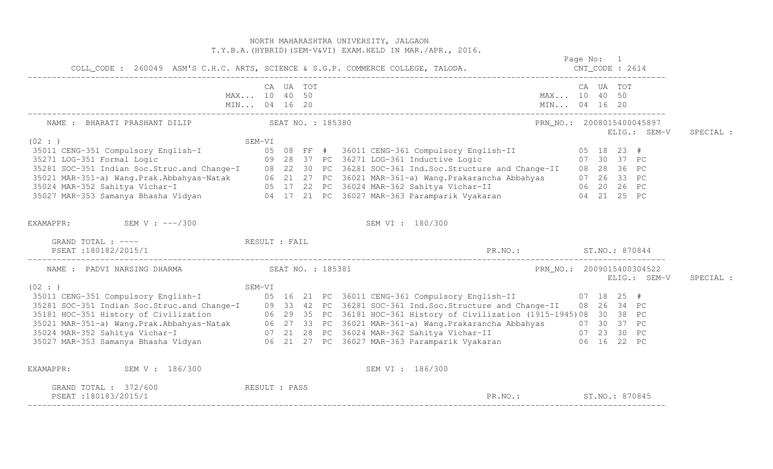|                                                                                            | NORTH MAHARASHTRA UNIVERSITY, JALGAON<br>T.Y.B.A. (HYBRID) (SEM-V&VI) EXAM.HELD IN MAR./APR., 2016.                                                                                                                                                  |                                                        |
|--------------------------------------------------------------------------------------------|------------------------------------------------------------------------------------------------------------------------------------------------------------------------------------------------------------------------------------------------------|--------------------------------------------------------|
|                                                                                            |                                                                                                                                                                                                                                                      | Page No: 1                                             |
|                                                                                            | CA UA TOT                                                                                                                                                                                                                                            | CA UA TOT                                              |
| NAME : BHARATI PRASHANT DILIP SEAT NO. : 185380                                            |                                                                                                                                                                                                                                                      | PRN_NO.: 2008015400045897<br>SPECIAL :<br>ELIG.: SEM-V |
| (02 : )                                                                                    | $SEM-VI$<br>35011 CENG-351 Compulsory English-I<br>35011 CENG-351 Compulsory English-I<br>35271 LOG-351 Formal Logic<br>35281 SOC-351 Indian Soc.Struc.and Change-I<br>35281 SOC-351 Indian Soc.Struc.and Change-I<br>35021 MAR-351-a) Wang.Prak.Abb |                                                        |
| EXAMAPPR: SEM V : $---/300$                                                                | SEM VI : 180/300                                                                                                                                                                                                                                     |                                                        |
| GRAND TOTAL : ---- RESULT : FAIL<br>PSEAT:180182/2015/1                                    | PR. NO.: ST. NO.: 870844                                                                                                                                                                                                                             |                                                        |
| NAME : PADVI NARSING DHARMA (SEAT NO. : 185381)                                            |                                                                                                                                                                                                                                                      | PRN_NO.: 2009015400304522<br>ELIG.: SEM-V<br>SPECIAL : |
| (02 : )                                                                                    | 35281 SOC-351 Indian Soc.Struc.and Change-I<br>35281 SOC-351 Indian Soc.Struc.and Change-I<br>35181 HOC-351 History of Civilization<br>35021 MAR-351-a) Wang.Prak.Abbahyas-Natak<br>35024 MAR-352 Sahitya Vichar-I<br>35027 MAR-352 Sahi             |                                                        |
| EXAMAPPR: SEM V : 186/300<br>GRAND TOTAL : 372/600<br>RESULT : PASS<br>PSEAT:180183/2015/1 | SEM VI : 186/300                                                                                                                                                                                                                                     | PR.NO.: ST.NO.: 870845                                 |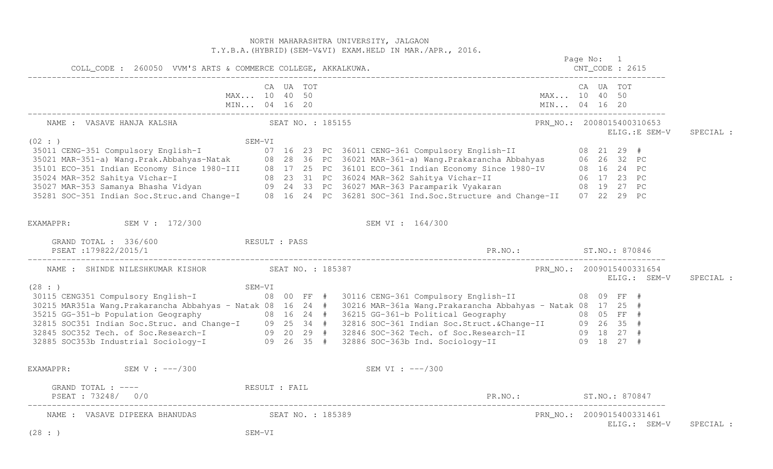NORTH MAHARASHTRA UNIVERSITY, JALGAON T.Y.B.A.(HYBRID)(SEM-V&VI) EXAM.HELD IN MAR./APR., 2016. Page No: 1 COLL\_CODE : 260050 VVM'S ARTS & COMMERCE COLLEGE, AKKALKUWA. CNT\_CODE : 2615 ------------------------------------------------------------------------------------------------------------------------------------ CA UA TOT CA UA TOT MAX... 10 40 50 MAX... 10 40 50 MIN... 04 16 20 MIN... 04 16 20 MIN... 04 16 20 ------------------------------------------------------------------------------------------------------------------------------------ NAME : VASAVE HANJA KALSHA SEAT NO. : 185155 PRN\_NO.: 2008015400310653 ELIG.:E SEM-V SPECIAL : SEM-VI<br>
35011 CENG-351 Compulsory English-I 08 21 29 #<br>
35011 CENG-351 Compulsory English-I 07 16 23 PC 36011 CENG-361 Compulsory English-II 08 21 29 #<br>
35021 MAR-351-a) Wang.Prak.Abbahyas-Natak 08 28 36 PC 36021 MAR-361-a EXAMAPPR: SEM V : 172/300 SEM V SEM VI : 164/300 GRAND TOTAL : 336/600 RESULT : PASS PSEAT :179822/2015/1 PR.NO.: ST.NO.: 870846 ------------------------------------------------------------------------------------------------------------------------------------ NAME : SHINDE NILESHKUMAR KISHOR SEAT NO. : 185387 PRN NO.: 2009015400331654 ELIG.: SEM-V SPECIAL :  $(28 : )$  SEM-VI 30115 CENG351 Compulsory English-I 08 00 FF # 30116 CENG-361 Compulsory English-II 08 09 FF # 30215 MAR351a Wang.Prakarancha Abbahyas - Natak 08 16 24 # 30216 MAR-361a Wang.Prakarancha Abbahyas - Natak 08 17 25 #<br>35215 GG-351-b Population Geography 08 16 24 # 36215 GG-361-b Political Geography 08 05 FF #<br>32815 SOC3 EXAMAPPR: SEM V : ---/300 SEM V : ---/300 SEM VI : ---/300 GRAND TOTAL : ---- RESULT : FAIL PSEAT : 73248/ 0/0 PR.NO.: ST.NO.: 870847 ------------------------------------------------------------------------------------------------------------------------------------ NAME : VASAVE DIPEEKA BHANUDAS SEAT NO. : 185389 PRANC. 2009015400331461 ELIG.: SEM-V SPECIAL : (28 : ) SEM-VI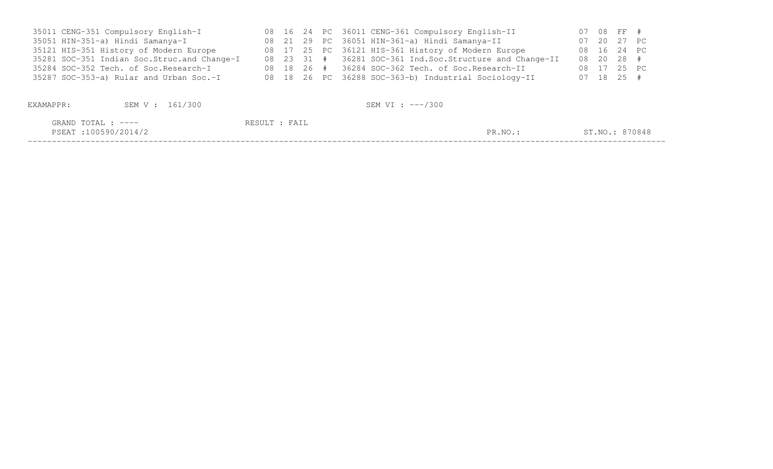| 35011 CENG-351 Compulsory English-I           |  |  | 08 16 24 PC 36011 CENG-361 Compulsory English-II         |  | 07 08 FF #     |  |
|-----------------------------------------------|--|--|----------------------------------------------------------|--|----------------|--|
| 35051 HIN-351-a) Hindi Samanya-I              |  |  | 08 21 29 PC 36051 HIN-361-a) Hindi Samanya-II            |  | 07 20 27 PC    |  |
| 35121 HIS-351 History of Modern Europe        |  |  | 08 17 25 PC 36121 HIS-361 History of Modern Europe       |  | 08  16  24  PC |  |
| 35281 SOC-351 Indian Soc. Struc. and Change-I |  |  | 08 23 31 # 36281 SOC-361 Ind.Soc.Structure and Change-II |  | 08 20 28 #     |  |
| 35284 SOC-352 Tech. of Soc.Research-I         |  |  | $08$ 18 26 $\#$ 36284 SOC-362 Tech. of Soc. Research-II  |  | 08 17 25 PC    |  |
| 35287 SOC-353-a) Rular and Urban Soc.-I       |  |  | 08 18 26 PC 36288 SOC-363-b) Industrial Sociology-II     |  | $07$ 18 25 #   |  |
|                                               |  |  |                                                          |  |                |  |

| EXAMAPPR:                                 | SEM V : 161/300 |               | SEM VI : ---/300 |         |                |
|-------------------------------------------|-----------------|---------------|------------------|---------|----------------|
| GRAND TOTAL : ----<br>PSEAT:100590/2014/2 |                 | RESULT : FAIL |                  | PR.NO.: | ST.NO.: 870848 |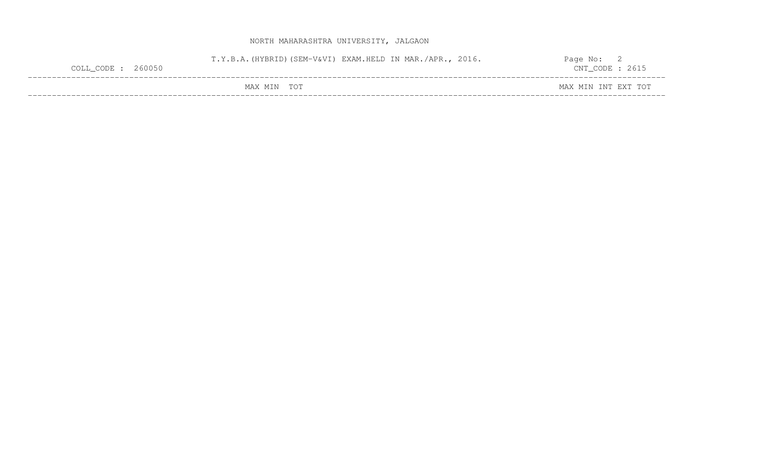## NORTH MAHARASHTRA UNIVERSITY, JALGAON

| COLL_CODE : 260050 | T.Y.B.A. (HYBRID) (SEM-V&VI) EXAM.HELD IN MAR./APR., 2016. |  | Page No:<br>$CNT\_CODE$ : 2615 |  |
|--------------------|------------------------------------------------------------|--|--------------------------------|--|
|                    | MAX MIN TOT                                                |  | MAX MIN INT EXT TOT            |  |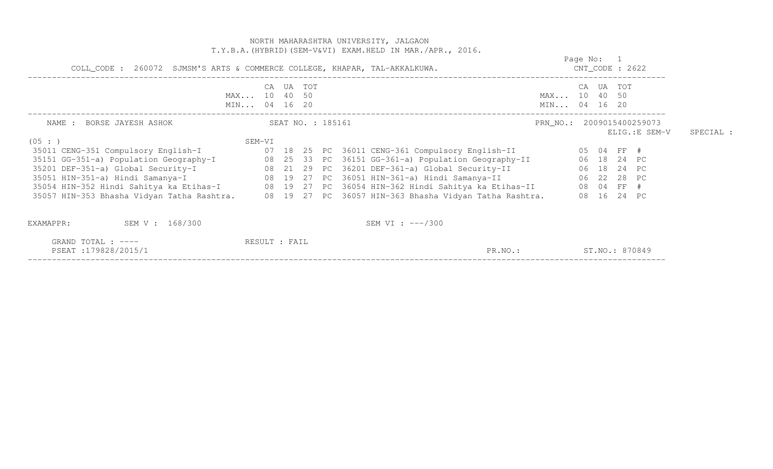|                                                                                                                                                                                                                                                                                                                                                                                                                                                                                                                                                                                                                                         |                              |           |                   | NORTH MAHARASHTRA UNIVERSITY, JALGAON<br>T.Y.B.A. (HYBRID) (SEM-V&VI) EXAM.HELD IN MAR./APR., 2016. |         |                              |                                  |                                             |           |
|-----------------------------------------------------------------------------------------------------------------------------------------------------------------------------------------------------------------------------------------------------------------------------------------------------------------------------------------------------------------------------------------------------------------------------------------------------------------------------------------------------------------------------------------------------------------------------------------------------------------------------------------|------------------------------|-----------|-------------------|-----------------------------------------------------------------------------------------------------|---------|------------------------------|----------------------------------|---------------------------------------------|-----------|
| COLL_CODE : 260072 SJMSM'S ARTS & COMMERCE COLLEGE, KHAPAR, TAL-AKKALKUWA.                                                                                                                                                                                                                                                                                                                                                                                                                                                                                                                                                              |                              |           |                   |                                                                                                     |         |                              | Page No: 1<br>$CNT\_CODE$ : 2622 |                                             |           |
|                                                                                                                                                                                                                                                                                                                                                                                                                                                                                                                                                                                                                                         | MAX 10 40 50<br>MIN 04 16 20 | CA UA TOT |                   |                                                                                                     |         | MAX 10 40 50<br>MIN 04 16 20 | CA UA TOT                        |                                             |           |
| NAME : BORSE JAYESH ASHOK                                                                                                                                                                                                                                                                                                                                                                                                                                                                                                                                                                                                               |                              |           | SEAT NO. : 185161 |                                                                                                     |         |                              |                                  | PRN_NO.: 2009015400259073<br>ELIG.: E SEM-V | SPECIAL : |
| (05:1)<br>35011 CENG-351 Compulsory English-I (07 18 25 PC 36011 CENG-361 Compulsory English-II (05 04 FF #<br>35151 GG-351-a) Population Geography-I (8 25 33 PC 36151 GG-361-a) Population Geography-II (8 18 24 PC<br>35201 DEF-351-a) Global Security-I (28 21 29 PC 36201 DEF-361-a) Global Security-II (28 24 PC)<br>35051 HIN-351-a) Hindi Samanya-I (28 19 27 PC 36051 HIN-361-a) Hindi Samanya-II (28 28 PC)<br>35054 HIN-352 Hindi Sahitya ka Etihas-I (28 19 27 PC 36054 HIN-362 Hindi Sahitya ka Etihas-II (28 04 FF #<br>35057 HIN-353 Bhasha Vidyan Tatha Rashtra. 08 19 27 PC 36057 HIN-363 Bhasha Vidyan Tatha Rashtra. | SEM-VI                       |           |                   |                                                                                                     |         |                              | 08 16 24 PC                      |                                             |           |
| SEM V : 168/300<br>EXAMAPPR:                                                                                                                                                                                                                                                                                                                                                                                                                                                                                                                                                                                                            |                              |           |                   | SEM VI : $---/300$                                                                                  |         |                              |                                  |                                             |           |
| GRAND TOTAL : ----<br>PSEAT:179828/2015/1                                                                                                                                                                                                                                                                                                                                                                                                                                                                                                                                                                                               | RESULT : FAIL                |           |                   |                                                                                                     | PR.NO.: | ST.NO.: 870849               |                                  |                                             |           |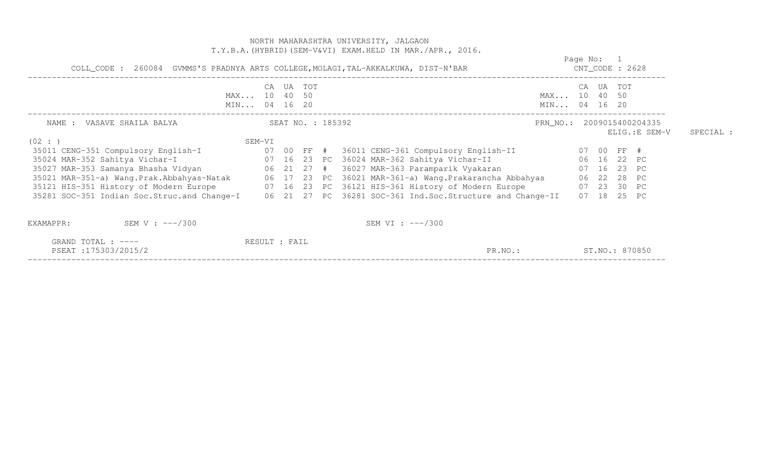|                                                                                                                                                                                                                                                                                                                                                                                                                                                                                                                                                                                                                |                                    |                   |        | NORTH MAHARASHTRA UNIVERSITY, JALGAON<br>T.Y.B.A. (HYBRID) (SEM-V&VI) EXAM.HELD IN MAR./APR., 2016. |                              |                                  |                                           |                |           |
|----------------------------------------------------------------------------------------------------------------------------------------------------------------------------------------------------------------------------------------------------------------------------------------------------------------------------------------------------------------------------------------------------------------------------------------------------------------------------------------------------------------------------------------------------------------------------------------------------------------|------------------------------------|-------------------|--------|-----------------------------------------------------------------------------------------------------|------------------------------|----------------------------------|-------------------------------------------|----------------|-----------|
| COLL_CODE : 260084 GVMMS'S PRADNYA ARTS COLLEGE, MOLAGI, TAL-AKKALKUWA, DIST-N'BAR                                                                                                                                                                                                                                                                                                                                                                                                                                                                                                                             |                                    |                   |        |                                                                                                     |                              | Page No: 1<br>$CNT\_CODE$ : 2628 |                                           |                |           |
|                                                                                                                                                                                                                                                                                                                                                                                                                                                                                                                                                                                                                | CA<br>MAX 10 40 50<br>MIN 04 16 20 |                   | UA TOT |                                                                                                     | MAX 10 40 50<br>MIN 04 16 20 |                                  | CA UA TOT                                 |                |           |
| NAME : VASAVE SHAILA BALYA<br>(02 : )                                                                                                                                                                                                                                                                                                                                                                                                                                                                                                                                                                          | SEM-VI                             | SEAT NO. : 185392 |        |                                                                                                     | PRN_NO.: 2009015400204335    |                                  |                                           | ELIG.: E SEM-V | SPECIAL : |
| 35011 CENG-351 Compulsory English-I               07 00 FF # 36011 CENG-361 Compulsory English-II           07 00 FF #<br>35024 MAR-352 Sahitya Vichar-I<br>35027 MAR-353 Samanya Bhasha Vidyan                       06   21   27   #   36027 MAR-363 Paramparik Vyakaran<br>35021 MAR-351-a) Wang.Prak.Abbahyas-Natak 66 17 23 PC 36021 MAR-361-a) Wang.Prakarancha Abbahyas 66 22 28 PC<br>35121 HIS-351 History of Modern Europe 607 16 23 PC 36121 HIS-361 History of Modern Europe 607 23 30 PC<br>35281 SOC-351 Indian Soc.Struc.and Change-I 06 21 27 PC 36281 SOC-361 Ind.Soc.Structure and Change-II |                                    |                   |        | 07 16 23 PC 36024 MAR-362 Sahitya Vichar-II                                                         |                              |                                  | 06 16 22 PC<br>07 16 23 PC<br>07 18 25 PC |                |           |
| SEM V : $---/300$<br>EXAMAPPR:                                                                                                                                                                                                                                                                                                                                                                                                                                                                                                                                                                                 |                                    |                   |        | SEM VI : $---/300$                                                                                  |                              |                                  |                                           |                |           |
| GRAND TOTAL : $---$<br>PSEAT:175303/2015/2                                                                                                                                                                                                                                                                                                                                                                                                                                                                                                                                                                     | RESULT : FAIL                      |                   |        | PR.NO.:                                                                                             |                              |                                  | ST.NO.: 870850                            |                |           |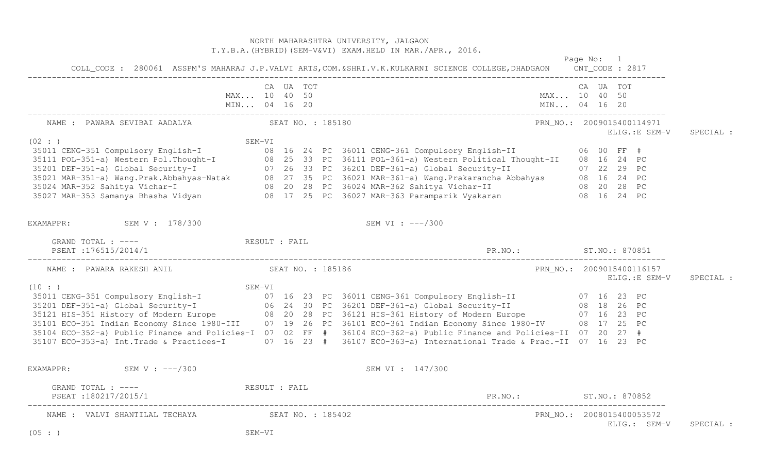## NORTH MAHARASHTRA UNIVERSITY, JALGAON T.Y.B.A.(HYBRID)(SEM-V&VI) EXAM.HELD IN MAR./APR., 2016. Page No: 1 COLL CODE: 280061 ASSPM'S MAHARAJ J.P.VALVI ARTS, COM. & SHRI.V.K.KULKARNI SCIENCE COLLEGE, DHADGAON CNT CODE: 2817 COLL\_CODE : 280061 ASSPM'S MAHARAJ J.P.VALVI ARTS,COM.&SHRI.V.K.KULKARNI SCIENCE COLLEGE,DHADGAON CNT\_CODE : 2817 ------------------------------------------------------------------------------------------------------------------------------------ CA UA TOT CA UA TOT MAX... 10 40 50 MAX... 10 40 50 MIN... 04 16 20 MIN... 04 16 20 MIN... 04 16 20 ------------------------------------------------------------------------------------------------------------------------------------ NAME : PAWARA SEVIBAI AADALYA SEAT NO. : 185180 PRN\_NO.: 2009015400114971 ELIG.:E SEM-V SPECIAL : 35011 CENG-351 Compulsory English-I<br>
35011 CENG-351 Compulsory English-I<br>
35011 POL-351-a) Western Pol.Thought-I<br>
3501 DEF-351-a) Western Pol.Thought-I<br>
35021 DEF-351-a) Global Security-I<br>
35021 MAR-351-a) Global Security-EXAMAPPR: SEM V : 178/300 SEM VI : ---/300 GRAND TOTAL : ---- **RESULT** : FAIL PSEAT :176515/2014/1 PR.NO.: ST.NO.: 870851 ------------------------------------------------------------------------------------------------------------------------------------ NAME : PAWARA RAKESH ANIL SEAT NO. : 185186 PRN NO. : 2009015400116157 ELIG.:E SEM-V SPECIAL : (10 : ) SEM-VI 35011 CENG-351 Compulsory English-I 07 16 23 PC 36011 CENG-361 Compulsory English-II 07 16 23 PC 35201 DEF-351-a) Global Security-I 06 24 30 PC 36201 DEF-361-a) Global Security-II 08 18 26 PC 35121 HIS-351 History of Modern Europe 08 20 28 PC 36121 HIS-361 History of Modern Europe 07 16 23 PC 35101 ECO-351 Indian Economy Since 1980-III 07 19 26 PC 36101 ECO-361 Indian Economy Since 1980-IV 08 17 25 PC 35104 ECO-352-a) Public Finance and Policies-I 07 02 FF # 36104 ECO-362-a) Public Finance and Policies-II 07 20 27 # 35107 ECO-353-a) Int.Trade & Practices-I 07 16 23 # 36107 ECO-363-a) International Trade & Prac.-II 07 16 23 PC EXAMAPPR: SEM V : ---/300 SEM V : ---/300 GRAND TOTAL : ---- RESULT : FAIL PSEAT :180217/2015/1 PR.NO.: ST.NO.: 870852 ------------------------------------------------------------------------------------------------------------------------------------ NAME : VALVI SHANTILAL TECHAYA SEAT NO. : 185402 PRN NO.: 2008015400053572 ELIG.: SEM-V SPECIAL : (05 : ) SEM-VI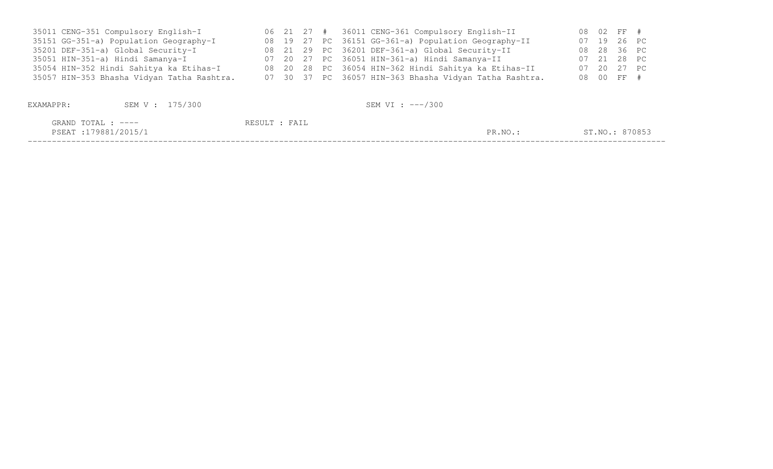| 35011 CENG-351 Compulsory English-I        |  |  | 06 21 27 # 36011 CENG-361 Compulsory English-II        |  | 08 02 FF #     |  |
|--------------------------------------------|--|--|--------------------------------------------------------|--|----------------|--|
| 35151 GG-351-a) Population Geography-I     |  |  | 08 19 27 PC 36151 GG-361-a) Population Geography-II    |  | 07 19 26 PC    |  |
| 35201 DEF-351-a) Global Security-I         |  |  | 08 21 29 PC 36201 DEF-361-a) Global Security-II        |  | 08  28  36  PC |  |
| 35051 HIN-351-a) Hindi Samanya-I           |  |  | 07 20 27 PC 36051 HIN-361-a) Hindi Samanya-II          |  | 07 21 28 PC    |  |
| 35054 HIN-352 Hindi Sahitya ka Etihas-I    |  |  | 08 20 28 PC 36054 HIN-362 Hindi Sahitya ka Etihas-II   |  | 07 20 27 PC    |  |
| 35057 HIN-353 Bhasha Vidyan Tatha Rashtra. |  |  | 07 30 37 PC 36057 HIN-363 Bhasha Vidyan Tatha Rashtra. |  | 08 00 FF #     |  |
|                                            |  |  |                                                        |  |                |  |

| EXAMAPPR:                                 | SEM V : 175/300 |               | SEM VI : ---/300 |                |
|-------------------------------------------|-----------------|---------------|------------------|----------------|
| GRAND TOTAL : ----<br>PSEAT:179881/2015/1 |                 | RESULT : FAIL | PR.NO.:          | ST.NO.: 870853 |